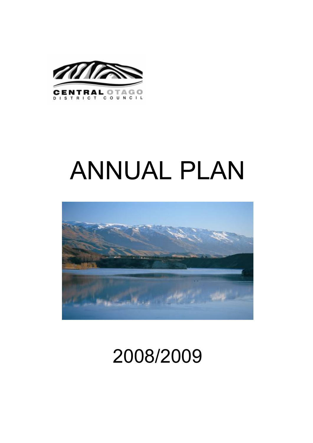

# ANNUAL PLAN



## 2008/2009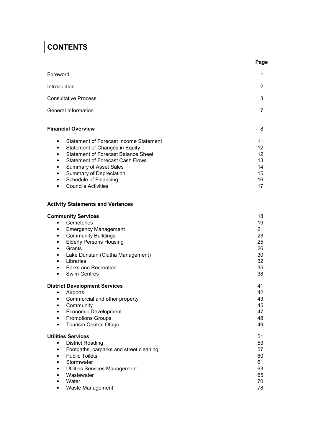### **CONTENTS**

|                                                                                                                                                                                                                                                                                                                                                                      | Page                                                     |
|----------------------------------------------------------------------------------------------------------------------------------------------------------------------------------------------------------------------------------------------------------------------------------------------------------------------------------------------------------------------|----------------------------------------------------------|
| Foreword                                                                                                                                                                                                                                                                                                                                                             | 1                                                        |
| Introduction                                                                                                                                                                                                                                                                                                                                                         | $\overline{2}$                                           |
| <b>Consultative Process</b>                                                                                                                                                                                                                                                                                                                                          | 3                                                        |
| General Information                                                                                                                                                                                                                                                                                                                                                  | 7                                                        |
| <b>Financial Overview</b>                                                                                                                                                                                                                                                                                                                                            | 8                                                        |
| Statement of Forecast Income Statement<br>٠<br>Statement of Changes in Equity<br>$\bullet$<br><b>Statement of Forecast Balance Sheet</b><br>$\bullet$<br><b>Statement of Forecast Cash Flows</b><br>$\bullet$<br><b>Summary of Asset Sales</b><br>٠<br>Summary of Depreciation<br>٠<br>Schedule of Financing<br>$\bullet$<br><b>Councils Activities</b><br>$\bullet$ | 11<br>12<br>12<br>13<br>14<br>15<br>16<br>17             |
| <b>Activity Statements and Variances</b>                                                                                                                                                                                                                                                                                                                             |                                                          |
| <b>Community Services</b><br>Cemeteries<br>$\bullet$<br><b>Emergency Management</b><br>$\bullet$<br><b>Community Buildings</b><br>٠<br><b>Elderly Persons Housing</b><br>٠<br>Grants<br>$\bullet$<br>Lake Dunstan (Clutha Management)<br>٠<br>Libraries<br>$\bullet$<br>Parks and Recreation<br>$\bullet$<br><b>Swim Centres</b><br>$\bullet$                        | 18<br>19<br>21<br>23<br>25<br>26<br>30<br>32<br>35<br>38 |
| <b>District Development Services</b><br>Airports<br>$\bullet$<br>Commercial and other property<br>٠<br>Community<br><b>Economic Development</b><br><b>Promotions Groups</b><br><b>Tourism Central Otago</b><br>$\bullet$                                                                                                                                             | 41<br>42<br>43<br>45<br>47<br>48<br>49                   |
| <b>Utilities Services</b><br><b>District Roading</b><br>$\bullet$<br>Footpaths, carparks and street cleaning<br>$\bullet$<br><b>Public Toilets</b><br>$\bullet$<br>Stormwater<br>$\bullet$                                                                                                                                                                           | 51<br>53<br>57<br>60<br>61                               |

|           | • Stormwater                    | 61 |
|-----------|---------------------------------|----|
|           | • Utilities Services Management | 63 |
|           | • Wastewater                    | 65 |
| $\bullet$ | Water                           | 70 |
|           | • Waste Management              | 78 |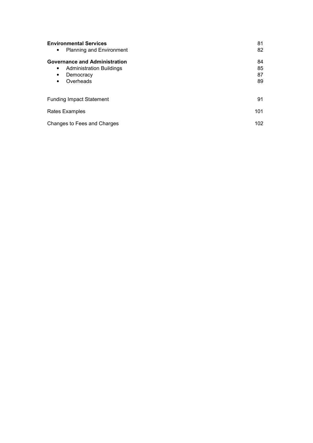| <b>Environmental Services</b><br><b>Planning and Environment</b><br>$\bullet$                                                            | 81<br>82             |
|------------------------------------------------------------------------------------------------------------------------------------------|----------------------|
| <b>Governance and Administration</b><br><b>Administration Buildings</b><br>$\bullet$<br>Democracy<br>$\bullet$<br>Overheads<br>$\bullet$ | 84<br>85<br>87<br>89 |
| <b>Funding Impact Statement</b>                                                                                                          | 91                   |
| Rates Examples                                                                                                                           | 101                  |
| Changes to Fees and Charges                                                                                                              | 102                  |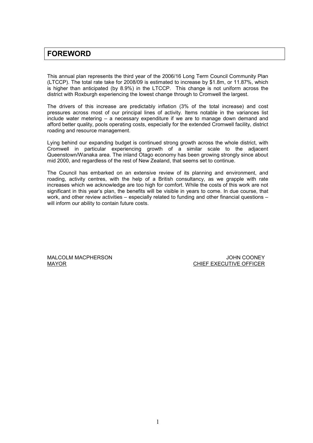### FOREWORD

This annual plan represents the third year of the 2006/16 Long Term Council Community Plan (LTCCP). The total rate take for 2008/09 is estimated to increase by \$1.8m, or 11.87%, which is higher than anticipated (by 8.9%) in the LTCCP. This change is not uniform across the district with Roxburgh experiencing the lowest change through to Cromwell the largest.

The drivers of this increase are predictably inflation (3% of the total increase) and cost pressures across most of our principal lines of activity. Items notable in the variances list include water metering – a necessary expenditure if we are to manage down demand and afford better quality, pools operating costs, especially for the extended Cromwell facility, district roading and resource management.

Lying behind our expanding budget is continued strong growth across the whole district, with Cromwell in particular experiencing growth of a similar scale to the adjacent Queenstown/Wanaka area. The inland Otago economy has been growing strongly since about mid 2000, and regardless of the rest of New Zealand, that seems set to continue.

The Council has embarked on an extensive review of its planning and environment, and roading, activity centres, with the help of a British consultancy, as we grapple with rate increases which we acknowledge are too high for comfort. While the costs of this work are not significant in this year's plan, the benefits will be visible in years to come. In due course, that work, and other review activities – especially related to funding and other financial questions – will inform our ability to contain future costs.

MALCOLM MACPHERSON JOHN COONEY

MAYOR **CHIEF EXECUTIVE OFFICER**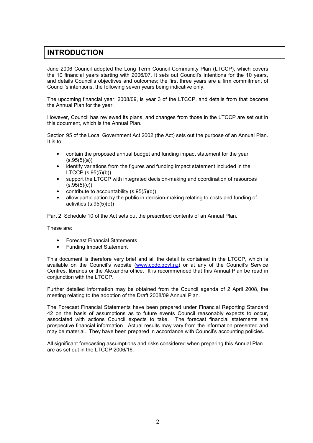### INTRODUCTION

June 2006 Council adopted the Long Term Council Community Plan (LTCCP), which covers the 10 financial years starting with 2006/07. It sets out Council's intentions for the 10 years, and details Council's objectives and outcomes; the first three years are a firm commitment of Council's intentions, the following seven years being indicative only.

The upcoming financial year, 2008/09, is year 3 of the LTCCP, and details from that become the Annual Plan for the year.

However, Council has reviewed its plans, and changes from those in the LTCCP are set out in this document, which is the Annual Plan.

Section 95 of the Local Government Act 2002 (the Act) sets out the purpose of an Annual Plan. It is to:

- contain the proposed annual budget and funding impact statement for the year  $(s.95(5)(a))$
- identify variations from the figures and funding impact statement included in the LTCCP (s.95(5)(b))
- support the LTCCP with integrated decision-making and coordination of resources  $(s.95(5)(c))$
- contribute to accountability  $(s.95(5)(d))$
- allow participation by the public in decision-making relating to costs and funding of activities (s.95(5)(e))

Part 2, Schedule 10 of the Act sets out the prescribed contents of an Annual Plan.

These are:

- Forecast Financial Statements
- Funding Impact Statement

This document is therefore very brief and all the detail is contained in the LTCCP, which is available on the Council's website (www.codc.govt.nz) or at any of the Council's Service Centres, libraries or the Alexandra office. It is recommended that this Annual Plan be read in conjunction with the LTCCP.

Further detailed information may be obtained from the Council agenda of 2 April 2008, the meeting relating to the adoption of the Draft 2008/09 Annual Plan.

The Forecast Financial Statements have been prepared under Financial Reporting Standard 42 on the basis of assumptions as to future events Council reasonably expects to occur, associated with actions Council expects to take. The forecast financial statements are prospective financial information. Actual results may vary from the information presented and may be material. They have been prepared in accordance with Council's accounting policies.

All significant forecasting assumptions and risks considered when preparing this Annual Plan are as set out in the LTCCP 2006/16.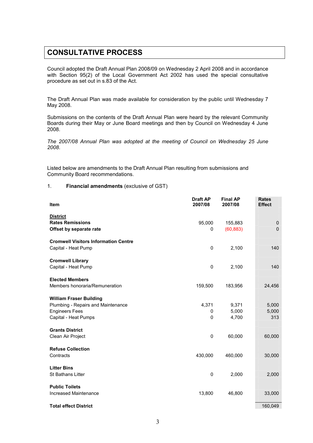### CONSULTATIVE PROCESS

Council adopted the Draft Annual Plan 2008/09 on Wednesday 2 April 2008 and in accordance with Section 95(2) of the Local Government Act 2002 has used the special consultative procedure as set out in s.83 of the Act.

The Draft Annual Plan was made available for consideration by the public until Wednesday 7 May 2008.

Submissions on the contents of the Draft Annual Plan were heard by the relevant Community Boards during their May or June Board meetings and then by Council on Wednesday 4 June 2008.

The 2007/08 Annual Plan was adopted at the meeting of Council on Wednesday 25 June 2008.

Listed below are amendments to the Draft Annual Plan resulting from submissions and Community Board recommendations.

### 1. Financial amendments (exclusive of GST)

| Item                                        | <b>Draft AP</b><br>2007/08 | <b>Final AP</b><br>2007/08 | <b>Rates</b><br><b>Effect</b> |
|---------------------------------------------|----------------------------|----------------------------|-------------------------------|
| <b>District</b>                             |                            |                            |                               |
| <b>Rates Remissions</b>                     | 95,000                     | 155,883                    | $\mathbf 0$                   |
| Offset by separate rate                     | 0                          | (60, 883)                  | $\Omega$                      |
| <b>Cromwell Visitors Information Centre</b> |                            |                            |                               |
| Capital - Heat Pump                         | $\mathbf 0$                | 2,100                      | 140                           |
| <b>Cromwell Library</b>                     |                            |                            |                               |
| Capital - Heat Pump                         | $\mathbf 0$                | 2,100                      | 140                           |
| <b>Elected Members</b>                      |                            |                            |                               |
| Members honoraria/Remuneration              | 159,500                    | 183,956                    | 24,456                        |
| <b>William Fraser Building</b>              |                            |                            |                               |
| Plumbing - Repairs and Maintenance          | 4,371                      | 9,371                      | 5,000                         |
| <b>Engineers Fees</b>                       | 0                          | 5,000                      | 5,000                         |
| Capital - Heat Pumps                        | $\mathbf 0$                | 4,700                      | 313                           |
| <b>Grants District</b>                      |                            |                            |                               |
| Clean Air Project                           | $\pmb{0}$                  | 60,000                     | 60,000                        |
| <b>Refuse Collection</b>                    |                            |                            |                               |
| Contracts                                   | 430,000                    | 460,000                    | 30,000                        |
| <b>Litter Bins</b>                          |                            |                            |                               |
| <b>St Bathans Litter</b>                    | 0                          | 2,000                      | 2,000                         |
| <b>Public Toilets</b>                       |                            |                            |                               |
| Increased Maintenance                       | 13,800                     | 46,800                     | 33,000                        |
| <b>Total effect District</b>                |                            |                            | 160,049                       |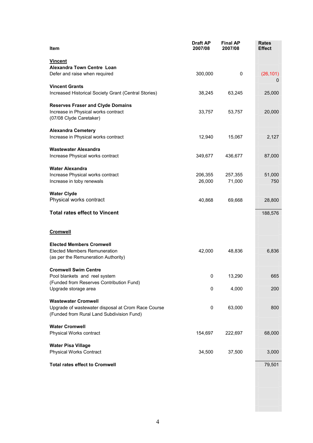| Item                                                                                                                          | <b>Draft AP</b><br>2007/08 | <b>Final AP</b><br>2007/08 | <b>Rates</b><br><b>Effect</b> |
|-------------------------------------------------------------------------------------------------------------------------------|----------------------------|----------------------------|-------------------------------|
| <b>Vincent</b><br>Alexandra Town Centre Loan                                                                                  |                            |                            |                               |
| Defer and raise when required                                                                                                 | 300,000                    | 0                          | (26, 101)<br>0                |
| <b>Vincent Grants</b><br>Increased Historical Society Grant (Central Stories)                                                 | 38,245                     | 63,245                     | 25,000                        |
| <b>Reserves Fraser and Clyde Domains</b><br>Increase in Physical works contract<br>(07/08 Clyde Caretaker)                    | 33,757                     | 53,757                     | 20,000                        |
| <b>Alexandra Cemetery</b><br>Increase in Physical works contract                                                              | 12,940                     | 15,067                     | 2,127                         |
| <b>Wastewater Alexandra</b><br>Increase Physical works contract                                                               | 349,677                    | 436,677                    | 87,000                        |
| <b>Water Alexandra</b><br>Increase Physical works contract<br>Increase in toby renewals                                       | 206,355<br>26,000          | 257,355<br>71,000          | 51,000<br>750                 |
| <b>Water Clyde</b><br>Physical works contract                                                                                 | 40,868                     | 69,668                     | 28,800                        |
| <b>Total rates effect to Vincent</b>                                                                                          |                            |                            | 188,576                       |
| <b>Cromwell</b>                                                                                                               |                            |                            |                               |
| <b>Elected Members Cromwell</b><br><b>Elected Members Remuneration</b><br>(as per the Remuneration Authority)                 | 42,000                     | 48,836                     | 6,836                         |
| <b>Cromwell Swim Centre</b><br>Pool blankets and reel system<br>(Funded from Reserves Contribution Fund)                      | $\mathbf{0}$               | 13,290                     | 665                           |
| Upgrade storage area                                                                                                          | 0                          | 4,000                      | 200                           |
| <b>Wastewater Cromwell</b><br>Upgrade of wastewater disposal at Crom Race Course<br>(Funded from Rural Land Subdivision Fund) | 0                          | 63,000                     | 800                           |
| <b>Water Cromwell</b><br>Physical Works contract                                                                              | 154,697                    | 222,697                    | 68,000                        |
| <b>Water Pisa Village</b><br><b>Physical Works Contract</b>                                                                   | 34,500                     | 37,500                     | 3,000                         |
| <b>Total rates effect to Cromwell</b>                                                                                         |                            |                            | 79,501                        |
|                                                                                                                               |                            |                            |                               |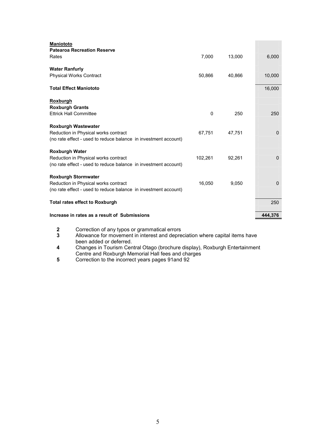| <b>Maniototo</b>                                                |         |        |              |
|-----------------------------------------------------------------|---------|--------|--------------|
| <b>Patearoa Recreation Reserve</b>                              |         |        |              |
| Rates                                                           | 7,000   | 13,000 | 6,000        |
| <b>Water Ranfurly</b>                                           |         |        |              |
| <b>Physical Works Contract</b>                                  | 50,866  | 40,866 | 10,000       |
|                                                                 |         |        |              |
| <b>Total Effect Maniototo</b>                                   |         |        | 16,000       |
| Roxburgh                                                        |         |        |              |
| <b>Roxburgh Grants</b>                                          |         |        |              |
| <b>Ettrick Hall Committee</b>                                   | 0       | 250    | 250          |
| <b>Roxburgh Wastewater</b>                                      |         |        |              |
| Reduction in Physical works contract                            | 67,751  | 47,751 | $\mathbf{0}$ |
| (no rate effect - used to reduce balance in investment account) |         |        |              |
| <b>Roxburgh Water</b>                                           |         |        |              |
| Reduction in Physical works contract                            | 102,261 | 92,261 | $\Omega$     |
| (no rate effect - used to reduce balance in investment account) |         |        |              |
| <b>Roxburgh Stormwater</b>                                      |         |        |              |
| Reduction in Physical works contract                            | 16,050  | 9,050  | $\Omega$     |
| (no rate effect - used to reduce balance in investment account) |         |        |              |
|                                                                 |         |        |              |
| <b>Total rates effect to Roxburgh</b>                           |         |        | 250          |
| Increase in rates as a result of Submissions                    |         |        | 444,376      |
|                                                                 |         |        |              |

- 
- 2 Correction of any typos or grammatical errors<br>3 Allowance for movement in interest and depre 3 Allowance for movement in interest and depreciation where capital items have been added or deferred.
- 4 Changes in Tourism Central Otago (brochure display), Roxburgh Entertainment Centre and Roxburgh Memorial Hall fees and charges
- 5 Correction to the incorrect years pages 91and 92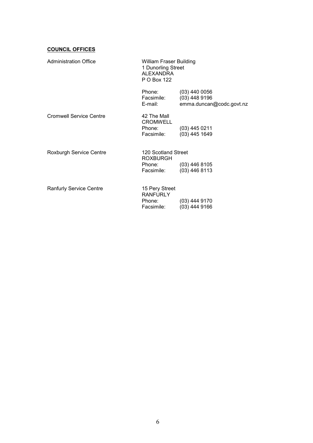### **COUNCIL OFFICES**

| <b>Administration Office</b>   | William Fraser Building<br>1 Dunorling Street<br><b>ALEXANDRA</b><br>P O Box 122 |                                                                |
|--------------------------------|----------------------------------------------------------------------------------|----------------------------------------------------------------|
|                                | Phone:<br>Facsimile:<br>E-mail:                                                  | $(03)$ 440 0056<br>$(03)$ 448 9196<br>emma.duncan@codc.govt.nz |
| Cromwell Service Centre        | 42 The Mall<br><b>CROMWELL</b><br>Phone:<br>Facsimile:                           | $(03)$ 445 0211<br>$(03)$ 445 1649                             |
| Roxburgh Service Centre        | 120 Scotland Street<br><b>ROXBURGH</b><br>Phone: (03) 446 8105<br>Facsimile:     | $(03)$ 446 8113                                                |
| <b>Ranfurly Service Centre</b> | 15 Pery Street<br><b>RANFURLY</b><br>Phone:<br>Facsimile:                        | $(03)$ 444 9170<br>$(03)$ 444 9166                             |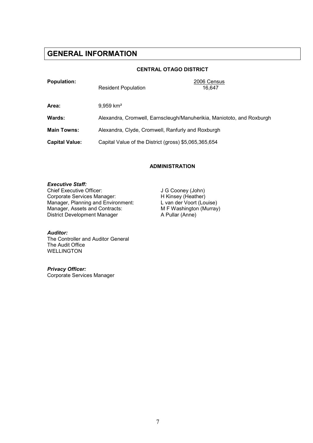### GENERAL INFORMATION

### CENTRAL OTAGO DISTRICT

| <b>Population:</b>    | <b>Resident Population</b>                            | 2006 Census<br>16.647                                                 |  |
|-----------------------|-------------------------------------------------------|-----------------------------------------------------------------------|--|
| Area:                 | $9.959$ km <sup>2</sup>                               |                                                                       |  |
| Wards:                |                                                       | Alexandra, Cromwell, Earnscleugh/Manuherikia, Maniototo, and Roxburgh |  |
| <b>Main Towns:</b>    | Alexandra, Clyde, Cromwell, Ranfurly and Roxburgh     |                                                                       |  |
| <b>Capital Value:</b> | Capital Value of the District (gross) \$5,065,365,654 |                                                                       |  |

### ADMINISTRATION

### Executive Staff:

Chief Executive Officer: J G Cooney (John)<br>
Corporate Services Manager: H Kinsey (Heather) Corporate Services Manager: H Kinsey (Heather)<br>
Manager, Planning and Environment: L van der Voort (Louise) Manager, Planning and Environment: L van der Voort (Louise)<br>Manager, Assets and Contracts: M F Washington (Murray) Manager, Assets and Contracts: MEXIM MEX Washington District Development Manager A Pullar (Anne) District Development Manager

### Auditor:

The Controller and Auditor General The Audit Office WELLINGTON

Privacy Officer: Corporate Services Manager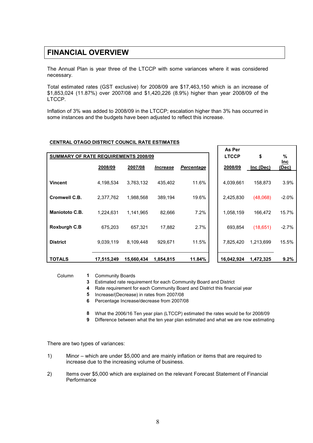### FINANCIAL OVERVIEW

The Annual Plan is year three of the LTCCP with some variances where it was considered necessary.

Total estimated rates (GST exclusive) for 2008/09 are \$17,463,150 which is an increase of \$1,853,024 (11.87%) over 2007/08 and \$1,420,226 (8.9%) higher than year 2008/09 of the LTCCP.

Inflation of 3% was added to 2008/09 in the LTCCP; escalation higher than 3% has occurred in some instances and the budgets have been adjusted to reflect this increase.

### CENTRAL OTAGO DISTRICT COUNCIL RATE ESTIMATES

|                                             |            |            |                        |                   | As Per     |           |                |
|---------------------------------------------|------------|------------|------------------------|-------------------|------------|-----------|----------------|
| <b>SUMMARY OF RATE REQUIREMENTS 2008/09</b> |            |            |                        | <b>LTCCP</b>      | \$         | %         |                |
|                                             | 2008/09    | 2007/08    | <i><b>Increase</b></i> | <b>Percentage</b> | 2008/09    | Inc (Dec) | $lnc$<br>(Dec) |
| <b>Vincent</b>                              | 4,198,534  | 3,763,132  | 435,402                | 11.6%             | 4,039,661  | 158,873   | 3.9%           |
| Cromwell C.B.                               | 2,377,762  | 1.988.568  | 389.194                | 19.6%             | 2,425,830  | (48,068)  | $-2.0%$        |
| Maniototo C.B.                              | 1.224.631  | 1,141,965  | 82,666                 | 7.2%              | 1,058,159  | 166,472   | 15.7%          |
| <b>Roxburgh C.B</b>                         | 675.203    | 657.321    | 17,882                 | 2.7%              | 693,854    | (18,651)  | $-2.7%$        |
| <b>District</b>                             | 9,039,119  | 8,109,448  | 929,671                | 11.5%             | 7,825,420  | 1,213,699 | 15.5%          |
| <b>TOTALS</b>                               | 17,515,249 | 15,660,434 | 1,854,815              | 11.84%            | 16,042,924 | 1,472,325 | 9.2%           |

Column 1 Community Boards

3 Estimated rate requirement for each Community Board and District

4 Rate requirement for each Community Board and District this financial year

5 Increase/(Decrease) in rates from 2007/08

6 Percentage Increase/decrease from 2007/08

8 What the 2006/16 Ten year plan (LTCCP) estimated the rates would be for 2008/09

9 Difference between what the ten year plan estimated and what we are now estimating

There are two types of variances:

- 1) Minor which are under \$5,000 and are mainly inflation or items that are required to increase due to the increasing volume of business.
- 2) Items over \$5,000 which are explained on the relevant Forecast Statement of Financial **Performance**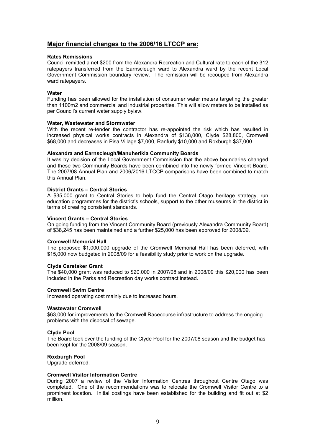### Major financial changes to the 2006/16 LTCCP are:

### Rates Remissions

Council remitted a net \$200 from the Alexandra Recreation and Cultural rate to each of the 312 ratepayers transferred from the Earnscleugh ward to Alexandra ward by the recent Local Government Commission boundary review. The remission will be recouped from Alexandra ward ratepayers.

### **Water**

Funding has been allowed for the installation of consumer water meters targeting the greater than 1100m2 and commercial and industrial properties. This will allow meters to be installed as per Council's current water supply bylaw.

### Water, Wastewater and Stormwater

With the recent re-tender the contractor has re-appointed the risk which has resulted in increased physical works contracts in Alexandra of \$138,000, Clyde \$28,800, Cromwell \$68,000 and decreases in Pisa Village \$7,000, Ranfurly \$10,000 and Roxburgh \$37,000.

### Alexandra and Earnscleugh/Manuherikia Community Boards

It was by decision of the Local Government Commission that the above boundaries changed and these two Community Boards have been combined into the newly formed Vincent Board. The 2007/08 Annual Plan and 2006/2016 LTCCP comparisons have been combined to match this Annual Plan.

### District Grants – Central Stories

A \$35,000 grant to Central Stories to help fund the Central Otago heritage strategy, run education programmes for the district's schools, support to the other museums in the district in terms of creating consistent standards.

### Vincent Grants – Central Stories

On going funding from the Vincent Community Board (previously Alexandra Community Board) of \$38,245 has been maintained and a further \$25,000 has been approved for 2008/09.

### Cromwell Memorial Hall

The proposed \$1,000,000 upgrade of the Cromwell Memorial Hall has been deferred, with \$15,000 now budgeted in 2008/09 for a feasibility study prior to work on the upgrade.

### Clyde Caretaker Grant

The \$40,000 grant was reduced to \$20,000 in 2007/08 and in 2008/09 this \$20,000 has been included in the Parks and Recreation day works contract instead.

### Cromwell Swim Centre

Increased operating cost mainly due to increased hours.

### Wastewater Cromwell

\$63,000 for improvements to the Cromwell Racecourse infrastructure to address the ongoing problems with the disposal of sewage.

### Clyde Pool

The Board took over the funding of the Clyde Pool for the 2007/08 season and the budget has been kept for the 2008/09 season.

### Roxburgh Pool

Upgrade deferred.

#### Cromwell Visitor Information Centre

During 2007 a review of the Visitor Information Centres throughout Centre Otago was completed. One of the recommendations was to relocate the Cromwell Visitor Centre to a prominent location. Initial costings have been established for the building and fit out at \$2 million.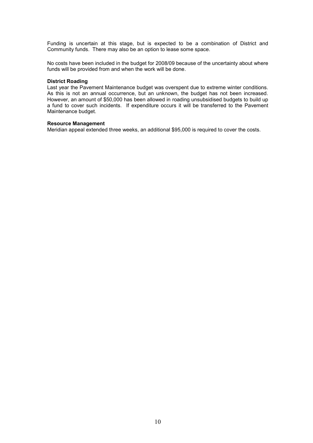Funding is uncertain at this stage, but is expected to be a combination of District and Community funds. There may also be an option to lease some space.

No costs have been included in the budget for 2008/09 because of the uncertainty about where funds will be provided from and when the work will be done.

#### District Roading

Last year the Pavement Maintenance budget was overspent due to extreme winter conditions. As this is not an annual occurrence, but an unknown, the budget has not been increased. However, an amount of \$50,000 has been allowed in roading unsubsidised budgets to build up a fund to cover such incidents. If expenditure occurs it will be transferred to the Pavement Maintenance budget.

#### Resource Management

Meridian appeal extended three weeks, an additional \$95,000 is required to cover the costs.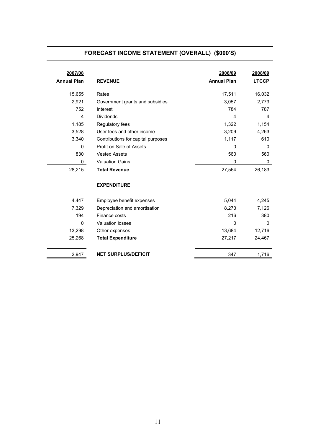### FORECAST INCOME STATEMENT (OVERALL) (\$000'S)

| 2007/08<br><b>Annual Plan</b> | <b>REVENUE</b>                     | 2008/09<br><b>Annual Plan</b> | 2008/09<br><b>LTCCP</b> |
|-------------------------------|------------------------------------|-------------------------------|-------------------------|
| 15,655                        | Rates                              | 17,511                        | 16,032                  |
| 2,921                         | Government grants and subsidies    | 3,057                         | 2,773                   |
| 752                           | Interest                           | 784                           | 787                     |
| 4                             | <b>Dividends</b>                   | 4                             | 4                       |
| 1,185                         | Regulatory fees                    | 1,322                         | 1,154                   |
| 3,528                         | User fees and other income         | 3,209                         | 4,263                   |
| 3,340                         | Contributions for capital purposes | 1,117                         | 610                     |
| 0                             | Profit on Sale of Assets           | $\mathbf{0}$                  | $\Omega$                |
| 830                           | <b>Vested Assets</b>               | 560                           | 560                     |
| 0                             | <b>Valuation Gains</b>             | $\Omega$                      | 0                       |
| 28,215                        | <b>Total Revenue</b>               | 27,564                        | 26,183                  |
|                               | <b>EXPENDITURE</b>                 |                               |                         |
| 4,447                         | Employee benefit expenses          | 5,044                         | 4,245                   |
| 7,329                         | Depreciation and amortisation      | 8,273                         | 7,126                   |
| 194                           | Finance costs                      | 216                           | 380                     |
| $\Omega$                      | <b>Valuation losses</b>            | $\Omega$                      | $\Omega$                |
| 13,298                        | Other expenses                     | 13,684                        | 12,716                  |
| 25,268                        | <b>Total Expenditure</b>           | 27,217                        | 24,467                  |
| 2,947                         | <b>NET SURPLUS/DEFICIT</b>         | 347                           | 1,716                   |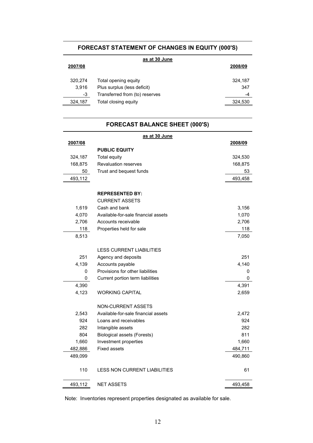### FORECAST STATEMENT OF CHANGES IN EQUITY (000'S)

| as at 30 June |                                |         |  |
|---------------|--------------------------------|---------|--|
| 2007/08       |                                | 2008/09 |  |
|               |                                |         |  |
| 320,274       | Total opening equity           | 324,187 |  |
| 3.916         | Plus surplus (less deficit)    | 347     |  |
| -3            | Transferred from (to) reserves | -4      |  |
| 324,187       | Total closing equity           | 324,530 |  |
|               |                                |         |  |

### FORECAST BALANCE SHEET (000'S)

| as at 30 June |                                     |         |  |  |
|---------------|-------------------------------------|---------|--|--|
| 2007/08       |                                     | 2008/09 |  |  |
|               | <b>PUBLIC EQUITY</b>                |         |  |  |
| 324,187       | Total equity                        | 324,530 |  |  |
| 168,875       | <b>Revaluation reserves</b>         | 168,875 |  |  |
| 50            | Trust and bequest funds             | 53      |  |  |
| 493,112       |                                     | 493,458 |  |  |
|               | <b>REPRESENTED BY:</b>              |         |  |  |
|               | <b>CURRENT ASSETS</b>               |         |  |  |
| 1,619         | Cash and bank                       | 3,156   |  |  |
| 4,070         | Available-for-sale financial assets | 1,070   |  |  |
| 2,706         | Accounts receivable                 | 2,706   |  |  |
| 118           | Properties held for sale            | 118     |  |  |
| 8,513         |                                     | 7,050   |  |  |
|               | <b>LESS CURRENT LIABILITIES</b>     |         |  |  |
| 251           | Agency and deposits                 | 251     |  |  |
| 4,139         | Accounts payable                    | 4,140   |  |  |
| 0             | Provisions for other liabilities    | 0       |  |  |
| 0             | Current portion term liabilities    | 0       |  |  |
| 4,390         |                                     | 4,391   |  |  |
| 4,123         | <b>WORKING CAPITAL</b>              | 2,659   |  |  |
|               | <b>NON-CURRENT ASSETS</b>           |         |  |  |
| 2,543         | Available-for-sale financial assets | 2,472   |  |  |
| 924           | Loans and receivables               | 924     |  |  |
| 282           | Intangible assets                   | 282     |  |  |
| 804           | <b>Biological assets (Forests)</b>  | 811     |  |  |
| 1,660         | Investment properties               | 1,660   |  |  |
| 482,886       | <b>Fixed assets</b>                 | 484,711 |  |  |
| 489,099       |                                     | 490,860 |  |  |
| 110           | <b>LESS NON CURRENT LIABILITIES</b> | 61      |  |  |
| 493,112       | <b>NET ASSETS</b>                   | 493,458 |  |  |

Note: Inventories represent properties designated as available for sale.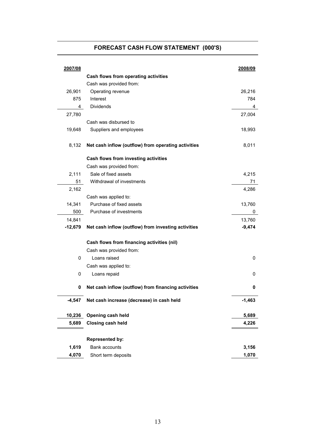### FORECAST CASH FLOW STATEMENT (000'S)

| 2007/08     |                                                     | 2008/09  |
|-------------|-----------------------------------------------------|----------|
|             | Cash flows from operating activities                |          |
|             | Cash was provided from:                             |          |
| 26,901      | Operating revenue                                   | 26,216   |
| 875         | Interest                                            | 784      |
| 4           | Dividends                                           | 4        |
| 27,780      |                                                     | 27,004   |
|             | Cash was disbursed to                               |          |
| 19,648      | Suppliers and employees                             | 18,993   |
| 8,132       | Net cash inflow (outflow) from operating activities | 8,011    |
|             | Cash flows from investing activities                |          |
|             | Cash was provided from:                             |          |
| 2,111       | Sale of fixed assets                                | 4,215    |
| 51          | Withdrawal of investments                           | 71       |
| 2,162       |                                                     | 4,286    |
|             | Cash was applied to:                                |          |
| 14,341      | Purchase of fixed assets                            | 13,760   |
| 500         | Purchase of investments                             | 0        |
| 14,841      |                                                     | 13,760   |
| $-12,679$   | Net cash inflow (outflow) from investing activities | $-9,474$ |
|             | Cash flows from financing activities (nil)          |          |
|             | Cash was provided from:                             |          |
| $\mathbf 0$ | Loans raised                                        | 0        |
|             | Cash was applied to:                                |          |
| 0           | Loans repaid                                        | 0        |
| 0           | Net cash inflow (outflow) from financing activities | 0        |
| $-4,547$    | Net cash increase (decrease) in cash held           | $-1,463$ |
| 10,236      | Opening cash held                                   | 5,689    |
| 5,689       | <b>Closing cash held</b>                            | 4,226    |
|             |                                                     |          |
|             | Represented by:                                     |          |
| 1,619       | Bank accounts                                       | 3,156    |
| 4,070       | Short term deposits                                 | 1,070    |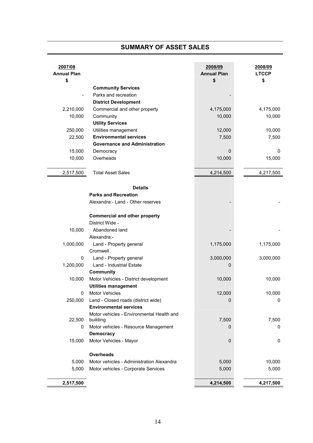### SUMMARY OF ASSET SALES

٦

| 2007/08<br><b>Annual Plan</b><br>\$ |                                                       | 2008/09<br><b>Annual Plan</b><br>\$ | 2008/09<br><b>LTCCP</b><br>\$ |
|-------------------------------------|-------------------------------------------------------|-------------------------------------|-------------------------------|
|                                     | <b>Community Services</b>                             |                                     |                               |
|                                     | Parks and recreation                                  |                                     |                               |
|                                     | <b>District Development</b>                           |                                     |                               |
| 2,210,000                           | Commercial and other property                         | 4,175,000                           | 4,175,000                     |
| 10,000                              | Community                                             | 10,000                              | 10,000                        |
|                                     | <b>Utility Services</b>                               |                                     |                               |
| 250,000                             | Utilities management                                  | 12,000                              | 10,000                        |
| 22,500                              | <b>Environmental services</b>                         | 7,500                               | 7,500                         |
|                                     | <b>Governance and Administration</b>                  |                                     |                               |
| 15,000                              | Democracy                                             | 0                                   | 0                             |
| 10,000                              | Overheads                                             | 10,000                              | 15,000                        |
|                                     |                                                       |                                     |                               |
| 2,517,500                           | <b>Total Asset Sales</b>                              | 4,214,500                           | 4,217,500                     |
|                                     | <b>Details</b>                                        |                                     |                               |
|                                     | <b>Parks and Recreation</b>                           |                                     |                               |
|                                     | Alexandra: - Land - Other reserves                    |                                     |                               |
|                                     | <b>Commercial and other property</b>                  |                                     |                               |
|                                     | District Wide -                                       |                                     |                               |
| 10,000                              | Abandoned land                                        |                                     |                               |
|                                     | Alexandra:-                                           |                                     |                               |
| 1,000,000                           | Land - Property general                               | 1,175,000                           | 1,175,000                     |
|                                     | Cromwell                                              |                                     |                               |
| 0                                   | Land - Property general                               | 3,000,000                           | 3,000,000                     |
| 1,200,000                           | Land - Industrial Estate                              | 0                                   |                               |
|                                     | Community                                             |                                     |                               |
| 10,000                              | Motor Vehicles - District development                 | 10,000                              | 10,000                        |
|                                     | <b>Utilities management</b>                           |                                     |                               |
| 0                                   | <b>Motor Vehicles</b>                                 | 12,000                              | 10,000                        |
| 250,000                             | Land - Closed roads (district wide)                   | 0                                   | 0                             |
|                                     | <b>Environmental services</b>                         |                                     |                               |
| 22,500                              | Motor vehicles - Environmental Health and<br>building | 7,500                               | 7,500                         |
| 0                                   | Motor vehicles - Resource Management                  | 0                                   | 0                             |
|                                     | <b>Democracy</b>                                      |                                     |                               |
| 15,000                              | Motor Vehicles - Mayor                                | 0                                   | 0                             |
|                                     | Overheads                                             |                                     |                               |
| 5,000                               | Motor vehicles - Administration Alexandra             | 5,000                               | 10,000                        |
| 5,000                               | Motor vehicles - Corporate Services                   | 5,000                               | 5,000                         |
| 2,517,500                           |                                                       | 4,214,500                           | 4,217,500                     |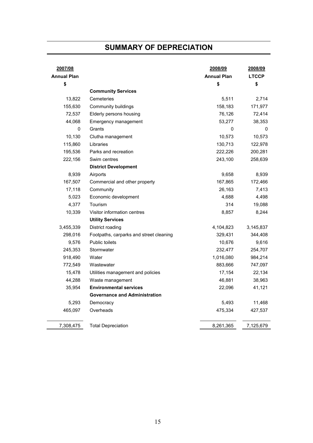### SUMMARY OF DEPRECIATION

| 2007/08<br><b>Annual Plan</b><br>\$ |                                         | 2008/09<br><b>Annual Plan</b><br>\$ | 2008/09<br><b>LTCCP</b><br>\$ |
|-------------------------------------|-----------------------------------------|-------------------------------------|-------------------------------|
|                                     | <b>Community Services</b>               |                                     |                               |
| 13,822                              | Cemeteries                              | 5,511                               | 2,714                         |
| 155,630                             | Community buildings                     | 158,183                             | 171,977                       |
| 72,537                              | Elderly persons housing                 | 76,126                              | 72,414                        |
| 44,068                              | Emergency management                    | 53,277                              | 38,353                        |
| 0                                   | Grants                                  | 0                                   | 0                             |
| 10,130                              | Clutha management                       | 10,573                              | 10,573                        |
| 115,860                             | Libraries                               | 130,713                             | 122,978                       |
| 195,536                             | Parks and recreation                    | 222,226                             | 200,281                       |
| 222,156                             | Swim centres                            | 243,100                             | 258,639                       |
|                                     | <b>District Development</b>             |                                     |                               |
| 8,939                               | Airports                                | 9,658                               | 8,939                         |
| 167,507                             | Commercial and other property           | 167,865                             | 172,466                       |
| 17,118                              | Community                               | 26,163                              | 7,413                         |
| 5,023                               | Economic development                    | 4,688                               | 4,498                         |
| 4,377                               | Tourism                                 | 314                                 | 19,088                        |
| 10,339                              | Visitor information centres             | 8,857                               | 8,244                         |
|                                     | <b>Utility Services</b>                 |                                     |                               |
| 3,455,339                           | District roading                        | 4,104,823                           | 3,145,837                     |
| 298,016                             | Footpaths, carparks and street cleaning | 329,431                             | 344,408                       |
| 9,576                               | Public toilets                          | 10,676                              | 9,616                         |
| 245,353                             | Stormwater                              | 232,477                             | 254,707                       |
| 918,490                             | Water                                   | 1,016,080                           | 984,214                       |
| 772,549                             | Wastewater                              | 883,666                             | 747,097                       |
| 15,478                              | Utilities management and policies       | 17,154                              | 22,134                        |
| 44,288                              | Waste management                        | 46,881                              | 38,963                        |
| 35,954                              | <b>Environmental services</b>           | 22,096                              | 41,121                        |
|                                     | <b>Governance and Administration</b>    |                                     |                               |
| 5,293                               | Democracy                               | 5,493                               | 11,468                        |
| 465,097                             | Overheads                               | 475,334                             | 427,537                       |
| 7,308,475                           | <b>Total Depreciation</b>               | 8,261,365                           | 7,125,679                     |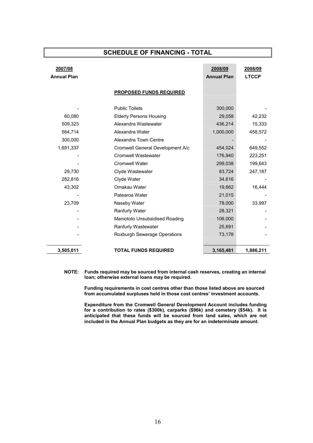### SCHEDULE OF FINANCING - TOTAL

| 2007/08<br><b>Annual Plan</b> |                                                                  | 2008/09<br><b>Annual Plan</b> | 2008/09<br><b>LTCCP</b> |
|-------------------------------|------------------------------------------------------------------|-------------------------------|-------------------------|
|                               | <b>PROPOSED FUNDS REQUIRED</b>                                   |                               |                         |
| 60,080                        | <b>Public Toilets</b><br><b>Elderly Persons Housing</b>          | 300,000<br>29,058             | 42,232                  |
| 509,323<br>564,714<br>300,000 | Alexandra Wastewater<br>Alexandra Water<br>Alexandra Town Centre | 436,214<br>1,000,000          | 15,333<br>458,572       |
| 1,691,337                     | Cromwell General Development A/c<br>Cromwell Wastewater          | 454,024<br>176,940            | 649,552<br>223,251      |
| 29,730                        | <b>Cromwell Water</b><br>Clyde Wastewater                        | 299,038<br>83,724             | 199,643<br>247,187      |
| 282,816<br>43,302             | Clyde Water<br>Omakau Water<br>Patearoa Water                    | 34,616<br>19,662<br>21,015    | 16,444                  |
| 23,709                        | Naseby Water<br>Ranfurly Water                                   | 78,000<br>28,321              | 33,997                  |
|                               | Maniototo Unsubsidised Roading<br>Ranfurly Wastewater            | 106,000<br>25,691             |                         |
| 3,505,011                     | Roxburgh Sewerage Operations<br><b>TOTAL FUNDS REQUIRED</b>      | 73,178<br>3,165,481           | 1,886,211               |

NOTE: Funds required may be sourced from internal cash reserves, creating an internal loan; otherwise external loans may be required.

> Funding requirements in cost centres other than those listed above are sourced from accumulated surpluses held in those cost centres' investment accounts.

Expenditure from the Cromwell General Development Account includes funding for a contribution to rates (\$300k), carparks (\$96k) and cemetery (\$54k). It is anticipated that these funds will be sourced from land sales, which are not included in the Annual Plan budgets as they are for an indeterminate amount.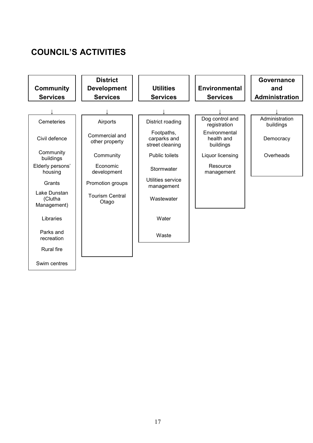### COUNCIL'S ACTIVITIES

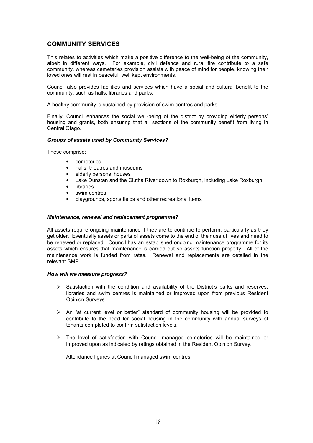### COMMUNITY SERVICES

This relates to activities which make a positive difference to the well-being of the community, albeit in different ways. For example, civil defence and rural fire contribute to a safe community, whereas cemeteries provision assists with peace of mind for people, knowing their loved ones will rest in peaceful, well kept environments.

Council also provides facilities and services which have a social and cultural benefit to the community, such as halls, libraries and parks.

A healthy community is sustained by provision of swim centres and parks.

Finally, Council enhances the social well-being of the district by providing elderly persons' housing and grants, both ensuring that all sections of the community benefit from living in Central Otago.

### Groups of assets used by Community Services?

These comprise:

- cemeteries
- halls, theatres and museums
- elderly persons' houses
- Lake Dunstan and the Clutha River down to Roxburgh, including Lake Roxburgh
- **libraries**
- swim centres
- playgrounds, sports fields and other recreational items

### Maintenance, renewal and replacement programme?

All assets require ongoing maintenance if they are to continue to perform, particularly as they get older. Eventually assets or parts of assets come to the end of their useful lives and need to be renewed or replaced. Council has an established ongoing maintenance programme for its assets which ensures that maintenance is carried out so assets function properly. All of the maintenance work is funded from rates. Renewal and replacements are detailed in the relevant SMP.

### How will we measure progress?

- $\triangleright$  Satisfaction with the condition and availability of the District's parks and reserves, libraries and swim centres is maintained or improved upon from previous Resident Opinion Surveys.
- $\triangleright$  An "at current level or better" standard of community housing will be provided to contribute to the need for social housing in the community with annual surveys of tenants completed to confirm satisfaction levels.
- $\triangleright$  The level of satisfaction with Council managed cemeteries will be maintained or improved upon as indicated by ratings obtained in the Resident Opinion Survey.

Attendance figures at Council managed swim centres.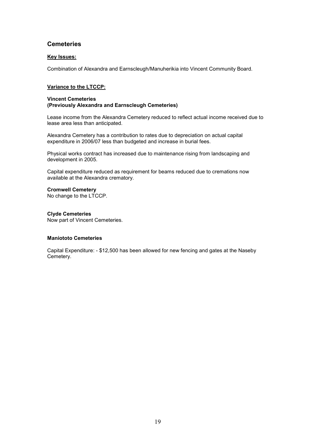### **Cemeteries**

### Key Issues:

Combination of Alexandra and Earnscleugh/Manuherikia into Vincent Community Board.

### Variance to the LTCCP:

#### Vincent Cemeteries (Previously Alexandra and Earnscleugh Cemeteries)

Lease income from the Alexandra Cemetery reduced to reflect actual income received due to lease area less than anticipated.

Alexandra Cemetery has a contribution to rates due to depreciation on actual capital expenditure in 2006/07 less than budgeted and increase in burial fees.

Physical works contract has increased due to maintenance rising from landscaping and development in 2005.

Capital expenditure reduced as requirement for beams reduced due to cremations now available at the Alexandra crematory.

### Cromwell Cemetery

No change to the LTCCP.

### Clyde Cemeteries

Now part of Vincent Cemeteries.

### Maniototo Cemeteries

Capital Expenditure: - \$12,500 has been allowed for new fencing and gates at the Naseby Cemetery.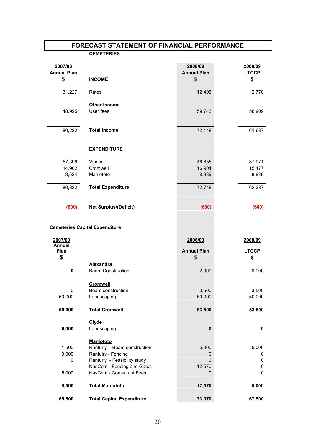### FORECAST STATEMENT OF FINANCIAL PERFORMANCE **CEMETERIES**

| <b>Annual Plan</b><br><b>Annual Plan</b><br><b>LTCCP</b><br>\$<br>\$<br>\$<br><b>INCOME</b><br>12,405<br>31,227<br>Rates<br>2,778<br><b>Other Income</b><br>48,995<br>User fees<br>59,743<br>58,909<br>72,148<br>80,222<br><b>Total Income</b><br>61,687<br><b>EXPENDITURE</b><br>57,396<br>Vincent<br>46,855<br>37,971<br>16,904<br>15,477<br>14,902<br>Cromwell<br>8,524<br>Maniototo<br>8,989<br>8,839<br><b>Total Expenditure</b><br>72,748<br>80,822<br>62,287<br>(600)<br><b>Net Surplus/(Deficit)</b><br>(600)<br>(600)<br><b>Cemeteries Capital Expenditure</b><br>2007/08<br>2008/09<br>2008/09<br><b>Annual</b><br>Plan<br><b>Annual Plan</b><br><b>LTCCP</b><br>\$<br>\$<br>\$<br>Alexandra<br>0<br><b>Beam Construction</b><br>2,000<br>9,000<br><b>Cromwell</b> |        |
|------------------------------------------------------------------------------------------------------------------------------------------------------------------------------------------------------------------------------------------------------------------------------------------------------------------------------------------------------------------------------------------------------------------------------------------------------------------------------------------------------------------------------------------------------------------------------------------------------------------------------------------------------------------------------------------------------------------------------------------------------------------------------|--------|
|                                                                                                                                                                                                                                                                                                                                                                                                                                                                                                                                                                                                                                                                                                                                                                              |        |
|                                                                                                                                                                                                                                                                                                                                                                                                                                                                                                                                                                                                                                                                                                                                                                              |        |
|                                                                                                                                                                                                                                                                                                                                                                                                                                                                                                                                                                                                                                                                                                                                                                              |        |
|                                                                                                                                                                                                                                                                                                                                                                                                                                                                                                                                                                                                                                                                                                                                                                              |        |
|                                                                                                                                                                                                                                                                                                                                                                                                                                                                                                                                                                                                                                                                                                                                                                              |        |
|                                                                                                                                                                                                                                                                                                                                                                                                                                                                                                                                                                                                                                                                                                                                                                              |        |
|                                                                                                                                                                                                                                                                                                                                                                                                                                                                                                                                                                                                                                                                                                                                                                              |        |
|                                                                                                                                                                                                                                                                                                                                                                                                                                                                                                                                                                                                                                                                                                                                                                              |        |
|                                                                                                                                                                                                                                                                                                                                                                                                                                                                                                                                                                                                                                                                                                                                                                              |        |
|                                                                                                                                                                                                                                                                                                                                                                                                                                                                                                                                                                                                                                                                                                                                                                              |        |
|                                                                                                                                                                                                                                                                                                                                                                                                                                                                                                                                                                                                                                                                                                                                                                              |        |
|                                                                                                                                                                                                                                                                                                                                                                                                                                                                                                                                                                                                                                                                                                                                                                              |        |
|                                                                                                                                                                                                                                                                                                                                                                                                                                                                                                                                                                                                                                                                                                                                                                              |        |
|                                                                                                                                                                                                                                                                                                                                                                                                                                                                                                                                                                                                                                                                                                                                                                              |        |
|                                                                                                                                                                                                                                                                                                                                                                                                                                                                                                                                                                                                                                                                                                                                                                              |        |
|                                                                                                                                                                                                                                                                                                                                                                                                                                                                                                                                                                                                                                                                                                                                                                              |        |
|                                                                                                                                                                                                                                                                                                                                                                                                                                                                                                                                                                                                                                                                                                                                                                              |        |
|                                                                                                                                                                                                                                                                                                                                                                                                                                                                                                                                                                                                                                                                                                                                                                              |        |
|                                                                                                                                                                                                                                                                                                                                                                                                                                                                                                                                                                                                                                                                                                                                                                              |        |
| Beam construction<br>3,500<br>3,500<br>50,000<br>Landscaping<br>50,000                                                                                                                                                                                                                                                                                                                                                                                                                                                                                                                                                                                                                                                                                                       |        |
|                                                                                                                                                                                                                                                                                                                                                                                                                                                                                                                                                                                                                                                                                                                                                                              | 0      |
| 50,000<br>53,500<br>53,500<br><b>Total Cromwell</b>                                                                                                                                                                                                                                                                                                                                                                                                                                                                                                                                                                                                                                                                                                                          | 50,000 |
| <b>Clyde</b>                                                                                                                                                                                                                                                                                                                                                                                                                                                                                                                                                                                                                                                                                                                                                                 |        |
| 6,000<br>Landscaping<br>$\pmb{0}$<br>0                                                                                                                                                                                                                                                                                                                                                                                                                                                                                                                                                                                                                                                                                                                                       |        |
| Maniototo                                                                                                                                                                                                                                                                                                                                                                                                                                                                                                                                                                                                                                                                                                                                                                    |        |
| Ranfurly - Beam construction<br>5,000<br>1,500<br>5,000                                                                                                                                                                                                                                                                                                                                                                                                                                                                                                                                                                                                                                                                                                                      |        |
| Ranfulry - Fencing<br>0<br>0                                                                                                                                                                                                                                                                                                                                                                                                                                                                                                                                                                                                                                                                                                                                                 |        |
| Ranfurly - Feasibility study<br>0<br>0<br>NasCem - Fencing and Gates<br>12,570<br>0                                                                                                                                                                                                                                                                                                                                                                                                                                                                                                                                                                                                                                                                                          | 3,000  |
| NasCem - Consultant Fees<br>$\pmb{0}$<br>5,000<br>0                                                                                                                                                                                                                                                                                                                                                                                                                                                                                                                                                                                                                                                                                                                          | 0      |
| <b>Total Maniototo</b><br>5,000<br>9,500<br>17,570                                                                                                                                                                                                                                                                                                                                                                                                                                                                                                                                                                                                                                                                                                                           |        |
| <b>Total Capital Expenditure</b><br>65,500<br>73,070<br>67,500                                                                                                                                                                                                                                                                                                                                                                                                                                                                                                                                                                                                                                                                                                               |        |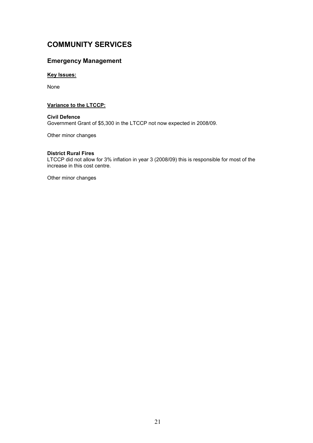### COMMUNITY SERVICES

### Emergency Management

### **Key Issues:**

None

### Variance to the LTCCP:

Civil Defence Government Grant of \$5,300 in the LTCCP not now expected in 2008/09.

Other minor changes

### District Rural Fires

LTCCP did not allow for 3% inflation in year 3 (2008/09) this is responsible for most of the increase in this cost centre.

Other minor changes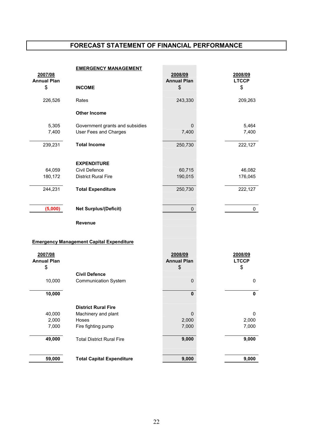### FORECAST STATEMENT OF FINANCIAL PERFORMANCE

| 2007/08            | <b>EMERGENCY MANAGEMENT</b>                     | 2008/09            | 2008/09      |
|--------------------|-------------------------------------------------|--------------------|--------------|
| <b>Annual Plan</b> |                                                 | <b>Annual Plan</b> | <b>LTCCP</b> |
| \$                 | <b>INCOME</b>                                   | \$                 | \$           |
|                    |                                                 |                    |              |
| 226,526            | Rates                                           | 243,330            | 209,263      |
|                    | <b>Other Income</b>                             |                    |              |
|                    |                                                 |                    |              |
| 5,305              | Government grants and subsidies                 | 0                  | 5,464        |
| 7,400              | User Fees and Charges                           | 7,400              | 7,400        |
| 239,231            | <b>Total Income</b>                             | 250,730            | 222,127      |
|                    |                                                 |                    |              |
|                    | <b>EXPENDITURE</b>                              |                    |              |
| 64,059             | Civil Defence                                   | 60,715             | 46,082       |
| 180,172            | <b>District Rural Fire</b>                      | 190,015            | 176,045      |
|                    |                                                 |                    |              |
| 244,231            | <b>Total Expenditure</b>                        | 250,730            | 222,127      |
|                    |                                                 |                    |              |
|                    |                                                 |                    |              |
| (5,000)            | <b>Net Surplus/(Deficit)</b>                    | 0                  | 0            |
|                    | <b>Revenue</b>                                  |                    |              |
|                    | <b>Emergency Management Capital Expenditure</b> |                    |              |
|                    |                                                 |                    |              |
| 2007/08            |                                                 | 2008/09            | 2008/09      |
| <b>Annual Plan</b> |                                                 | <b>Annual Plan</b> | <b>LTCCP</b> |
| \$                 |                                                 | \$                 | \$           |
|                    | <b>Civil Defence</b>                            |                    |              |
| 10,000             | <b>Communication System</b>                     | 0                  | 0            |
| 10,000             |                                                 | $\mathbf{0}$       | $\pmb{0}$    |
|                    |                                                 |                    |              |
|                    | <b>District Rural Fire</b>                      |                    |              |
| 40,000             | Machinery and plant                             | $\pmb{0}$          | 0            |
| 2,000              | Hoses                                           | 2,000              | 2,000        |
| 7,000              | Fire fighting pump                              | 7,000              | 7,000        |
|                    |                                                 |                    |              |
| 49,000             | <b>Total District Rural Fire</b>                | 9,000              | 9,000        |
|                    |                                                 |                    |              |
| 59,000             | <b>Total Capital Expenditure</b>                | 9,000              | 9,000        |
|                    |                                                 |                    |              |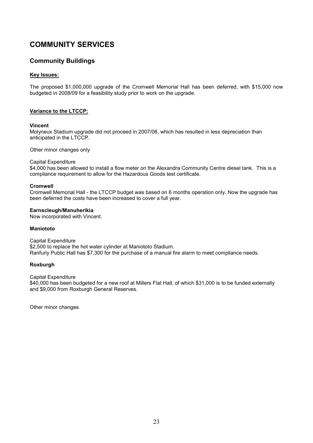### COMMUNITY SERVICES

### Community Buildings

### Key Issues:

The proposed \$1,000,000 upgrade of the Cromwell Memorial Hall has been deferred, with \$15,000 now budgeted in 2008/09 for a feasibility study prior to work on the upgrade.

### Variance to the LTCCP:

### Vincent

Molyneux Stadium upgrade did not proceed in 2007/08, which has resulted in less depreciation than anticipated in the LTCCP.

Other minor changes only

### Capital Expenditure

\$4,000 has been allowed to install a flow meter on the Alexandra Community Centre diesel tank. This is a compliance requirement to allow for the Hazardous Goods test certificate.

### Cromwell

Cromwell Memorial Hall - the LTCCP budget was based on 6 months operation only. Now the upgrade has been deferred the costs have been increased to cover a full year.

### Earnscleugh/Manuherikia

Now incorporated with Vincent.

### Maniototo

Capital Expenditure \$2,500 to replace the hot water cylinder at Maniototo Stadium. Ranfurly Public Hall has \$7,300 for the purchase of a manual fire alarm to meet compliance needs.

### Roxburgh

Capital Expenditure

\$40,000 has been budgeted for a new roof at Millers Flat Hall, of which \$31,000 is to be funded externally and \$9,000 from Roxburgh General Reserves.

Other minor changes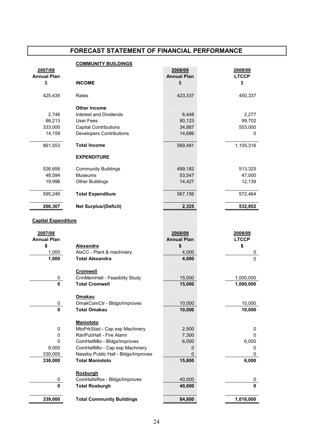### FORECAST STATEMENT OF FINANCIAL PERFORMANCE

|                            | <b>COMMUNITY BUILDINGS</b>          |                    |              |
|----------------------------|-------------------------------------|--------------------|--------------|
| 2007/08                    |                                     | 2008/09            | 2008/09      |
| <b>Annual Plan</b>         |                                     | <b>Annual Plan</b> | <b>LTCCP</b> |
| \$                         | <b>INCOME</b>                       | \$                 | \$           |
|                            |                                     |                    |              |
| 425,435                    | Rates                               | 423,337            | 450,337      |
|                            |                                     |                    |              |
|                            | <b>Other Income</b>                 |                    |              |
| 2,746                      | Interest and Dividends              | 6,448              | 2,277        |
| 86,213                     | User Fees                           | 90,123             | 99,702       |
| 333,000                    | <b>Capital Contributions</b>        | 34,887             | 553,000      |
| 14,159                     | <b>Developers Contributions</b>     | 14,686             | 0            |
|                            |                                     |                    |              |
| 861,553                    | <b>Total Income</b>                 | 569,481            | 1,105,316    |
|                            | <b>EXPENDITURE</b>                  |                    |              |
|                            |                                     |                    |              |
| 526,656                    | <b>Community Buildings</b>          | 499,182            | 513,325      |
| 48,594                     | <b>Museums</b>                      | 53,547             | 47,000       |
| 19,996                     | <b>Other Buildings</b>              | 14,427             | 12,139       |
|                            |                                     |                    |              |
| 595,246                    | <b>Total Expenditure</b>            | 567,156            | 572,464      |
| 266,307                    | <b>Net Surplus/(Deficit)</b>        | 2,325              | 532,852      |
|                            |                                     |                    |              |
|                            |                                     |                    |              |
| <b>Capital Expenditure</b> |                                     |                    |              |
| 2007/08                    |                                     | 2008/09            | 2008/09      |
| <b>Annual Plan</b>         |                                     | <b>Annual Plan</b> | <b>LTCCP</b> |
| \$                         | <b>Alexandra</b>                    | \$                 | \$           |
| 1,000                      | AlxCC - Plant & machinery           | 4,000              | 0            |
| 1,000                      | <b>Total Alexandra</b>              | 4,000              | $\Omega$     |
|                            |                                     |                    |              |
|                            | <b>Cromwell</b>                     |                    |              |
| 0                          | CrmMemHall - Feasiblity Study       | 15,000             | 1,000,000    |
| $\mathbf{0}$               | <b>Total Cromwell</b>               | 15,000             | 1,000,000    |
|                            |                                     |                    |              |
|                            | <b>Omakau</b>                       |                    |              |
| 0                          | OmakComCtr - Bldgs/Improves         | 10,000             | 10,000       |
| $\mathbf 0$                | <b>Total Omakau</b>                 | 10,000             | 10,000       |
|                            |                                     |                    |              |
|                            | <b>Maniototo</b>                    |                    |              |
| $\pmb{0}$                  | MtoPrkStad - Cap exp Machinery      | 2,500              | 0            |
| $\pmb{0}$                  | RanPubHall - Fire Alarm             | 7,300              | 0            |
| 0                          | ComHallMto - Bldgs/Improves         | 6,000              | 6,000        |
| 8,000                      | ComHallMto - Cap exp Machinery      | 0                  | 0            |
| 330,000                    | Naseby Public Hall - Bldgs/Improves | 0                  | 0            |
| 338,000                    | <b>Total Maniototo</b>              | 15,800             | 6,000        |
|                            |                                     |                    |              |
|                            | <b>Roxburgh</b>                     |                    |              |
| 0                          | ComHallsRox - Bldgs/Improves        | 40,000             | 0            |
| $\mathbf 0$                | <b>Total Roxburgh</b>               | 40,000             | $\mathbf 0$  |
|                            |                                     |                    |              |
| 339,000                    | <b>Total Community Buildings</b>    | 84,800             | 1,016,000    |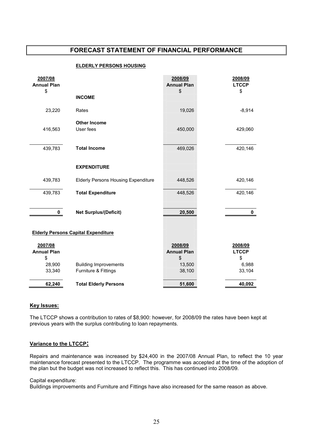### FORECAST STATEMENT OF FINANCIAL PERFORMANCE

#### ELDERLY PERSONS HOUSING

| 2007/08<br><b>Annual Plan</b> |                                            | 2008/09<br><b>Annual Plan</b> | 2008/09<br><b>LTCCP</b> |
|-------------------------------|--------------------------------------------|-------------------------------|-------------------------|
| \$                            | <b>INCOME</b>                              | \$                            | \$                      |
| 23,220                        | Rates                                      | 19,026                        | $-8,914$                |
| 416,563                       | <b>Other Income</b><br>User fees           | 450,000                       | 429,060                 |
| 439,783                       | <b>Total Income</b>                        | 469,026                       | 420,146                 |
|                               | <b>EXPENDITURE</b>                         |                               |                         |
| 439,783                       | <b>Elderly Persons Housing Expenditure</b> | 448,526                       | 420,146                 |
| 439,783                       | <b>Total Expenditure</b>                   | 448,526                       | 420,146                 |
| 0                             | <b>Net Surplus/(Deficit)</b>               | 20,500                        | 0                       |
|                               | <b>Elderly Persons Capital Expenditure</b> |                               |                         |
| 2007/08<br><b>Annual Plan</b> |                                            | 2008/09<br><b>Annual Plan</b> | 2008/09<br><b>LTCCP</b> |
| \$<br>28,900                  | <b>Building Improvements</b>               | \$<br>13,500                  | \$<br>6,988             |
| 33,340                        | Furniture & Fittings                       | 38,100                        | 33,104                  |
| 62,240                        | <b>Total Elderly Persons</b>               | 51,600                        | 40,092                  |

### Key Issues:

The LTCCP shows a contribution to rates of \$8,900: however, for 2008/09 the rates have been kept at previous years with the surplus contributing to loan repayments.

### Variance to the LTCCP:

Repairs and maintenance was increased by \$24,400 in the 2007/08 Annual Plan, to reflect the 10 year maintenance forecast presented to the LTCCP. The programme was accepted at the time of the adoption of the plan but the budget was not increased to reflect this. This has continued into 2008/09.

### Capital expenditure:

Buildings improvements and Furniture and Fittings have also increased for the same reason as above.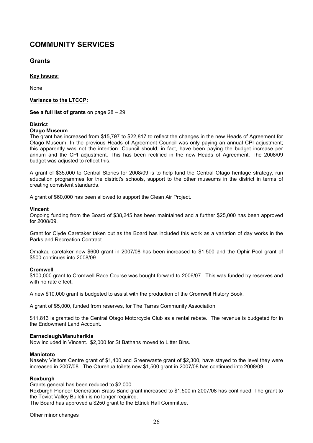### COMMUNITY SERVICES

### **Grants**

### Key Issues:

None

### Variance to the LTCCP:

See a full list of grants on page 28 – 29.

### **District**

### Otago Museum

The grant has increased from \$15,797 to \$22,817 to reflect the changes in the new Heads of Agreement for Otago Museum. In the previous Heads of Agreement Council was only paying an annual CPI adjustment; this apparently was not the intention. Council should, in fact, have been paying the budget increase per annum and the CPI adjustment. This has been rectified in the new Heads of Agreement. The 2008/09 budget was adjusted to reflect this.

A grant of \$35,000 to Central Stories for 2008/09 is to help fund the Central Otago heritage strategy, run education programmes for the district's schools, support to the other museums in the district in terms of creating consistent standards.

A grant of \$60,000 has been allowed to support the Clean Air Project.

### Vincent

Ongoing funding from the Board of \$38,245 has been maintained and a further \$25,000 has been approved for 2008/09.

Grant for Clyde Caretaker taken out as the Board has included this work as a variation of day works in the Parks and Recreation Contract.

Omakau caretaker new \$600 grant in 2007/08 has been increased to \$1,500 and the Ophir Pool grant of \$500 continues into 2008/09.

### Cromwell

\$100,000 grant to Cromwell Race Course was bought forward to 2006/07. This was funded by reserves and with no rate effect.

A new \$10,000 grant is budgeted to assist with the production of the Cromwell History Book.

A grant of \$5,000, funded from reserves, for The Tarras Community Association.

\$11,813 is granted to the Central Otago Motorcycle Club as a rental rebate. The revenue is budgeted for in the Endowment Land Account.

### Earnscleugh/Manuherikia

Now included in Vincent. \$2,000 for St Bathans moved to Litter Bins.

### **Maniototo**

Naseby Visitors Centre grant of \$1,400 and Greenwaste grant of \$2,300, have stayed to the level they were increased in 2007/08. The Oturehua toilets new \$1,500 grant in 2007/08 has continued into 2008/09.

### Roxburgh

Grants general has been reduced to \$2,000.

Roxburgh Pioneer Generation Brass Band grant increased to \$1,500 in 2007/08 has continued. The grant to the Teviot Valley Bulletin is no longer required.

The Board has approved a \$250 grant to the Ettrick Hall Committee.

Other minor changes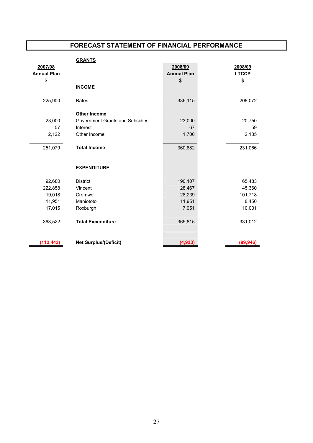### FORECAST STATEMENT OF FINANCIAL PERFORMANCE

### **GRANTS**

| 2007/08            |                                 | 2008/09            | 2008/09      |
|--------------------|---------------------------------|--------------------|--------------|
| <b>Annual Plan</b> |                                 | <b>Annual Plan</b> | <b>LTCCP</b> |
| \$                 |                                 | \$                 | \$           |
|                    | <b>INCOME</b>                   |                    |              |
| 225,900            | Rates                           | 336,115            | 208,072      |
|                    | <b>Other Income</b>             |                    |              |
| 23,000             | Government Grants and Subsidies | 23,000             | 20,750       |
| 57                 | Interest                        | 67                 | 59           |
| 2,122              | Other Income                    | 1,700              | 2,185        |
| 251,079            | <b>Total Income</b>             | 360,882            | 231,066      |
|                    | <b>EXPENDITURE</b>              |                    |              |
| 92,680             | <b>District</b>                 | 190,107            | 65,483       |
| 222,858            | Vincent                         | 128,467            | 145,360      |
| 19,018             | Cromwell                        | 28,239             | 101,718      |
| 11,951             | Maniototo                       | 11,951             | 8,450        |
| 17,015             | Roxburgh                        | 7,051              | 10,001       |
| 363,522            | <b>Total Expenditure</b>        | 365,815            | 331,012      |
| (112, 443)         | <b>Net Surplus/(Deficit)</b>    | (4, 933)           | (99, 946)    |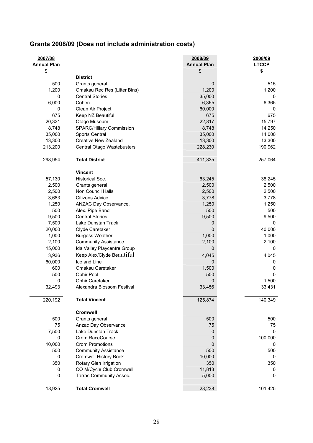|  |  | Grants 2008/09 (Does not include administration costs) |
|--|--|--------------------------------------------------------|
|--|--|--------------------------------------------------------|

| 2007/08<br><b>Annual Plan</b> |                                 | 2008/09<br><b>Annual Plan</b> | 2008/09<br><b>LTCCP</b> |
|-------------------------------|---------------------------------|-------------------------------|-------------------------|
| \$                            |                                 | \$                            | \$                      |
|                               | <b>District</b>                 |                               |                         |
| 500                           | Grants general                  | 0                             | 515                     |
| 1,200                         | Omakau Rec Res (Litter Bins)    | 1,200                         | 1,200                   |
| 0                             | <b>Central Stories</b>          | 35,000                        | 0                       |
| 6,000                         | Cohen                           | 6,365                         | 6,365                   |
| 0                             | Clean Air Project               | 60,000                        | 0                       |
| 675                           | Keep NZ Beautiful               | 675                           | 675                     |
| 20,331                        | Otago Museum                    | 22,817                        | 15,797                  |
| 8,748                         | <b>SPARC/Hillary Commission</b> | 8,748                         | 14,250                  |
| 35,000                        | Sports Central                  | 35,000                        | 14,000                  |
| 13,300                        | <b>Creative New Zealand</b>     | 13,300                        | 13,300                  |
| 213,200                       | Central Otago Wastebusters      | 228,230                       | 190,962                 |
| 298,954                       | <b>Total District</b>           | 411,335                       | 257,064                 |
|                               | <b>Vincent</b>                  |                               |                         |
| 57,130                        | Historical Soc.                 | 63,245                        | 38,245                  |
| 2,500                         | Grants general                  | 2,500                         | 2,500                   |
| 2,500                         | Non Council Halls               | 2,500                         | 2,500                   |
| 3,683                         | Citizens Advice.                | 3,778                         | 3,778                   |
| 1,250                         | ANZAC Day Observance.           | 1,250                         | 1,250                   |
| 500                           | Alex. Pipe Band                 | 500                           | 500                     |
| 9,500                         | <b>Central Stories</b>          | 9,500                         | 9,500                   |
| 7,500                         | Lake Dunstan Track              | 0                             | 0                       |
| 20,000                        | Clyde Caretaker                 | 0                             | 40,000                  |
| 1,000                         | <b>Burgess Weather</b>          | 1,000                         | 1,000                   |
| 2,100                         | <b>Community Assistance</b>     | 2,100                         | 2,100                   |
| 15,000                        | Ida Valley Playcentre Group     | 0                             | 0                       |
|                               | Keep Alex/Clyde Beautiful       |                               |                         |
| 3,936                         |                                 | 4,045                         | 4,045                   |
| 60,000                        | Ice and Line                    | 0                             | 0                       |
| 600                           | Omakau Caretaker                | 1,500                         | 0                       |
| 500                           | Ophir Pool                      | 500                           | 0                       |
| 0                             | Ophir Caretaker                 | 0                             | 1,500                   |
| 32,493                        | Alexandra Blossom Festival      | 33,456                        | 33,431                  |
| 220,192                       | <b>Total Vincent</b>            | 125,874                       | 140,349                 |
|                               | <b>Cromwell</b>                 |                               |                         |
| 500                           | Grants general                  | 500                           | 500                     |
| 75                            | Anzac Day Observance            | 75                            | 75                      |
| 7,500                         | Lake Dunstan Track              | 0                             | 0                       |
| 0                             | Crom RaceCourse                 | 0                             | 100,000                 |
| 10,000                        | <b>Crom Promotions</b>          | 0                             | 0                       |
| 500                           | <b>Community Assistance</b>     | 500                           | 500                     |
| 0                             | <b>Cromwell History Book</b>    | 10,000                        | 0                       |
| 350                           | Rotary Glen Irrigation          | 350                           | 350                     |
| $\pmb{0}$                     | CO M/Cycle Club Cromwell        | 11,813                        | 0                       |
| 0                             | Tarras Community Assoc.         | 5,000                         | 0                       |
| 18,925                        | <b>Total Cromwell</b>           | 28,238                        | 101,425                 |
|                               |                                 |                               |                         |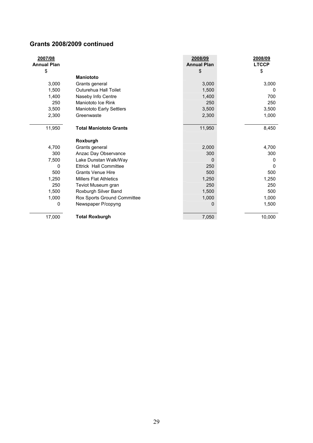### Grants 2008/2009 continued

| 2007/08<br><b>Annual Plan</b> |                                 | 2008/09<br><b>Annual Plan</b> | 2008/09<br><b>LTCCP</b> |
|-------------------------------|---------------------------------|-------------------------------|-------------------------|
| \$                            |                                 | \$                            | \$                      |
|                               | <b>Maniototo</b>                |                               |                         |
| 3,000                         | Grants general                  | 3,000                         | 3,000                   |
| 1.500                         | Outurehua Hall Toilet           | 1,500                         | 0                       |
| 1,400                         | Naseby Info Centre              | 1,400                         | 700                     |
| 250                           | Maniototo Ice Rink              | 250                           | 250                     |
| 3,500                         | <b>Maniototo Early Settlers</b> | 3,500                         | 3,500                   |
| 2,300                         | Greenwaste                      | 2,300                         | 1,000                   |
| 11,950                        | <b>Total Maniototo Grants</b>   | 11,950                        | 8,450                   |
|                               | Roxburgh                        |                               |                         |
| 4,700                         | Grants general                  | 2,000                         | 4,700                   |
| 300                           | Anzac Day Observance            | 300                           | 300                     |
| 7,500                         | Lake Dunstan Walk/Way           | $\Omega$                      | 0                       |
| 0                             | <b>Ettrick Hall Committee</b>   | 250                           | 0                       |
| 500                           | <b>Grants Venue Hire</b>        | 500                           | 500                     |
| 1,250                         | <b>Millers Flat Athletics</b>   | 1,250                         | 1,250                   |
| 250                           | Teviot Museum gran              | 250                           | 250                     |
| 1,500                         | Roxburgh Silver Band            | 1,500                         | 500                     |
| 1,000                         | Rox Sports Ground Committee     | 1,000                         | 1,000                   |
| $\Omega$                      | Newspaper P/copyng              | 0                             | 1,500                   |
| 17,000                        | <b>Total Roxburgh</b>           | 7,050                         | 10,000                  |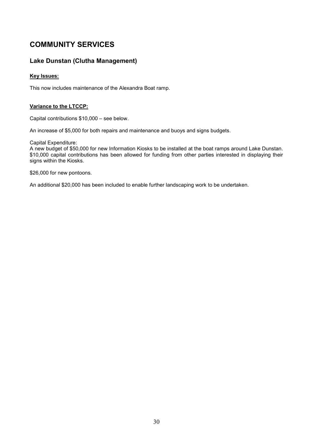### COMMUNITY SERVICES

### Lake Dunstan (Clutha Management)

### Key Issues:

This now includes maintenance of the Alexandra Boat ramp.

### Variance to the LTCCP:

Capital contributions \$10,000 – see below.

An increase of \$5,000 for both repairs and maintenance and buoys and signs budgets.

Capital Expenditure:

A new budget of \$50,000 for new Information Kiosks to be installed at the boat ramps around Lake Dunstan. \$10,000 capital contributions has been allowed for funding from other parties interested in displaying their signs within the Kiosks.

\$26,000 for new pontoons.

An additional \$20,000 has been included to enable further landscaping work to be undertaken.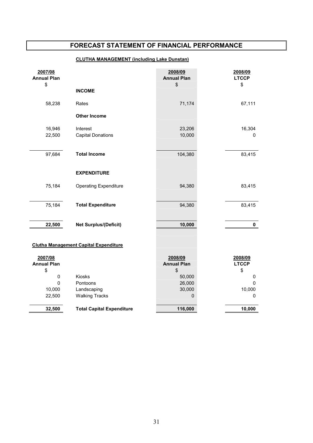### FORECAST STATEMENT OF FINANCIAL PERFORMANCE

### CLUTHA MANAGEMENT (including Lake Dunstan)

| 2007/08<br><b>Annual Plan</b>                |                                      | 2008/09<br><b>Annual Plan</b> | 2008/09<br><b>LTCCP</b> |
|----------------------------------------------|--------------------------------------|-------------------------------|-------------------------|
| \$                                           | <b>INCOME</b>                        | \$                            | \$                      |
| 58,238                                       | Rates                                | 71,174                        | 67,111                  |
|                                              | <b>Other Income</b>                  |                               |                         |
| 16,946<br>22,500                             | Interest<br><b>Capital Donations</b> | 23,206<br>10,000              | 16,304<br>0             |
| 97,684                                       | <b>Total Income</b>                  | 104,380                       | 83,415                  |
|                                              | <b>EXPENDITURE</b>                   |                               |                         |
| 75,184                                       | <b>Operating Expenditure</b>         | 94,380                        | 83,415                  |
| 75,184                                       | <b>Total Expenditure</b>             | 94,380                        | 83,415                  |
| 22,500                                       | <b>Net Surplus/(Deficit)</b>         | 10,000                        | $\mathbf 0$             |
| <b>Clutha Management Capital Expenditure</b> |                                      |                               |                         |
| 2007/08<br><b>Annual Plan</b>                |                                      | 2008/09<br><b>Annual Plan</b> | 2008/09<br><b>LTCCP</b> |
| \$<br>0                                      | Kiosks                               | \$<br>50,000                  | \$<br>0                 |
| $\mathbf 0$                                  | Pontoons                             | 26,000                        | 0                       |
| 10,000                                       | Landscaping                          | 30,000                        | 10,000                  |
| 22,500                                       | <b>Walking Tracks</b>                | 0                             | 0                       |
| 32,500                                       | <b>Total Capital Expenditure</b>     | 116,000                       | 10,000                  |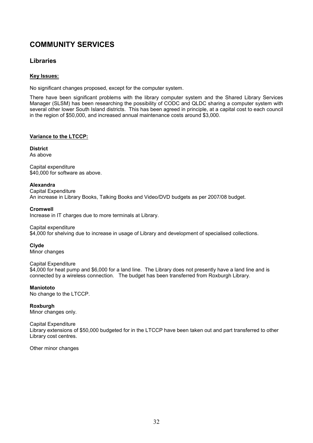### COMMUNITY SERVICES

### Libraries

### Key Issues:

No significant changes proposed, except for the computer system.

There have been significant problems with the library computer system and the Shared Library Services Manager (SLSM) has been researching the possibility of CODC and QLDC sharing a computer system with several other lower South Island districts. This has been agreed in principle, at a capital cost to each council in the region of \$50,000, and increased annual maintenance costs around \$3,000.

### Variance to the LTCCP:

### **District**

As above

Capital expenditure \$40,000 for software as above.

### Alexandra

Capital Expenditure An increase in Library Books, Talking Books and Video/DVD budgets as per 2007/08 budget.

### Cromwell

Increase in IT charges due to more terminals at Library.

Capital expenditure \$4,000 for shelving due to increase in usage of Library and development of specialised collections.

### Clyde

Minor changes

Capital Expenditure \$4,000 for heat pump and \$6,000 for a land line. The Library does not presently have a land line and is connected by a wireless connection. The budget has been transferred from Roxburgh Library.

### **Maniototo**

No change to the LTCCP.

### Roxburgh

Minor changes only.

### Capital Expenditure Library extensions of \$50,000 budgeted for in the LTCCP have been taken out and part transferred to other Library cost centres.

Other minor changes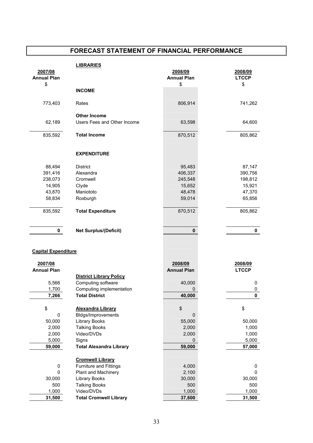### FORECAST STATEMENT OF FINANCIAL PERFORMANCE

|                            | <b>LIBRARIES</b>               |                    |              |
|----------------------------|--------------------------------|--------------------|--------------|
| 2007/08                    |                                | 2008/09            | 2008/09      |
| <b>Annual Plan</b>         |                                | <b>Annual Plan</b> | <b>LTCCP</b> |
| \$                         |                                | \$                 | \$           |
|                            | <b>INCOME</b>                  |                    |              |
|                            |                                |                    |              |
| 773,403                    | Rates                          | 806,914            | 741,262      |
|                            |                                |                    |              |
|                            | <b>Other Income</b>            |                    |              |
| 62,189                     | Users Fees and Other Income    | 63,598             | 64,600       |
|                            |                                |                    |              |
| 835,592                    | <b>Total Income</b>            | 870,512            | 805,862      |
|                            |                                |                    |              |
|                            |                                |                    |              |
|                            | <b>EXPENDITURE</b>             |                    |              |
|                            |                                |                    |              |
| 88,494                     | <b>District</b>                | 95,483             | 87,147       |
| 391,416                    | Alexandra                      | 406,337            | 390,756      |
| 238,073                    | Cromwell                       | 245,548            | 198,812      |
| 14,905                     | Clyde                          | 15,652             | 15,921       |
| 43,870                     | Maniototo                      | 48,478             | 47,370       |
| 58,834                     | Roxburgh                       | 59,014             | 65,856       |
|                            |                                |                    |              |
| 835,592                    | <b>Total Expenditure</b>       | 870,512            | 805,862      |
|                            |                                |                    |              |
|                            |                                |                    |              |
| 0                          | <b>Net Surplus/(Deficit)</b>   | 0                  | 0            |
|                            |                                |                    |              |
|                            |                                |                    |              |
| <b>Capital Expenditure</b> |                                |                    |              |
|                            |                                |                    |              |
| 2007/08                    |                                | 2008/09            | 2008/09      |
| <b>Annual Plan</b>         |                                | <b>Annual Plan</b> | <b>LTCCP</b> |
|                            | <b>District Library Policy</b> |                    |              |
| 5,566                      | Computing software             | 40,000             | 0            |
| 1,700                      | Computing implementation       | 0                  | 0            |
| 7,266                      | <b>Total District</b>          | 40,000             | $\mathbf{0}$ |
|                            |                                |                    |              |
| \$                         | <b>Alexandra Library</b>       | \$                 | \$           |
| 0                          | Bldgs/Improvements             | 0                  |              |
| 50,000                     | <b>Library Books</b>           | 55,000             | 50,000       |
| 2,000                      | <b>Talking Books</b>           | 2,000              | 1,000        |
| 2,000                      | Video/DVDs                     | 2,000              | 1,000        |
| 5,000                      | Signs                          |                    | 5,000        |
|                            | <b>Total Alexandra Library</b> | 0                  |              |
| 59,000                     |                                | 59,000             | 57,000       |
|                            |                                |                    |              |
|                            | <b>Cromwell Library</b>        |                    |              |
| 0                          | <b>Furniture and Fittings</b>  | 4,000              | 0            |
| 0                          | Plant and Machinery            | 2,100              | 0            |
| 30,000                     | <b>Library Books</b>           | 30,000             | 30,000       |
| 500                        | <b>Talking Books</b>           | 500                | 500          |
| 1,000                      | Video/DVDs                     | 1,000              | 1,000        |
| 31,500                     | <b>Total Cromwell Library</b>  | 37,600             | 31,500       |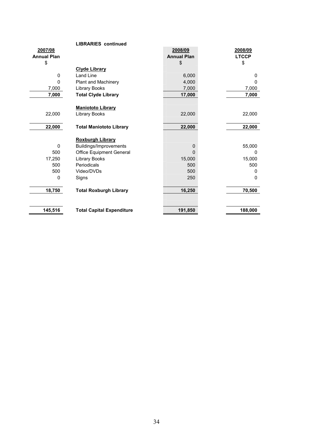|                    | <b>LIBRARIES</b> continued       |                    |              |
|--------------------|----------------------------------|--------------------|--------------|
| 2007/08            |                                  | 2008/09            | 2008/09      |
| <b>Annual Plan</b> |                                  | <b>Annual Plan</b> | <b>LTCCP</b> |
| \$                 |                                  | \$                 | \$           |
|                    | <b>Clyde Library</b>             |                    |              |
| 0                  | Land Line                        | 6,000              | 0            |
| $\Omega$           | Plant and Machinery              | 4,000              | $\Omega$     |
| 7,000              | Library Books                    | 7,000              | 7,000        |
| 7,000              | <b>Total Clyde Library</b>       | 17,000             | 7,000        |
|                    |                                  |                    |              |
|                    | <b>Maniototo Library</b>         |                    |              |
| 22,000             | Library Books                    | 22,000             | 22,000       |
|                    |                                  |                    |              |
| 22,000             | <b>Total Maniototo Library</b>   | 22,000             | 22,000       |
|                    |                                  |                    |              |
|                    | <b>Roxburgh Library</b>          |                    |              |
| $\Omega$           | Buildings/Improvements           | 0                  | 55,000       |
| 500                | <b>Office Equipment General</b>  | 0                  | 0            |
| 17,250             | <b>Library Books</b>             | 15,000             | 15,000       |
| 500                | Periodicals                      | 500                | 500          |
| 500                | Video/DVDs                       | 500                | 0            |
| $\Omega$           | Signs                            | 250                | $\Omega$     |
|                    |                                  |                    |              |
| 18,750             | <b>Total Roxburgh Library</b>    | 16,250             | 70,500       |
|                    |                                  |                    |              |
|                    |                                  |                    |              |
| 145,516            | <b>Total Capital Expenditure</b> | 191,850            | 188,000      |
|                    |                                  |                    |              |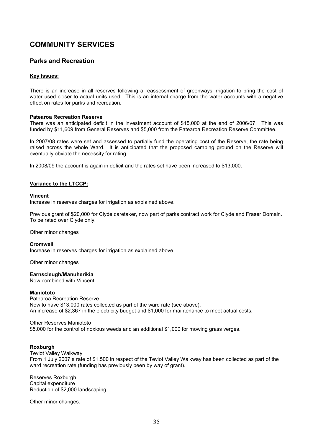# COMMUNITY SERVICES

# Parks and Recreation

## Key Issues:

There is an increase in all reserves following a reassessment of greenways irrigation to bring the cost of water used closer to actual units used. This is an internal charge from the water accounts with a negative effect on rates for parks and recreation.

### Patearoa Recreation Reserve

There was an anticipated deficit in the investment account of \$15,000 at the end of 2006/07. This was funded by \$11,609 from General Reserves and \$5,000 from the Patearoa Recreation Reserve Committee.

In 2007/08 rates were set and assessed to partially fund the operating cost of the Reserve, the rate being raised across the whole Ward. It is anticipated that the proposed camping ground on the Reserve will eventually obviate the necessity for rating.

In 2008/09 the account is again in deficit and the rates set have been increased to \$13,000.

### Variance to the LTCCP:

### Vincent

Increase in reserves charges for irrigation as explained above.

Previous grant of \$20,000 for Clyde caretaker, now part of parks contract work for Clyde and Fraser Domain. To be rated over Clyde only.

Other minor changes

### Cromwell

Increase in reserves charges for irrigation as explained above.

Other minor changes

### Earnscleugh/Manuherikia

Now combined with Vincent

### **Maniototo**

Patearoa Recreation Reserve Now to have \$13,000 rates collected as part of the ward rate (see above). An increase of \$2,367 in the electricity budget and \$1,000 for maintenance to meet actual costs.

### Other Reserves Maniototo

\$5,000 for the control of noxious weeds and an additional \$1,000 for mowing grass verges.

### Roxburgh

Teviot Valley Walkway

From 1 July 2007 a rate of \$1,500 in respect of the Teviot Valley Walkway has been collected as part of the ward recreation rate (funding has previously been by way of grant).

Reserves Roxburgh Capital expenditure Reduction of \$2,000 landscaping.

Other minor changes.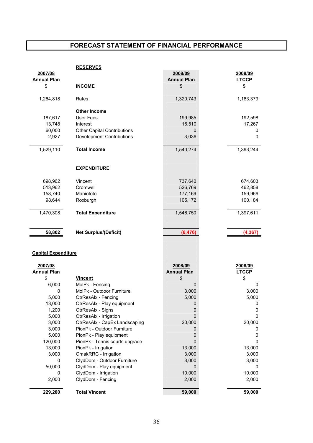|                            | <b>RESERVES</b>                    |                    |              |
|----------------------------|------------------------------------|--------------------|--------------|
| 2007/08                    |                                    | 2008/09            | 2008/09      |
| <b>Annual Plan</b>         |                                    | <b>Annual Plan</b> | <b>LTCCP</b> |
| \$                         | <b>INCOME</b>                      | \$                 | \$           |
| 1,264,818                  | Rates                              | 1,320,743          | 1,183,379    |
|                            | <b>Other Income</b>                |                    |              |
| 187,617                    | <b>User Fees</b>                   | 199,985            | 192,598      |
| 13,748                     | Interest                           | 16,510             | 17,267       |
| 60,000                     | <b>Other Capital Contributions</b> | $\mathbf{0}$       | 0            |
| 2,927                      | <b>Development Contributions</b>   | 3,036              | $\mathbf{0}$ |
| 1,529,110                  | <b>Total Income</b>                | 1,540,274          | 1,393,244    |
|                            |                                    |                    |              |
|                            |                                    |                    |              |
|                            | <b>EXPENDITURE</b>                 |                    |              |
| 698,962                    | Vincent                            | 737,640            | 674,603      |
| 513,962                    | Cromwell                           | 526,769            | 462,858      |
| 158,740                    | Maniototo                          | 177,169            | 159,966      |
| 98,644                     | Roxburgh                           | 105,172            | 100,184      |
| 1,470,308                  | <b>Total Expenditure</b>           | 1,546,750          | 1,397,611    |
|                            |                                    |                    |              |
| 58,802                     | <b>Net Surplus/(Deficit)</b>       | (6, 476)           | (4, 367)     |
|                            |                                    |                    |              |
|                            |                                    |                    |              |
| <b>Capital Expenditure</b> |                                    |                    |              |
| 2007/08                    |                                    | 2008/09            | 2008/09      |
| <b>Annual Plan</b>         |                                    | <b>Annual Plan</b> | <b>LTCCP</b> |
| \$                         | <b>Vincent</b>                     | \$                 | \$           |

| <b>Annual Plan</b> |                                | <b>Annual Plan</b> | <b>LTCCP</b> |
|--------------------|--------------------------------|--------------------|--------------|
| \$                 | Vincent                        | S                  | S            |
| 6,000              | MolPk - Fencing                | O                  | Ω            |
| 0                  | MolPk - Outdoor Furniture      | 3,000              | 3,000        |
| 5,000              | OtrResAlx - Fencing            | 5,000              | 5,000        |
| 13,000             | OtrResAlx - Play equipment     |                    |              |
| 1,200              | OtrResAlx - Signs              |                    |              |
| 5,000              | OtrResAlx - Irrigation         |                    |              |
| 3,000              | OtrResAlx - CapEx Landscaping  | 20,000             | 20,000       |
| 3,000              | PionPk - Outdoor Furniture     |                    |              |
| 5,000              | PionPk - Play equipment        |                    |              |
| 120,000            | PionPk - Tennis courts upgrade |                    |              |
| 13,000             | PionPk - Irrigation            | 13,000             | 13,000       |
| 3,000              | OmakRRC - Irrigation           | 3,000              | 3,000        |
| 0                  | ClydDom - Outdoor Furniture    | 3,000              | 3,000        |
| 50,000             | ClydDom - Play equipment       | Ω                  |              |
| 0                  | ClydDom - Irrigation           | 10,000             | 10,000       |
| 2,000              | ClydDom - Fencing              | 2,000              | 2,000        |
| 229,200            | <b>Total Vincent</b>           | 59,000             | 59,000       |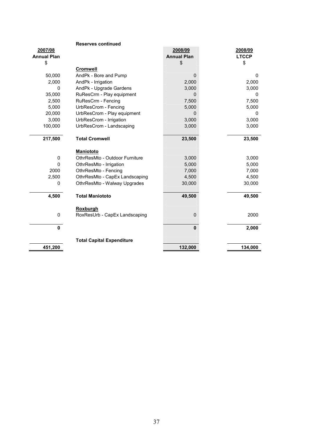|                    | <b>Reserves continued</b>        |                    |              |
|--------------------|----------------------------------|--------------------|--------------|
| 2007/08            |                                  | 2008/09            | 2008/09      |
| <b>Annual Plan</b> |                                  | <b>Annual Plan</b> | <b>LTCCP</b> |
| \$                 |                                  | \$                 | \$           |
|                    | <b>Cromwell</b>                  |                    |              |
| 50,000             | AndPk - Bore and Pump            | $\Omega$           | $\mathbf{0}$ |
| 2,000              | AndPk - Irrigation               | 2,000              | 2,000        |
| 0                  | AndPk - Upgrade Gardens          | 3,000              | 3,000        |
| 35,000             | RuResCrm - Play equipment        | $\mathbf 0$        | 0            |
| 2,500              | RuResCrm - Fencing               | 7,500              | 7,500        |
| 5,000              | UrbResCrom - Fencing             | 5,000              | 5,000        |
| 20,000             | UrbResCrom - Play equipment      | 0                  | 0            |
| 3,000              | UrbResCrom - Irrigation          | 3,000              | 3,000        |
| 100,000            | UrbResCrom - Landscaping         | 3,000              | 3,000        |
|                    |                                  |                    |              |
| 217,500            | <b>Total Cromwell</b>            | 23,500             | 23,500       |
|                    |                                  |                    |              |
|                    | <b>Maniototo</b>                 |                    |              |
| 0                  | OthrResMto - Outdoor Furniture   | 3,000              | 3,000        |
| $\mathbf{0}$       | OthrResMto - Irrigation          | 5,000              | 5,000        |
| 2000               | OthrResMto - Fencing             | 7,000              | 7,000        |
| 2,500              | OthrResMto - CapEx Landscaping   | 4,500              | 4,500        |
| 0                  | OthrResMto - Walway Upgrades     | 30,000             | 30,000       |
|                    |                                  |                    |              |
| 4,500              | <b>Total Maniototo</b>           | 49,500             | 49,500       |
|                    |                                  |                    |              |
|                    | <b>Roxburgh</b>                  |                    |              |
| 0                  | RoxResUrb - CapEx Landscaping    | $\mathbf 0$        | 2000         |
|                    |                                  |                    |              |
| $\mathbf{0}$       |                                  | $\mathbf{0}$       | 2,000        |
|                    |                                  |                    |              |
|                    | <b>Total Capital Expenditure</b> |                    |              |
| 451,200            |                                  | 132,000            | 134,000      |
|                    |                                  |                    |              |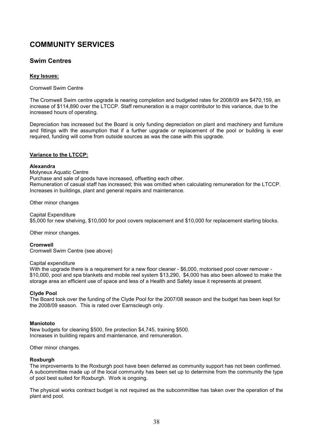# COMMUNITY SERVICES

# Swim Centres

## Key Issues:

Cromwell Swim Centre

The Cromwell Swim centre upgrade is nearing completion and budgeted rates for 2008/09 are \$470,159, an increase of \$114,890 over the LTCCP. Staff remuneration is a major contributor to this variance, due to the increased hours of operating.

Depreciation has increased but the Board is only funding depreciation on plant and machinery and furniture and fittings with the assumption that if a further upgrade or replacement of the pool or building is ever required, funding will come from outside sources as was the case with this upgrade.

### Variance to the LTCCP:

### Alexandra

Molyneux Aquatic Centre Purchase and sale of goods have increased, offsetting each other. Remuneration of casual staff has increased; this was omitted when calculating remuneration for the LTCCP. Increases in buildings, plant and general repairs and maintenance.

Other minor changes

Capital Expenditure \$5,000 for new shelving, \$10,000 for pool covers replacement and \$10,000 for replacement starting blocks.

Other minor changes.

Cromwell Cromwell Swim Centre (see above)

## Capital expenditure

With the upgrade there is a requirement for a new floor cleaner - \$6,000, motorised pool cover remover -\$10,000, pool and spa blankets and mobile reel system \$13,290, \$4,000 has also been allowed to make the storage area an efficient use of space and less of a Health and Safety issue it represents at present.

## Clyde Pool

The Board took over the funding of the Clyde Pool for the 2007/08 season and the budget has been kept for the 2008/09 season. This is rated over Earnscleugh only.

### **Maniototo**

New budgets for cleaning \$500, fire protection \$4,745, training \$500. Increases in building repairs and maintenance, and remuneration.

Other minor changes.

## Roxburgh

The improvements to the Roxburgh pool have been deferred as community support has not been confirmed. A subcommittee made up of the local community has been set up to determine from the community the type of pool best suited for Roxburgh. Work is ongoing.

The physical works contract budget is not required as the subcommittee has taken over the operation of the plant and pool.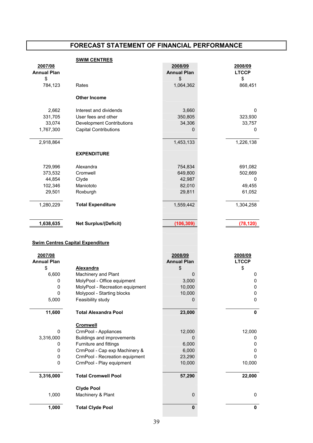### **SWIM CENTRES**

| 2007/08<br><b>Annual Plan</b> |                                                            | 2008/09<br><b>Annual Plan</b> | 2008/09<br><b>LTCCP</b> |
|-------------------------------|------------------------------------------------------------|-------------------------------|-------------------------|
| \$                            |                                                            | \$                            | \$                      |
| 784,123                       | Rates                                                      | 1,064,362                     | 868,451                 |
|                               |                                                            |                               |                         |
|                               | <b>Other Income</b>                                        |                               |                         |
| 2,662                         | Interest and dividends                                     | 3,660                         | 0                       |
| 331,705                       | User fees and other                                        | 350,805                       | 323,930                 |
| 33,074                        | <b>Development Contributions</b>                           | 34,306                        | 33,757                  |
| 1,767,300                     | <b>Capital Contributions</b>                               | 0                             | 0                       |
| 2,918,864                     |                                                            | 1,453,133                     | 1,226,138               |
|                               | <b>EXPENDITURE</b>                                         |                               |                         |
| 729,996                       | Alexandra                                                  | 754,834                       | 691,082                 |
| 373,532                       | Cromwell                                                   | 649,800                       | 502,669                 |
| 44,854                        | Clyde                                                      | 42,987                        | 0                       |
| 102,346                       | Maniototo                                                  | 82,010                        | 49,455                  |
| 29,501                        | Roxburgh                                                   | 29,811                        | 61,052                  |
|                               |                                                            |                               |                         |
| 1,280,229                     | <b>Total Expenditure</b>                                   | 1,559,442                     | 1,304,258               |
|                               |                                                            |                               |                         |
| 1,638,635                     | <b>Net Surplus/(Deficit)</b>                               | (106, 309)                    | (78, 120)               |
|                               |                                                            |                               |                         |
|                               |                                                            |                               |                         |
|                               | <b>Swim Centres Capital Expenditure</b>                    |                               |                         |
|                               |                                                            |                               |                         |
| 2007/08                       |                                                            | 2008/09                       | 2008/09                 |
| <b>Annual Plan</b>            |                                                            | <b>Annual Plan</b>            | <b>LTCCP</b>            |
| \$                            | <b>Alexandra</b>                                           | \$                            | \$                      |
| 6,600                         | Machinery and Plant                                        | $\mathbf 0$                   | 0                       |
| 0                             | MolyPool - Office equipment                                | 3,000                         | $\pmb{0}$               |
| 0                             | MolyPool - Recreation equipment                            | 10,000                        | 0                       |
| 0                             | Molypool - Starting blocks                                 | 10,000                        | $\pmb{0}$               |
| 5,000                         | Feasibility study                                          | O                             | 0                       |
| 11,600                        | <b>Total Alexandra Pool</b>                                | 23,000                        | $\mathbf 0$             |
|                               |                                                            |                               |                         |
| 0                             | <b>Cromwell</b>                                            |                               |                         |
|                               | CrmPool - Appliances                                       | 12,000<br>0                   | 12,000                  |
| 3,316,000<br>0                | Buildings and improvements                                 |                               | 0<br>0                  |
| 0                             | Furniture and fittings                                     | 6,000                         | 0                       |
| 0                             | CrmPool - Cap exp Machinery &                              | 6,000<br>23,290               | 0                       |
| 0                             | CrmPool - Recreation equipment<br>CrmPool - Play equipment | 10,000                        | 10,000                  |
| 3,316,000                     | <b>Total Cromwell Pool</b>                                 | 57,290                        | 22,000                  |
|                               |                                                            |                               |                         |
|                               | <b>Clyde Pool</b>                                          |                               |                         |
| 1,000                         | Machinery & Plant                                          | $\mathbf 0$                   | 0                       |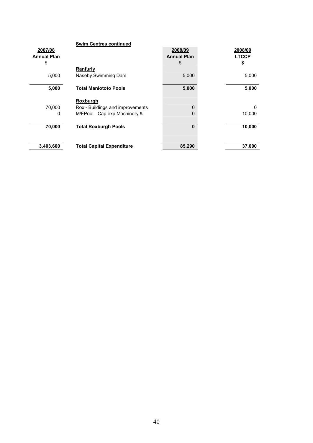|                    | <b>Swim Centres continued</b>    |                    |              |
|--------------------|----------------------------------|--------------------|--------------|
| 2007/08            |                                  | 2008/09            | 2008/09      |
| <b>Annual Plan</b> |                                  | <b>Annual Plan</b> | <b>LTCCP</b> |
| \$                 |                                  | \$                 | \$           |
|                    | <b>Ranfurly</b>                  |                    |              |
| 5,000              | Naseby Swimming Dam              | 5,000              | 5,000        |
|                    |                                  |                    |              |
| 5,000              | <b>Total Maniototo Pools</b>     | 5,000              | 5,000        |
|                    |                                  |                    |              |
|                    | <b>Roxburgh</b>                  |                    |              |
| 70,000             | Rox - Buildings and improvements | 0                  | 0            |
| 0                  | M/FPool - Cap exp Machinery &    | 0                  | 10,000       |
|                    |                                  |                    |              |
| 70,000             | <b>Total Roxburgh Pools</b>      | $\bf{0}$           | 10,000       |
|                    |                                  |                    |              |
|                    |                                  |                    |              |
| 3,403,600          | <b>Total Capital Expenditure</b> | 85,290             | 37,000       |
|                    |                                  |                    |              |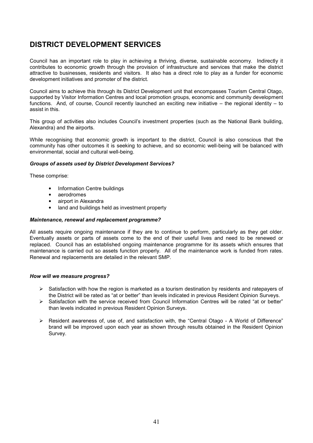# DISTRICT DEVELOPMENT SERVICES

Council has an important role to play in achieving a thriving, diverse, sustainable economy. Indirectly it contributes to economic growth through the provision of infrastructure and services that make the district attractive to businesses, residents and visitors. It also has a direct role to play as a funder for economic development initiatives and promoter of the district.

Council aims to achieve this through its District Development unit that encompasses Tourism Central Otago, supported by Visitor Information Centres and local promotion groups, economic and community development functions. And, of course, Council recently launched an exciting new initiative – the regional identity – to assist in this.

This group of activities also includes Council's investment properties (such as the National Bank building, Alexandra) and the airports.

While recognising that economic growth is important to the district, Council is also conscious that the community has other outcomes it is seeking to achieve, and so economic well-being will be balanced with environmental, social and cultural well-being.

### Groups of assets used by District Development Services?

These comprise:

- Information Centre buildings
- aerodromes
- airport in Alexandra
- land and buildings held as investment property

### Maintenance, renewal and replacement programme?

All assets require ongoing maintenance if they are to continue to perform, particularly as they get older. Eventually assets or parts of assets come to the end of their useful lives and need to be renewed or replaced. Council has an established ongoing maintenance programme for its assets which ensures that maintenance is carried out so assets function properly. All of the maintenance work is funded from rates. Renewal and replacements are detailed in the relevant SMP.

## How will we measure progress?

- $\triangleright$  Satisfaction with how the region is marketed as a tourism destination by residents and ratepayers of the District will be rated as "at or better" than levels indicated in previous Resident Opinion Surveys.
- $\triangleright$  Satisfaction with the service received from Council Information Centres will be rated "at or better" than levels indicated in previous Resident Opinion Surveys.
- $\triangleright$  Resident awareness of, use of, and satisfaction with, the "Central Otago A World of Difference" brand will be improved upon each year as shown through results obtained in the Resident Opinion Survey.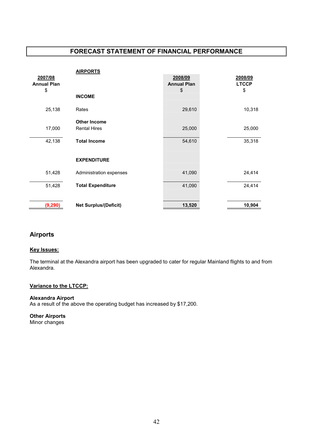|                    | <b>AIRPORTS</b>              |                    |              |
|--------------------|------------------------------|--------------------|--------------|
| 2007/08            |                              | 2008/09            | 2008/09      |
| <b>Annual Plan</b> |                              | <b>Annual Plan</b> | <b>LTCCP</b> |
| \$                 |                              | \$                 | \$           |
|                    | <b>INCOME</b>                |                    |              |
| 25,138             | Rates                        | 29,610             | 10,318       |
|                    | <b>Other Income</b>          |                    |              |
| 17,000             | <b>Rental Hires</b>          | 25,000             | 25,000       |
|                    |                              |                    |              |
| 42,138             | <b>Total Income</b>          | 54,610             | 35,318       |
|                    |                              |                    |              |
|                    | <b>EXPENDITURE</b>           |                    |              |
| 51,428             | Administration expenses      | 41,090             | 24,414       |
|                    |                              |                    |              |
| 51,428             | <b>Total Expenditure</b>     | 41,090             | 24,414       |
|                    |                              |                    |              |
| (9, 290)           | <b>Net Surplus/(Deficit)</b> | 13,520             | 10,904       |

# Airports

## Key Issues:

The terminal at the Alexandra airport has been upgraded to cater for regular Mainland flights to and from Alexandra.

# Variance to the LTCCP:

## Alexandra Airport

As a result of the above the operating budget has increased by \$17,200.

Other Airports Minor changes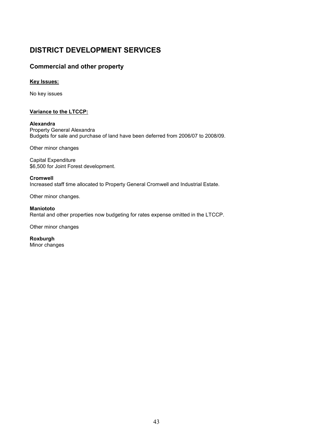# DISTRICT DEVELOPMENT SERVICES

# Commercial and other property

# Key Issues:

No key issues

# Variance to the LTCCP:

## Alexandra

Property General Alexandra Budgets for sale and purchase of land have been deferred from 2006/07 to 2008/09.

Other minor changes

Capital Expenditure \$6,500 for Joint Forest development.

### Cromwell

Increased staff time allocated to Property General Cromwell and Industrial Estate.

Other minor changes.

Maniototo Rental and other properties now budgeting for rates expense omitted in the LTCCP.

Other minor changes

Roxburgh Minor changes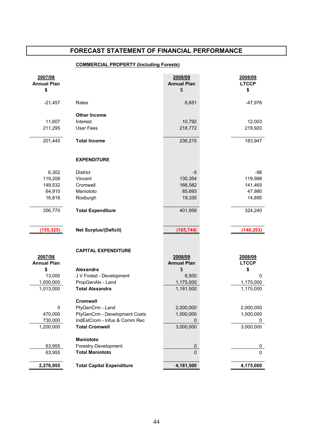# COMMERCIAL PROPERTY (Including Forests)

| \$<br>\$<br>\$<br>$-21,457$<br>6,651<br>$-47,976$<br>Rates<br><b>Other Income</b><br>11,607<br>Interest<br>10,792<br>12,003<br>211,295<br><b>User Fees</b><br>218,772<br>219,920<br><b>Total Income</b><br>201,445<br>236,215<br>183,947<br><b>EXPENDITURE</b><br>6,302<br>$-5$<br>$-98$<br><b>District</b><br>119,208<br>130,354<br>119,998<br>Vincent<br>166,582<br>141,465<br>149,532<br>Cromwell<br>64,910<br>85,693<br>47,980<br>Maniototo<br>16,818<br>19,335<br>14,895<br>Roxburgh<br>356,770<br><b>Total Expenditure</b><br>401,959<br>324,240<br>(155, 325)<br><b>Net Surplus/(Deficit)</b><br>(165, 744)<br>(140, 293)<br><b>CAPITAL EXPENDITURE</b><br>2007/08<br>2008/09<br>2008/09<br><b>Annual Plan</b><br><b>Annual Plan</b><br><b>LTCCP</b><br>\$<br>\$<br><b>Alexandra</b><br>\$<br>13,000<br>J V Forest - Development<br>6,500<br>0<br>1,000,000<br>1,175,000<br>PropGenAlx - Land<br>1,175,000<br><b>Total Alexandra</b><br>1,013,000<br>1,181,500<br>1,175,000<br><b>Cromwell</b><br>2,000,000<br>PtyGenCrm - Land<br>2,000,000<br><sup>0</sup><br>PtyGenCrm - Development Costs<br>1,000,000<br>1,000,000<br>470,000<br>730,000<br>IndEstCrom - Infus & Comm Rec<br><b>Total Cromwell</b><br>1,200,000<br>3,000,000<br>3,000,000<br>Maniototo<br><b>Forestry Development</b><br>63,955<br>$\pmb{0}$<br>0<br><b>Total Maniototo</b><br>$\mathbf{0}$<br>63,955<br>$\Omega$<br>2,276,955<br><b>Total Capital Expenditure</b><br>4,181,500<br>4,175,000 | 2007/08<br><b>Annual Plan</b> | 2008/09<br><b>Annual Plan</b> | 2008/09<br><b>LTCCP</b> |
|--------------------------------------------------------------------------------------------------------------------------------------------------------------------------------------------------------------------------------------------------------------------------------------------------------------------------------------------------------------------------------------------------------------------------------------------------------------------------------------------------------------------------------------------------------------------------------------------------------------------------------------------------------------------------------------------------------------------------------------------------------------------------------------------------------------------------------------------------------------------------------------------------------------------------------------------------------------------------------------------------------------------------------------------------------------------------------------------------------------------------------------------------------------------------------------------------------------------------------------------------------------------------------------------------------------------------------------------------------------------------------------------------------------------------------------------------------------------------|-------------------------------|-------------------------------|-------------------------|
|                                                                                                                                                                                                                                                                                                                                                                                                                                                                                                                                                                                                                                                                                                                                                                                                                                                                                                                                                                                                                                                                                                                                                                                                                                                                                                                                                                                                                                                                          |                               |                               |                         |
|                                                                                                                                                                                                                                                                                                                                                                                                                                                                                                                                                                                                                                                                                                                                                                                                                                                                                                                                                                                                                                                                                                                                                                                                                                                                                                                                                                                                                                                                          |                               |                               |                         |
|                                                                                                                                                                                                                                                                                                                                                                                                                                                                                                                                                                                                                                                                                                                                                                                                                                                                                                                                                                                                                                                                                                                                                                                                                                                                                                                                                                                                                                                                          |                               |                               |                         |
|                                                                                                                                                                                                                                                                                                                                                                                                                                                                                                                                                                                                                                                                                                                                                                                                                                                                                                                                                                                                                                                                                                                                                                                                                                                                                                                                                                                                                                                                          |                               |                               |                         |
|                                                                                                                                                                                                                                                                                                                                                                                                                                                                                                                                                                                                                                                                                                                                                                                                                                                                                                                                                                                                                                                                                                                                                                                                                                                                                                                                                                                                                                                                          |                               |                               |                         |
|                                                                                                                                                                                                                                                                                                                                                                                                                                                                                                                                                                                                                                                                                                                                                                                                                                                                                                                                                                                                                                                                                                                                                                                                                                                                                                                                                                                                                                                                          |                               |                               |                         |
|                                                                                                                                                                                                                                                                                                                                                                                                                                                                                                                                                                                                                                                                                                                                                                                                                                                                                                                                                                                                                                                                                                                                                                                                                                                                                                                                                                                                                                                                          |                               |                               |                         |
|                                                                                                                                                                                                                                                                                                                                                                                                                                                                                                                                                                                                                                                                                                                                                                                                                                                                                                                                                                                                                                                                                                                                                                                                                                                                                                                                                                                                                                                                          |                               |                               |                         |
|                                                                                                                                                                                                                                                                                                                                                                                                                                                                                                                                                                                                                                                                                                                                                                                                                                                                                                                                                                                                                                                                                                                                                                                                                                                                                                                                                                                                                                                                          |                               |                               |                         |
|                                                                                                                                                                                                                                                                                                                                                                                                                                                                                                                                                                                                                                                                                                                                                                                                                                                                                                                                                                                                                                                                                                                                                                                                                                                                                                                                                                                                                                                                          |                               |                               |                         |
|                                                                                                                                                                                                                                                                                                                                                                                                                                                                                                                                                                                                                                                                                                                                                                                                                                                                                                                                                                                                                                                                                                                                                                                                                                                                                                                                                                                                                                                                          |                               |                               |                         |
|                                                                                                                                                                                                                                                                                                                                                                                                                                                                                                                                                                                                                                                                                                                                                                                                                                                                                                                                                                                                                                                                                                                                                                                                                                                                                                                                                                                                                                                                          |                               |                               |                         |
|                                                                                                                                                                                                                                                                                                                                                                                                                                                                                                                                                                                                                                                                                                                                                                                                                                                                                                                                                                                                                                                                                                                                                                                                                                                                                                                                                                                                                                                                          |                               |                               |                         |
|                                                                                                                                                                                                                                                                                                                                                                                                                                                                                                                                                                                                                                                                                                                                                                                                                                                                                                                                                                                                                                                                                                                                                                                                                                                                                                                                                                                                                                                                          |                               |                               |                         |
|                                                                                                                                                                                                                                                                                                                                                                                                                                                                                                                                                                                                                                                                                                                                                                                                                                                                                                                                                                                                                                                                                                                                                                                                                                                                                                                                                                                                                                                                          |                               |                               |                         |
|                                                                                                                                                                                                                                                                                                                                                                                                                                                                                                                                                                                                                                                                                                                                                                                                                                                                                                                                                                                                                                                                                                                                                                                                                                                                                                                                                                                                                                                                          |                               |                               |                         |
|                                                                                                                                                                                                                                                                                                                                                                                                                                                                                                                                                                                                                                                                                                                                                                                                                                                                                                                                                                                                                                                                                                                                                                                                                                                                                                                                                                                                                                                                          |                               |                               |                         |
|                                                                                                                                                                                                                                                                                                                                                                                                                                                                                                                                                                                                                                                                                                                                                                                                                                                                                                                                                                                                                                                                                                                                                                                                                                                                                                                                                                                                                                                                          |                               |                               |                         |
|                                                                                                                                                                                                                                                                                                                                                                                                                                                                                                                                                                                                                                                                                                                                                                                                                                                                                                                                                                                                                                                                                                                                                                                                                                                                                                                                                                                                                                                                          |                               |                               |                         |
|                                                                                                                                                                                                                                                                                                                                                                                                                                                                                                                                                                                                                                                                                                                                                                                                                                                                                                                                                                                                                                                                                                                                                                                                                                                                                                                                                                                                                                                                          |                               |                               |                         |
|                                                                                                                                                                                                                                                                                                                                                                                                                                                                                                                                                                                                                                                                                                                                                                                                                                                                                                                                                                                                                                                                                                                                                                                                                                                                                                                                                                                                                                                                          |                               |                               |                         |
|                                                                                                                                                                                                                                                                                                                                                                                                                                                                                                                                                                                                                                                                                                                                                                                                                                                                                                                                                                                                                                                                                                                                                                                                                                                                                                                                                                                                                                                                          |                               |                               |                         |
|                                                                                                                                                                                                                                                                                                                                                                                                                                                                                                                                                                                                                                                                                                                                                                                                                                                                                                                                                                                                                                                                                                                                                                                                                                                                                                                                                                                                                                                                          |                               |                               |                         |
|                                                                                                                                                                                                                                                                                                                                                                                                                                                                                                                                                                                                                                                                                                                                                                                                                                                                                                                                                                                                                                                                                                                                                                                                                                                                                                                                                                                                                                                                          |                               |                               |                         |
|                                                                                                                                                                                                                                                                                                                                                                                                                                                                                                                                                                                                                                                                                                                                                                                                                                                                                                                                                                                                                                                                                                                                                                                                                                                                                                                                                                                                                                                                          |                               |                               |                         |
|                                                                                                                                                                                                                                                                                                                                                                                                                                                                                                                                                                                                                                                                                                                                                                                                                                                                                                                                                                                                                                                                                                                                                                                                                                                                                                                                                                                                                                                                          |                               |                               |                         |
|                                                                                                                                                                                                                                                                                                                                                                                                                                                                                                                                                                                                                                                                                                                                                                                                                                                                                                                                                                                                                                                                                                                                                                                                                                                                                                                                                                                                                                                                          |                               |                               |                         |
|                                                                                                                                                                                                                                                                                                                                                                                                                                                                                                                                                                                                                                                                                                                                                                                                                                                                                                                                                                                                                                                                                                                                                                                                                                                                                                                                                                                                                                                                          |                               |                               |                         |
|                                                                                                                                                                                                                                                                                                                                                                                                                                                                                                                                                                                                                                                                                                                                                                                                                                                                                                                                                                                                                                                                                                                                                                                                                                                                                                                                                                                                                                                                          |                               |                               |                         |
|                                                                                                                                                                                                                                                                                                                                                                                                                                                                                                                                                                                                                                                                                                                                                                                                                                                                                                                                                                                                                                                                                                                                                                                                                                                                                                                                                                                                                                                                          |                               |                               |                         |
|                                                                                                                                                                                                                                                                                                                                                                                                                                                                                                                                                                                                                                                                                                                                                                                                                                                                                                                                                                                                                                                                                                                                                                                                                                                                                                                                                                                                                                                                          |                               |                               |                         |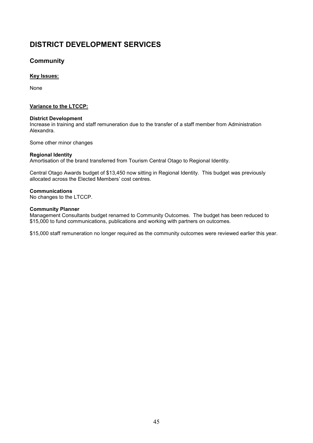# DISTRICT DEVELOPMENT SERVICES

# **Community**

# Key Issues:

None

# Variance to the LTCCP:

## District Development

Increase in training and staff remuneration due to the transfer of a staff member from Administration Alexandra.

Some other minor changes

# Regional Identity

Amortisation of the brand transferred from Tourism Central Otago to Regional Identity.

Central Otago Awards budget of \$13,450 now sitting in Regional Identity. This budget was previously allocated across the Elected Members' cost centres.

# Communications

No changes to the LTCCP.

# Community Planner

Management Consultants budget renamed to Community Outcomes. The budget has been reduced to \$15,000 to fund communications, publications and working with partners on outcomes.

\$15,000 staff remuneration no longer required as the community outcomes were reviewed earlier this year.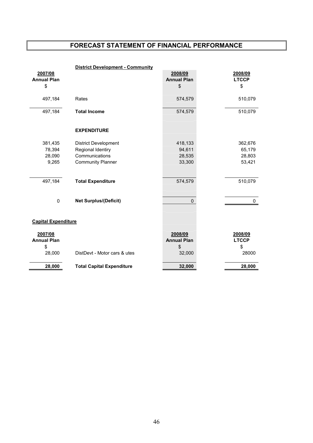|                            | <b>District Development - Community</b> |                    |              |
|----------------------------|-----------------------------------------|--------------------|--------------|
| 2007/08                    |                                         | 2008/09            | 2008/09      |
| <b>Annual Plan</b>         |                                         | <b>Annual Plan</b> | <b>LTCCP</b> |
| \$                         |                                         | \$                 | \$           |
|                            |                                         |                    |              |
| 497,184                    | Rates                                   | 574,579            | 510,079      |
| 497,184                    | <b>Total Income</b>                     | 574,579            | 510,079      |
|                            |                                         |                    |              |
|                            | <b>EXPENDITURE</b>                      |                    |              |
|                            |                                         |                    |              |
| 381,435                    | <b>District Development</b>             | 418,133            | 362,676      |
| 78,394                     | Regional Identiry                       | 94,611             | 65,179       |
| 28,090                     | Communications                          | 28,535             | 28,803       |
| 9,265                      | <b>Community Planner</b>                | 33,300             | 53,421       |
|                            |                                         |                    |              |
| 497,184                    |                                         | 574,579            | 510,079      |
|                            | <b>Total Expenditure</b>                |                    |              |
|                            |                                         |                    |              |
| $\pmb{0}$                  | <b>Net Surplus/(Deficit)</b>            | $\Omega$           | 0            |
|                            |                                         |                    |              |
|                            |                                         |                    |              |
| <b>Capital Expenditure</b> |                                         |                    |              |
| 2007/08                    |                                         | 2008/09            | 2008/09      |
| <b>Annual Plan</b>         |                                         | <b>Annual Plan</b> | <b>LTCCP</b> |
| \$                         |                                         | \$                 | \$           |
| 28,000                     | DistDevt - Motor cars & utes            | 32,000             | 28000        |
|                            |                                         |                    |              |
| 28,000                     | <b>Total Capital Expenditure</b>        | 32,000             | 28,000       |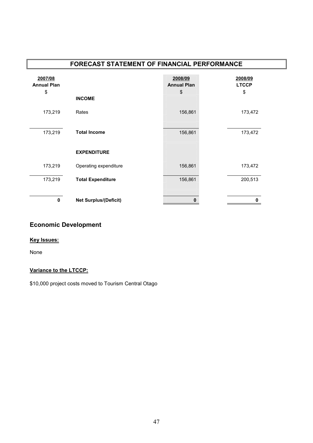| FORECAST STATEMENT OF FINANCIAL PERFORMANCE |                              |                                     |                               |  |
|---------------------------------------------|------------------------------|-------------------------------------|-------------------------------|--|
| 2007/08<br><b>Annual Plan</b><br>\$         | <b>INCOME</b>                | 2008/09<br><b>Annual Plan</b><br>\$ | 2008/09<br><b>LTCCP</b><br>\$ |  |
| 173,219                                     | Rates                        | 156,861                             | 173,472                       |  |
| 173,219                                     | <b>Total Income</b>          | 156,861                             | 173,472                       |  |
|                                             | <b>EXPENDITURE</b>           |                                     |                               |  |
| 173,219                                     | Operating expenditure        | 156,861                             | 173,472                       |  |
| 173,219                                     | <b>Total Expenditure</b>     | 156,861                             | 200,513                       |  |
| $\mathbf{0}$                                | <b>Net Surplus/(Deficit)</b> | 0                                   | 0                             |  |

# Economic Development

# Key Issues:

None

# Variance to the LTCCP:

\$10,000 project costs moved to Tourism Central Otago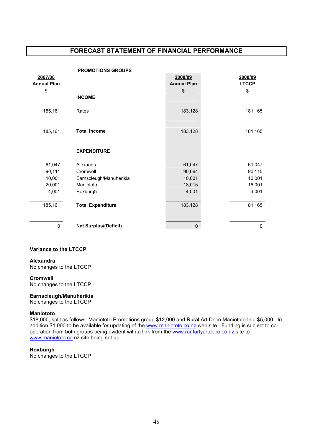|                    | <b>PROMOTIONS GROUPS</b>     |                    |              |
|--------------------|------------------------------|--------------------|--------------|
| 2007/08            |                              | 2008/09            | 2008/09      |
| <b>Annual Plan</b> |                              | <b>Annual Plan</b> | <b>LTCCP</b> |
| \$                 |                              | \$                 | \$           |
|                    | <b>INCOME</b>                |                    |              |
| 185,161            | Rates                        | 183,128            | 181,165      |
| 185,161            | <b>Total Income</b>          | 183,128            | 181,165      |
|                    | <b>EXPENDITURE</b>           |                    |              |
| 61,047             | Alexandra                    | 61,047             | 61,047       |
| 90,111             | Cromwell                     | 90,064             | 90,115       |
| 10,001             | Earnscleugh/Manuherikia      | 10,001             | 10,001       |
| 20,001             | Maniototo                    | 18,015             | 16,001       |
| 4,001              | Roxburgh                     | 4,001              | 4,001        |
| 185,161            | <b>Total Expenditure</b>     | 183,128            | 181,165      |
| 0                  | <b>Net Surplus/(Deficit)</b> | 0                  | 0            |

## **Variance to the LTCCP**

Alexandra No changes to the LTCCP

### Cromwell

No changes to the LTCCP

# Earnscleugh/Manuherikia

No changes to the LTCCP

## Maniototo

\$18,000, split as follows: Maniototo Promotions group \$12,000 and Rural Art Deco Maniototo Inc. \$5,000. In addition \$1,000 to be available for updating of the www.maniototo.co.nz web site. Funding is subject to cooperation from both groups being evident with a link from the www.ranfurlyartdeco.co.nz site to www.maniototo.co.nz site being set up.

## **Roxburgh**

No changes to the LTCCP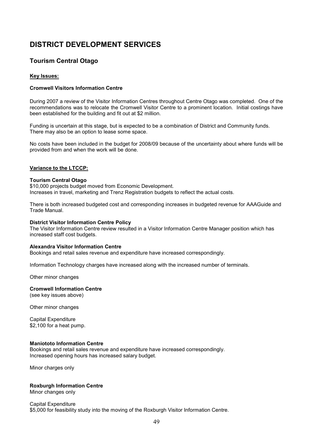# DISTRICT DEVELOPMENT SERVICES

# Tourism Central Otago

## Key Issues:

## Cromwell Visitors Information Centre

During 2007 a review of the Visitor Information Centres throughout Centre Otago was completed. One of the recommendations was to relocate the Cromwell Visitor Centre to a prominent location. Initial costings have been established for the building and fit out at \$2 million.

Funding is uncertain at this stage, but is expected to be a combination of District and Community funds. There may also be an option to lease some space.

No costs have been included in the budget for 2008/09 because of the uncertainty about where funds will be provided from and when the work will be done.

## Variance to the LTCCP:

### Tourism Central Otago

\$10,000 projects budget moved from Economic Development. Increases in travel, marketing and Trenz Registration budgets to reflect the actual costs.

There is both increased budgeted cost and corresponding increases in budgeted revenue for AAAGuide and Trade Manual.

### District Visitor Information Centre Policy

The Visitor Information Centre review resulted in a Visitor Information Centre Manager position which has increased staff cost budgets.

### Alexandra Visitor Information Centre

Bookings and retail sales revenue and expenditure have increased correspondingly.

Information Technology charges have increased along with the increased number of terminals.

Other minor changes

### Cromwell Information Centre

(see key issues above)

Other minor changes

Capital Expenditure \$2,100 for a heat pump.

## Maniototo Information Centre

Bookings and retail sales revenue and expenditure have increased correspondingly. Increased opening hours has increased salary budget.

Minor charges only

## Roxburgh Information Centre

Minor changes only

Capital Expenditure \$5,000 for feasibility study into the moving of the Roxburgh Visitor Information Centre.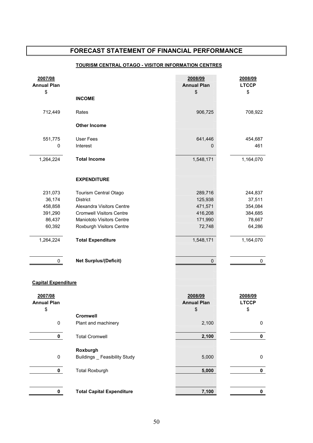# TOURISM CENTRAL OTAGO - VISITOR INFORMATION CENTRES

| 2007/08<br><b>Annual Plan</b>       |                                                  | 2008/09<br><b>Annual Plan</b>       | 2008/09<br><b>LTCCP</b>       |
|-------------------------------------|--------------------------------------------------|-------------------------------------|-------------------------------|
| \$                                  |                                                  | \$                                  | \$                            |
|                                     | <b>INCOME</b>                                    |                                     |                               |
| 712,449                             | Rates                                            | 906,725                             | 708,922                       |
|                                     | <b>Other Income</b>                              |                                     |                               |
| 551,775                             | User Fees                                        | 641,446                             | 454,687                       |
| 0                                   | Interest                                         | 0                                   | 461                           |
| 1,264,224                           | <b>Total Income</b>                              | 1,548,171                           | 1,164,070                     |
|                                     | <b>EXPENDITURE</b>                               |                                     |                               |
| 231,073                             | Tourism Central Otago                            | 289,716                             | 244,837                       |
| 36,174                              | <b>District</b>                                  | 125,938                             | 37,511                        |
| 458,858                             | Alexandra Visitors Centre                        | 471,571                             | 354,084                       |
| 391,290                             | <b>Cromwell Visitors Centre</b>                  | 416,208                             | 384,685                       |
| 86,437                              | Maniototo Visitors Centre                        | 171,990                             | 78,667                        |
| 60,392                              | Roxburgh Visitors Centre                         | 72,748                              | 64,286                        |
| 1,264,224                           | <b>Total Expenditure</b>                         | 1,548,171                           | 1,164,070                     |
| 0                                   | <b>Net Surplus/(Deficit)</b>                     | 0                                   | 0                             |
| <b>Capital Expenditure</b>          |                                                  |                                     |                               |
| 2007/08<br><b>Annual Plan</b><br>\$ |                                                  | 2008/09<br><b>Annual Plan</b><br>\$ | 2008/09<br><b>LTCCP</b><br>\$ |
|                                     | Cromwell                                         |                                     |                               |
| $\pmb{0}$                           | Plant and machinery                              | 2,100                               | $\pmb{0}$                     |
| $\mathbf 0$                         | <b>Total Cromwell</b>                            | 2,100                               | $\pmb{0}$                     |
| $\mathbf 0$                         | Roxburgh<br><b>Buildings</b> _ Feasibility Study | 5,000                               | $\pmb{0}$                     |
| $\mathbf 0$                         | <b>Total Roxburgh</b>                            | 5,000                               | $\pmb{0}$                     |
|                                     |                                                  |                                     |                               |
| 0                                   | <b>Total Capital Expenditure</b>                 | 7,100                               | 0                             |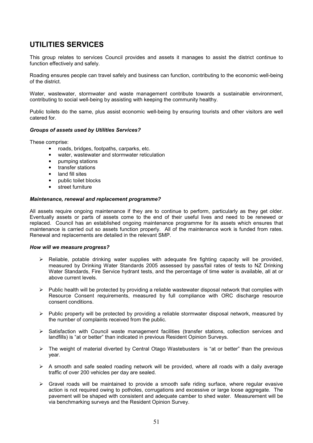This group relates to services Council provides and assets it manages to assist the district continue to function effectively and safely.

Roading ensures people can travel safely and business can function, contributing to the economic well-being of the district.

Water, wastewater, stormwater and waste management contribute towards a sustainable environment, contributing to social well-being by assisting with keeping the community healthy.

Public toilets do the same, plus assist economic well-being by ensuring tourists and other visitors are well catered for.

### Groups of assets used by Utilities Services?

These comprise:

- roads, bridges, footpaths, carparks, etc.
- water, wastewater and stormwater reticulation
- pumping stations
- transfer stations
- land fill sites
- public toilet blocks
- street furniture

### Maintenance, renewal and replacement programme?

All assets require ongoing maintenance if they are to continue to perform, particularly as they get older. Eventually assets or parts of assets come to the end of their useful lives and need to be renewed or replaced. Council has an established ongoing maintenance programme for its assets which ensures that maintenance is carried out so assets function properly. All of the maintenance work is funded from rates. Renewal and replacements are detailed in the relevant SMP.

### How will we measure progress?

- $\triangleright$  Reliable, potable drinking water supplies with adequate fire fighting capacity will be provided, measured by Drinking Water Standards 2005 assessed by pass/fail rates of tests to NZ Drinking Water Standards, Fire Service hydrant tests, and the percentage of time water is available, all at or above current levels.
- $\triangleright$  Public health will be protected by providing a reliable wastewater disposal network that complies with Resource Consent requirements, measured by full compliance with ORC discharge resource consent conditions.
- $\triangleright$  Public property will be protected by providing a reliable stormwater disposal network, measured by the number of complaints received from the public.
- $\triangleright$  Satisfaction with Council waste management facilities (transfer stations, collection services and landfills) is "at or better" than indicated in previous Resident Opinion Surveys.
- $\triangleright$  The weight of material diverted by Central Otago Wastebusters is "at or better" than the previous year.
- $\triangleright$  A smooth and safe sealed roading network will be provided, where all roads with a daily average traffic of over 200 vehicles per day are sealed.
- $\triangleright$  Gravel roads will be maintained to provide a smooth safe riding surface, where regular evasive action is not required owing to potholes, corrugations and excessive or large loose aggregate. The pavement will be shaped with consistent and adequate camber to shed water. Measurement will be via benchmarking surveys and the Resident Opinion Survey.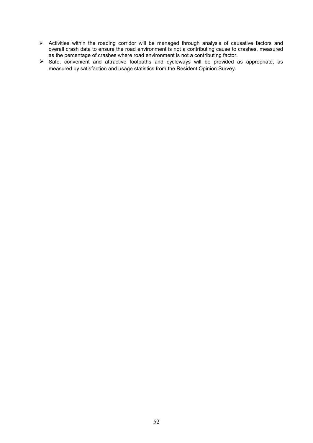- > Activities within the roading corridor will be managed through analysis of causative factors and overall crash data to ensure the road environment is not a contributing cause to crashes, measured as the percentage of crashes where road environment is not a contributing factor.
- $\triangleright$  Safe, convenient and attractive footpaths and cycleways will be provided as appropriate, as measured by satisfaction and usage statistics from the Resident Opinion Survey.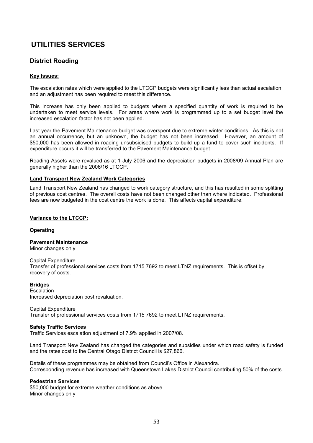# District Roading

# Key Issues:

The escalation rates which were applied to the LTCCP budgets were significantly less than actual escalation and an adjustment has been required to meet this difference.

This increase has only been applied to budgets where a specified quantity of work is required to be undertaken to meet service levels. For areas where work is programmed up to a set budget level the increased escalation factor has not been applied.

Last year the Pavement Maintenance budget was overspent due to extreme winter conditions. As this is not an annual occurrence, but an unknown, the budget has not been increased. However, an amount of \$50,000 has been allowed in roading unsubsidised budgets to build up a fund to cover such incidents. If expenditure occurs it will be transferred to the Pavement Maintenance budget.

Roading Assets were revalued as at 1 July 2006 and the depreciation budgets in 2008/09 Annual Plan are generally higher than the 2006/16 LTCCP.

### Land Transport New Zealand Work Categories

Land Transport New Zealand has changed to work category structure, and this has resulted in some splitting of previous cost centres. The overall costs have not been changed other than where indicated. Professional fees are now budgeted in the cost centre the work is done. This affects capital expenditure.

### Variance to the LTCCP:

### **Operating**

## Pavement Maintenance

Minor changes only

### Capital Expenditure

Transfer of professional services costs from 1715 7692 to meet LTNZ requirements. This is offset by recovery of costs.

### Bridges

Escalation Increased depreciation post revaluation.

### Capital Expenditure

Transfer of professional services costs from 1715 7692 to meet LTNZ requirements.

### Safety Traffic Services

Traffic Services escalation adjustment of 7.9% applied in 2007/08.

Land Transport New Zealand has changed the categories and subsidies under which road safety is funded and the rates cost to the Central Otago District Council is \$27,866.

Details of these programmes may be obtained from Council's Office in Alexandra. Corresponding revenue has increased with Queenstown Lakes District Council contributing 50% of the costs.

### Pedestrian Services

\$50,000 budget for extreme weather conditions as above. Minor changes only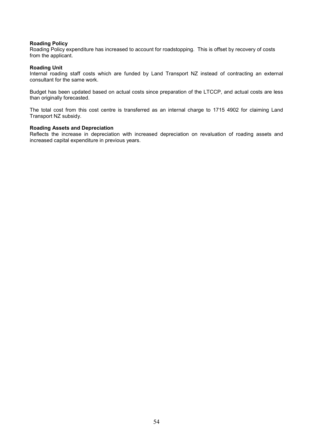### Roading Policy

Roading Policy expenditure has increased to account for roadstopping. This is offset by recovery of costs from the applicant.

### Roading Unit

Internal roading staff costs which are funded by Land Transport NZ instead of contracting an external consultant for the same work.

Budget has been updated based on actual costs since preparation of the LTCCP, and actual costs are less than originally forecasted.

The total cost from this cost centre is transferred as an internal charge to 1715 4902 for claiming Land Transport NZ subsidy.

### Roading Assets and Depreciation

Reflects the increase in depreciation with increased depreciation on revaluation of roading assets and increased capital expenditure in previous years.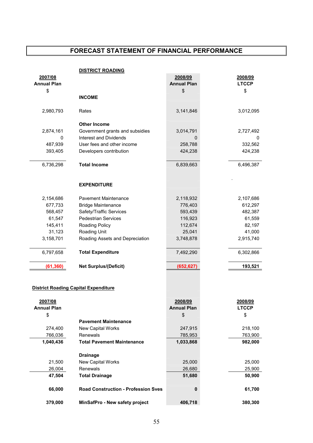|                    | <b>DISTRICT ROADING</b>                     |                    |              |
|--------------------|---------------------------------------------|--------------------|--------------|
| 2007/08            |                                             | 2008/09            | 2008/09      |
| <b>Annual Plan</b> |                                             | <b>Annual Plan</b> | <b>LTCCP</b> |
| \$                 |                                             | \$                 | \$           |
|                    | <b>INCOME</b>                               |                    |              |
| 2,980,793          | Rates                                       | 3,141,846          | 3,012,095    |
|                    | <b>Other Income</b>                         |                    |              |
| 2,874,161          | Government grants and subsidies             | 3,014,791          | 2,727,492    |
| 0                  | <b>Interest and Dividends</b>               | 0                  | 0            |
| 487,939            | User fees and other income                  | 258,788            | 332,562      |
| 393,405            | Developers contribution                     | 424,238            | 424,238      |
| 6,736,298          | <b>Total Income</b>                         | 6,839,663          | 6,496,387    |
|                    | <b>EXPENDITURE</b>                          |                    |              |
| 2,154,686          | <b>Pavement Maintenance</b>                 | 2,118,932          | 2,107,686    |
| 677,733            | <b>Bridge Maintenance</b>                   | 776,403            | 612,297      |
| 568,457            | Safety/Traffic Services                     | 593,439            | 482,387      |
| 61,547             | <b>Pedestrian Services</b>                  | 116,923            | 61,559       |
| 145,411            | Roading Policy                              | 112,674            | 82,197       |
| 31,123             | Roading Unit                                | 25,041             | 41,000       |
| 3,158,701          | Roading Assets and Depreciation             | 3,748,878          | 2,915,740    |
| 6,797,658          | <b>Total Expenditure</b>                    | 7,492,290          | 6,302,866    |
| (61, 360)          | <b>Net Surplus/(Deficit)</b>                | (652, 627)         | 193,521      |
|                    |                                             |                    |              |
|                    | <b>District Roading Capital Expenditure</b> |                    |              |
| 2007/08            |                                             | 2008/09            | 2008/09      |
| <b>Annual Plan</b> |                                             | <b>Annual Plan</b> | <b>LTCCP</b> |
| \$                 |                                             | \$                 | \$           |
|                    | <b>Pavement Maintenance</b>                 |                    |              |
| 274,400            | New Capital Works                           | 247,915            | 218,100      |
| 766,036            | Renewals                                    | 785,953            | 763,900      |
| 1,040,436          | <b>Total Pavement Maintenance</b>           | 1,033,868          | 982,000      |

| טט <del>ר</del> ,ט <del>ד</del> ט,ו | TULAI FAVEINENL IVIANILENANCE              | 1,000,000 | JUZ,UUU |
|-------------------------------------|--------------------------------------------|-----------|---------|
|                                     | <b>Drainage</b>                            |           |         |
| 21,500                              | New Capital Works                          | 25,000    | 25,000  |
| 26,004                              | Renewals                                   | 26,680    | 25,900  |
| 47,504                              | <b>Total Drainage</b>                      | 51,680    | 50,900  |
| 66,000                              | <b>Road Construction - Profession Sves</b> | 0         | 61,700  |
| 379,000                             | MinSafPro - New safety project             | 406,718   | 380,300 |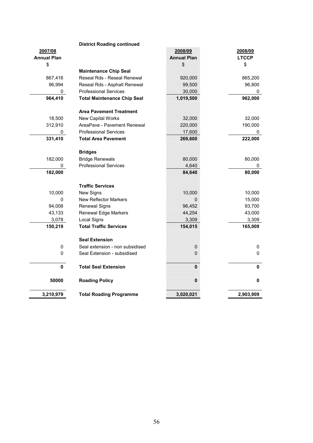|                    | <b>District Roading continued</b>  |                    |              |
|--------------------|------------------------------------|--------------------|--------------|
| 2007/08            |                                    | 2008/09            | 2008/09      |
| <b>Annual Plan</b> |                                    | <b>Annual Plan</b> | <b>LTCCP</b> |
| \$                 |                                    | \$                 | \$           |
|                    | <b>Maintenance Chip Seal</b>       |                    |              |
| 867,416            | Reseal Rds - Reseal Renewal        | 920,000            | 865,200      |
| 96,994             | Reseal Rds - Asphalt Renewal       | 99,500             | 96,800       |
| 0                  | <b>Professional Services</b>       | 30,000             | 0            |
| 964,410            | <b>Total Maintenance Chip Seal</b> | 1,019,500          | 962,000      |
|                    | <b>Area Pavement Treatment</b>     |                    |              |
| 18,500             | New Capital Works                  | 32,000             | 32,000       |
| 312,910            | AreaPave - Pavement Renewal        | 220,000            | 190,000      |
| 0                  | <b>Professional Services</b>       | 17,600             | 0            |
| 331,410            | <b>Total Area Pavement</b>         | 269,600            | 222,000      |
|                    |                                    |                    |              |
|                    | <b>Bridges</b>                     |                    |              |
| 182,000            | <b>Bridge Renewals</b>             | 80,000             | 80,000       |
| 0                  | <b>Professional Services</b>       | 4,640              | 0            |
| 182,000            |                                    | 84,640             | 80,000       |
|                    |                                    |                    |              |
|                    | <b>Traffic Services</b>            |                    |              |
| 10,000             | New Signs                          | 10,000             | 10,000       |
| $\mathbf 0$        | <b>New Reflector Markers</b>       | $\pmb{0}$          | 15,000       |
| 94,008             | <b>Renewal Signs</b>               | 96,452             | 93,700       |
| 43,133             | Renewal Edge Markers               | 44,254             | 43,000       |
| 3,078              | Local Signs                        | 3,309              | 3,309        |
| 150,219            | <b>Total Traffic Services</b>      | 154,015            | 165,009      |
|                    | <b>Seal Extension</b>              |                    |              |
| 0                  | Seal extension - non subsidised    | 0                  | 0            |
| $\pmb{0}$          | Seal Extension - subsidised        | 0                  | 0            |
| $\mathbf 0$        | <b>Total Seal Extension</b>        | 0                  | 0            |
| 50000              | <b>Roading Policy</b>              | 0                  | 0            |
| 3,210,979          | <b>Total Roading Programme</b>     | 3,020,021          | 2,903,909    |

## District Roading continued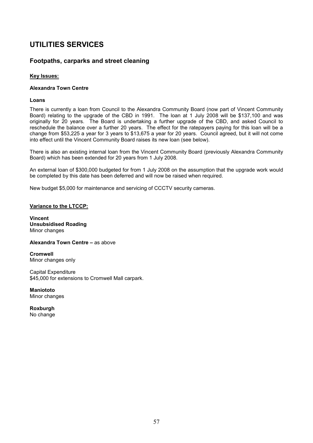# Footpaths, carparks and street cleaning

# Key Issues:

## Alexandra Town Centre

## Loans

There is currently a loan from Council to the Alexandra Community Board (now part of Vincent Community Board) relating to the upgrade of the CBD in 1991. The loan at 1 July 2008 will be \$137,100 and was originally for 20 years. The Board is undertaking a further upgrade of the CBD, and asked Council to reschedule the balance over a further 20 years. The effect for the ratepayers paying for this loan will be a change from \$53,225 a year for 3 years to \$13,675 a year for 20 years. Council agreed, but it will not come into effect until the Vincent Community Board raises its new loan (see below).

There is also an existing internal loan from the Vincent Community Board (previously Alexandra Community Board) which has been extended for 20 years from 1 July 2008.

An external loan of \$300,000 budgeted for from 1 July 2008 on the assumption that the upgrade work would be completed by this date has been deferred and will now be raised when required.

New budget \$5,000 for maintenance and servicing of CCCTV security cameras.

## Variance to the LTCCP:

Vincent Unsubsidised Roading Minor changes

Alexandra Town Centre – as above

Cromwell Minor changes only

Capital Expenditure \$45,000 for extensions to Cromwell Mall carpark.

**Maniototo** Minor changes

**Roxburgh** No change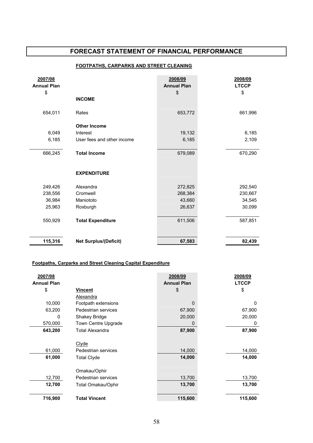# FOOTPATHS, CARPARKS AND STREET CLEANING

| 2007/08<br><b>Annual Plan</b> |                              | 2008/09<br><b>Annual Plan</b> | 2008/09<br><b>LTCCP</b> |
|-------------------------------|------------------------------|-------------------------------|-------------------------|
| \$                            |                              | \$                            | \$                      |
|                               | <b>INCOME</b>                |                               |                         |
| 654,011                       | Rates                        | 653,772                       | 661,996                 |
|                               | <b>Other Income</b>          |                               |                         |
| 6,049                         | Interest                     | 19,132                        | 6,185                   |
| 6,185                         | User fees and other income   | 6,185                         | 2,109                   |
| 666,245                       | <b>Total Income</b>          | 679,089                       | 670,290                 |
|                               |                              |                               |                         |
|                               | <b>EXPENDITURE</b>           |                               |                         |
| 249,426                       | Alexandra                    | 272,825                       | 292,540                 |
| 238,556                       | Cromwell                     | 268,384                       | 230,667                 |
| 36,984                        | Maniototo                    | 43,660                        | 34,545                  |
| 25,963                        | Roxburgh                     | 26,637                        | 30,099                  |
| 550,929                       | <b>Total Expenditure</b>     | 611,506                       | 587,851                 |
| 115,316                       | <b>Net Surplus/(Deficit)</b> | 67,583                        | 82,439                  |

## Footpaths, Carparks and Street Cleaning Capital Expenditure

| 2007/08<br><b>Annual Plan</b> |                        | 2008/09<br><b>Annual Plan</b> | 2008/09<br><b>LTCCP</b> |
|-------------------------------|------------------------|-------------------------------|-------------------------|
| \$                            | Vincent                | \$                            | \$                      |
|                               | Alexandra              |                               |                         |
| 10,000                        | Footpath extensions    | $\Omega$                      | $\Omega$                |
| 63,200                        | Pedestrian services    | 67,900                        | 67,900                  |
| 0                             | Shakey Bridge          | 20,000                        | 20,000                  |
| 570,000                       | Town Centre Upgrade    | 0                             | 0                       |
| 643,200                       | <b>Total Alexandra</b> | 87,900                        | 87,900                  |
|                               |                        |                               |                         |
|                               | <b>Clyde</b>           |                               |                         |
| 61,000                        | Pedestrian services    | 14,000                        | 14,000                  |
| 61,000                        | <b>Total Clyde</b>     | 14,000                        | 14,000                  |
|                               |                        |                               |                         |
|                               | Omakau/Ophir           |                               |                         |
| 12,700                        | Pedestrian services    | 13,700                        | 13,700                  |
| 12,700                        | Total Omakau/Ophir     | 13,700                        | 13,700                  |
|                               |                        |                               |                         |
| 716,900                       | <b>Total Vincent</b>   | 115,600                       | 115,600                 |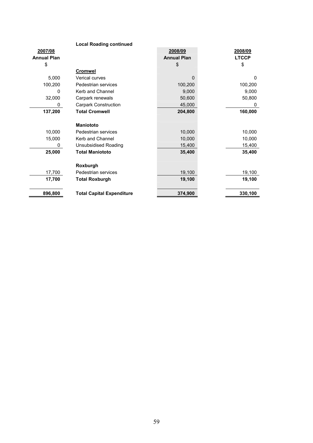# Local Roading continued

| 2007/08            |                                  | 2008/09            | 2008/09      |
|--------------------|----------------------------------|--------------------|--------------|
| <b>Annual Plan</b> |                                  | <b>Annual Plan</b> | <b>LTCCP</b> |
| \$                 |                                  | \$                 | \$           |
|                    | <b>Cromwel</b>                   |                    |              |
| 5,000              | <b>Verical curves</b>            | $\Omega$           | 0            |
| 100,200            | Pedestrian services              | 100,200            | 100,200      |
| 0                  | Kerb and Channel                 | 9,000              | 9,000        |
| 32,000             | Carpark renewals                 | 50,600             | 50,800       |
| 0                  | <b>Carpark Construction</b>      | 45,000             | 0            |
| 137,200            | <b>Total Cromwell</b>            | 204,800            | 160,000      |
|                    |                                  |                    |              |
|                    | <b>Maniototo</b>                 |                    |              |
| 10,000             | Pedestrian services              | 10,000             | 10,000       |
| 15,000             | Kerb and Channel                 | 10,000             | 10,000       |
| 0                  | <b>Unsubsidised Roading</b>      | 15,400             | 15,400       |
| 25,000             | <b>Total Maniototo</b>           | 35,400             | 35,400       |
|                    |                                  |                    |              |
|                    | Roxburgh                         |                    |              |
| 17,700             | Pedestrian services              | 19,100             | 19,100       |
| 17,700             | <b>Total Roxburgh</b>            | 19,100             | 19,100       |
|                    |                                  |                    |              |
| 896,800            | <b>Total Capital Expenditure</b> | 374,900            | 330,100      |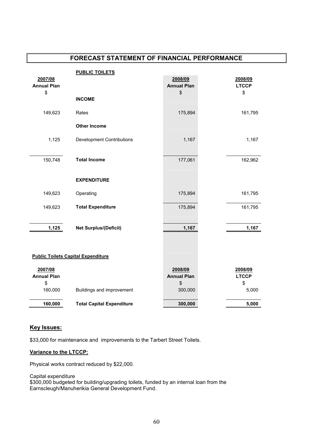| <b>PUBLIC TOILETS</b>                       |                                                |
|---------------------------------------------|------------------------------------------------|
| 2007/08                                     | 2008/09<br>2008/09                             |
| <b>Annual Plan</b>                          | <b>Annual Plan</b><br><b>LTCCP</b><br>\$<br>\$ |
| \$<br><b>INCOME</b>                         |                                                |
|                                             |                                                |
| 149,623<br>Rates                            | 175,894<br>161,795                             |
| <b>Other Income</b>                         |                                                |
| 1,125<br><b>Development Contributions</b>   | 1,167<br>1,167                                 |
|                                             |                                                |
| 150,748<br><b>Total Income</b>              | 177,061<br>162,962                             |
|                                             |                                                |
| <b>EXPENDITURE</b>                          |                                                |
| Operating<br>149,623                        | 161,795<br>175,894                             |
| <b>Total Expenditure</b><br>149,623         | 175,894<br>161,795                             |
|                                             |                                                |
| 1,125<br><b>Net Surplus/(Deficit)</b>       | 1,167<br>1,167                                 |
|                                             |                                                |
|                                             |                                                |
| <b>Public Toilets Capital Expenditure</b>   |                                                |
| 2007/08                                     | 2008/09<br>2008/09                             |
| <b>Annual Plan</b>                          | <b>Annual Plan</b><br><b>LTCCP</b>             |
| \$                                          | \$<br>\$                                       |
| 160,000<br>Buildings and improvement        | 300,000<br>5,000                               |
| 160,000<br><b>Total Capital Expenditure</b> | 300,000<br>5,000                               |

# Key Issues:

\$33,000 for maintenance and improvements to the Tarbert Street Toilets.

# Variance to the LTCCP:

Physical works contract reduced by \$22,000.

Capital expenditure \$300,000 budgeted for building/upgrading toilets, funded by an internal loan from the Earnscleugh/Manuherikia General Development Fund.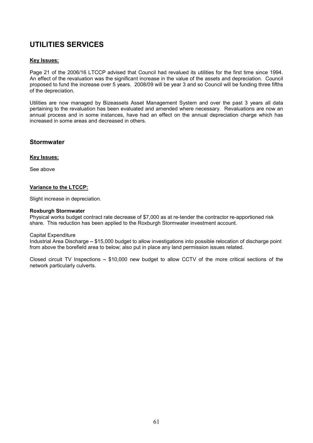# Key Issues:

Page 21 of the 2006/16 LTCCP advised that Council had revalued its utilities for the first time since 1994. An effect of the revaluation was the significant increase in the value of the assets and depreciation. Council proposed to fund the increase over 5 years. 2008/09 will be year 3 and so Council will be funding three fifths of the depreciation.

Utilities are now managed by Bizeassets Asset Management System and over the past 3 years all data pertaining to the revaluation has been evaluated and amended where necessary. Revaluations are now an annual process and in some instances, have had an effect on the annual depreciation charge which has increased in some areas and decreased in others.

# **Stormwater**

## Key Issues:

See above

## Variance to the LTCCP:

Slight increase in depreciation.

### Roxburgh Stormwater

Physical works budget contract rate decrease of \$7,000 as at re-tender the contractor re-apportioned risk share. This reduction has been applied to the Roxburgh Stormwater investment account.

### Capital Expenditure

Industrial Area Discharge – \$15,000 budget to allow investigations into possible relocation of discharge point from above the borefield area to below; also put in place any land permission issues related.

Closed circuit TV Inspections – \$10,000 new budget to allow CCTV of the more critical sections of the network particularly culverts.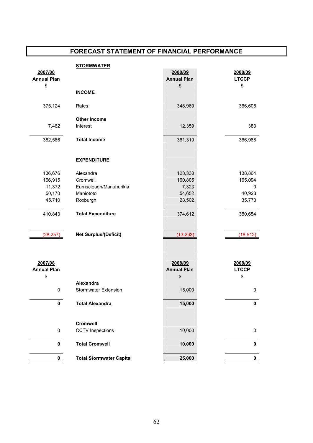|                    | <b>STORMWATER</b>            |                    |              |
|--------------------|------------------------------|--------------------|--------------|
| 2007/08            |                              | 2008/09            | 2008/09      |
| <b>Annual Plan</b> |                              | <b>Annual Plan</b> | <b>LTCCP</b> |
| \$                 |                              | \$                 | \$           |
|                    | <b>INCOME</b>                |                    |              |
| 375,124            | Rates                        | 348,960            | 366,605      |
|                    | <b>Other Income</b>          |                    |              |
| 7,462              | Interest                     | 12,359             | 383          |
|                    |                              |                    |              |
| 382,586            | <b>Total Income</b>          | 361,319            | 366,988      |
|                    |                              |                    |              |
|                    | <b>EXPENDITURE</b>           |                    |              |
|                    |                              |                    |              |
| 136,676            | Alexandra                    | 123,330            | 138,864      |
| 166,915            | Cromwell                     | 160,805            | 165,094      |
| 11,372             | Earnscleugh/Manuherikia      | 7,323              | $\mathbf 0$  |
| 50,170             | Maniototo                    | 54,652             | 40,923       |
| 45,710             | Roxburgh                     | 28,502             | 35,773       |
| 410,843            | <b>Total Expenditure</b>     | 374,612            | 380,654      |
|                    |                              |                    |              |
| (28, 257)          | <b>Net Surplus/(Deficit)</b> | (13, 293)          | (18, 512)    |
|                    |                              |                    |              |
|                    |                              |                    |              |
| 2007/08            |                              | 2008/09            | 2008/09      |
| <b>Annual Plan</b> |                              | <b>Annual Plan</b> | <b>LTCCP</b> |
| \$                 |                              | \$                 | \$           |
|                    | Alexandra                    |                    |              |
| $\pmb{0}$          | <b>Stormwater Extension</b>  | 15,000             | $\pmb{0}$    |
| $\pmb{0}$          | <b>Total Alexandra</b>       | 15,000             | 0            |
|                    |                              |                    |              |

| Alliudi I idil |                                 | AIIIIuai I Iaii | --- |
|----------------|---------------------------------|-----------------|-----|
| \$             |                                 | \$              | \$  |
|                | Alexandra                       |                 |     |
| 0              | <b>Stormwater Extension</b>     | 15,000          | 0   |
|                |                                 |                 |     |
| $\mathbf 0$    | <b>Total Alexandra</b>          | 15,000          | 0   |
|                |                                 |                 |     |
|                | <b>Cromwell</b>                 |                 |     |
| 0              | <b>CCTV</b> Inspections         | 10,000          | 0   |
|                |                                 |                 |     |
| 0              | <b>Total Cromwell</b>           | 10,000          | 0   |
|                |                                 |                 |     |
| $\mathbf{0}$   | <b>Total Stormwater Capital</b> | 25,000          |     |
|                |                                 |                 |     |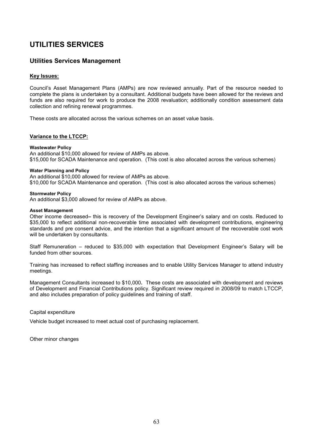# Utilities Services Management

## Key Issues:

Council's Asset Management Plans (AMPs) are now reviewed annually. Part of the resource needed to complete the plans is undertaken by a consultant. Additional budgets have been allowed for the reviews and funds are also required for work to produce the 2008 revaluation; additionally condition assessment data collection and refining renewal programmes.

These costs are allocated across the various schemes on an asset value basis.

## Variance to the LTCCP:

### Wastewater Policy

An additional \$10,000 allowed for review of AMPs as above. \$15,000 for SCADA Maintenance and operation. (This cost is also allocated across the various schemes)

### Water Planning and Policy

An additional \$10,000 allowed for review of AMPs as above.

\$10,000 for SCADA Maintenance and operation. (This cost is also allocated across the various schemes)

### Stormwater Policy

An additional \$3,000 allowed for review of AMPs as above.

#### Asset Management

Other income decreased– this is recovery of the Development Engineer's salary and on costs. Reduced to \$35,000 to reflect additional non-recoverable time associated with development contributions, engineering standards and pre consent advice, and the intention that a significant amount of the recoverable cost work will be undertaken by consultants.

Staff Remuneration – reduced to \$35,000 with expectation that Development Engineer's Salary will be funded from other sources.

Training has increased to reflect staffing increases and to enable Utility Services Manager to attend industry meetings.

Management Consultants increased to \$10,000. These costs are associated with development and reviews of Development and Financial Contributions policy. Significant review required in 2008/09 to match LTCCP, and also includes preparation of policy guidelines and training of staff.

### Capital expenditure

Vehicle budget increased to meet actual cost of purchasing replacement.

Other minor changes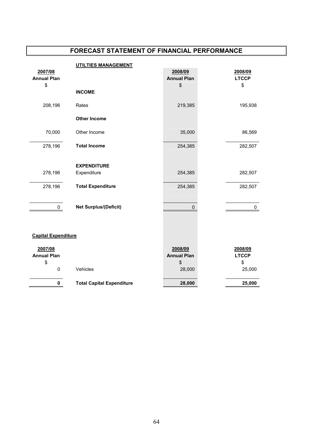|                            | <b>UTILTIES MANAGEMENT</b>       |                    |              |
|----------------------------|----------------------------------|--------------------|--------------|
| 2007/08                    |                                  | 2008/09            | 2008/09      |
| <b>Annual Plan</b>         |                                  | <b>Annual Plan</b> | <b>LTCCP</b> |
| \$                         |                                  | \$                 | \$           |
|                            | <b>INCOME</b>                    |                    |              |
| 208,196                    | Rates                            | 219,385            | 195,938      |
|                            | <b>Other Income</b>              |                    |              |
| 70,000                     | Other Income                     | 35,000             | 86,569       |
| 278,196                    | <b>Total Income</b>              | 254,385            | 282,507      |
|                            | <b>EXPENDITURE</b>               |                    |              |
| 278,196                    | Expenditure                      | 254,385            | 282,507      |
| 278,196                    | <b>Total Expenditure</b>         | 254,385            | 282,507      |
| 0                          | <b>Net Surplus/(Deficit)</b>     | 0                  | 0            |
|                            |                                  |                    |              |
| <b>Capital Expenditure</b> |                                  |                    |              |
|                            |                                  |                    |              |
| 2007/08                    |                                  | 2008/09            | 2008/09      |
| <b>Annual Plan</b>         |                                  | <b>Annual Plan</b> | <b>LTCCP</b> |
| \$                         |                                  | \$                 | \$           |
| $\pmb{0}$                  | Vehicles                         | 28,000             | 25,000       |
| $\pmb{0}$                  | <b>Total Capital Expenditure</b> | 28,000             | 25,000       |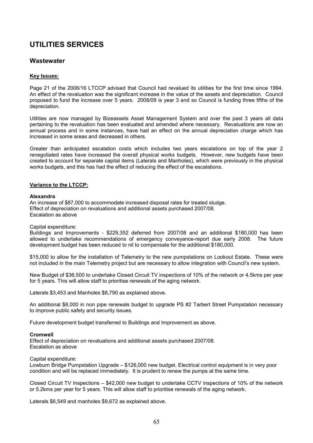# **Wastewater**

## Key Issues:

Page 21 of the 2006/16 LTCCP advised that Council had revalued its utilities for the first time since 1994. An effect of the revaluation was the significant increase in the value of the assets and depreciation. Council proposed to fund the increase over 5 years. 2008/09 is year 3 and so Council is funding three fifths of the depreciation.

Utilities are now managed by Bizeassets Asset Management System and over the past 3 years all data pertaining to the revaluation has been evaluated and amended where necessary. Revaluations are now an annual process and in some instances, have had an effect on the annual depreciation charge which has increased in some areas and decreased in others.

Greater than anticipated escalation costs which includes two years escalations on top of the year 2 renegotiated rates have increased the overall physical works budgets. However, new budgets have been created to account for separate capital items (Laterals and Manholes), which were previously in the physical works budgets, and this has had the effect of reducing the effect of the escalations.

### Variance to the LTCCP:

### Alexandra

An increase of \$87,000 to accommodate increased disposal rates for treated sludge. Effect of depreciation on revaluations and additional assets purchased 2007/08. Escalation as above

Capital expenditure:

Buildings and Improvements - \$229,352 deferred from 2007/08 and an additional \$180,000 has been allowed to undertake recommendations of emergency conveyance-report due early 2008. The future development budget has been reduced to nil to compensate for the additional \$180,000.

\$15,000 to allow for the installation of Telemetry to the new pumpstations on Lookout Estate. These were not included in the main Telemetry project but are necessary to allow integration with Council's new system.

New Budget of \$36,500 to undertake Closed Circuit TV inspections of 10% of the network or 4.5kms per year for 5 years. This will allow staff to prioritise renewals of the aging network.

Laterals \$3,453 and Manholes \$8,790 as explained above.

An additional \$8,000 in non pipe renewals budget to upgrade PS #2 Tarbert Street Pumpstation necessary to improve public safety and security issues.

Future development budget transferred to Buildings and Improvement as above.

### Cromwell

Effect of depreciation on revaluations and additional assets purchased 2007/08. Escalation as above

### Capital expenditure:

Lowburn Bridge Pumpstation Upgrade – \$126,000 new budget. Electrical control equipment is in very poor condition and will be replaced immediately. It is prudent to renew the pumps at the same time.

Closed Circuit TV Inspections – \$42,000 new budget to undertake CCTV inspections of 10% of the network or 5.2kms per year for 5 years. This will allow staff to prioritise renewals of the aging network.

Laterals \$6,549 and manholes \$9,672 as explained above.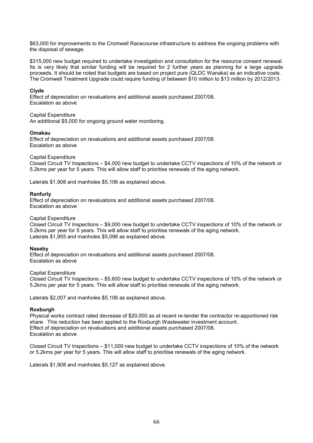\$63,000 for improvements to the Cromwell Racecourse infrastructure to address the ongoing problems with the disposal of sewage.

\$315,000 new budget required to undertake investigation and consultation for the resource consent renewal. Its is very likely that similar funding will be required for 2 further years as planning for a large upgrade proceeds. It should be noted that budgets are based on project pure (QLDC Wanaka) as an indicative costs. The Cromwell Treatment Upgrade could require funding of between \$10 million to \$13 million by 2012/2013.

### Clyde

Effect of depreciation on revaluations and additional assets purchased 2007/08. Escalation as above

Capital Expenditure

An additional \$5,000 for ongoing ground water monitoring.

### Omakau

Effect of depreciation on revaluations and additional assets purchased 2007/08. Escalation as above

### Capital Expenditure

Closed Circuit TV Inspections – \$4,000 new budget to undertake CCTV inspections of 10% of the network or 5.2kms per year for 5 years. This will allow staff to prioritise renewals of the aging network.

Laterals \$1,908 and manholes \$5,106 as explained above.

### Ranfurly

Effect of depreciation on revaluations and additional assets purchased 2007/08. Escalation as above

### Capital Expenditure

Closed Circuit TV Inspections – \$9,000 new budget to undertake CCTV inspections of 10% of the network or 5.2kms per year for 5 years. This will allow staff to prioritise renewals of the aging network. Laterals \$1,955 and manholes \$5,096 as explained above.

### Naseby

Effect of depreciation on revaluations and additional assets purchased 2007/08. Escalation as above

### Capital Expenditure

Closed Circuit TV Inspections – \$5,600 new budget to undertake CCTV inspections of 10% of the network or 5.2kms per year for 5 years. This will allow staff to prioritise renewals of the aging network.

Laterals \$2,007 and manholes \$5,106 as explained above.

### Roxburgh

Physical works contract rated decrease of \$20,000 as at recent re-tender the contractor re-apportioned risk share. This reduction has been applied to the Roxburgh Wastewater investment account. Effect of depreciation on revaluations and additional assets purchased 2007/08. Escalation as above

Closed Circuit TV Inspections – \$11,000 new budget to undertake CCTV inspections of 10% of the network or 5.2kms per year for 5 years. This will allow staff to prioritise renewals of the aging network.

Laterals \$1,908 and manholes \$5,127 as explained above.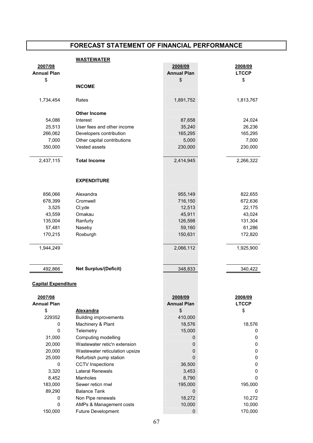### **WASTEWATER**

| 2007/08<br><b>Annual Plan</b><br>\$ |                                | 2008/09<br><b>Annual Plan</b> | 2008/09<br><b>LTCCP</b><br>\$ |
|-------------------------------------|--------------------------------|-------------------------------|-------------------------------|
|                                     | <b>INCOME</b>                  | \$                            |                               |
|                                     |                                |                               |                               |
| 1,734,454                           | Rates                          | 1,891,752                     | 1,813,767                     |
|                                     | <b>Other Income</b>            |                               |                               |
| 54,086                              | Interest                       | 87,658                        | 24,024                        |
| 25,513                              | User fees and other income     | 35,240                        | 26,236                        |
| 266,062                             | Developers contribution        | 165,295                       | 165,295                       |
| 7,000                               | Other capital contributions    | 5,000                         | 7,000                         |
| 350,000                             | Vested assets                  | 230,000                       | 230,000                       |
| 2,437,115                           | <b>Total Income</b>            | 2,414,945                     | 2,266,322                     |
|                                     | <b>EXPENDITURE</b>             |                               |                               |
| 856,066                             | Alexandra                      | 955,149                       | 822,655                       |
| 678,399                             | Cromwell                       | 716,150                       | 672,636                       |
| 3,525                               | Cl;yde                         | 12,513                        | 22,175                        |
| 43,559                              | Omakau                         | 45,911                        | 43,024                        |
| 135,004                             | Ranfurly                       | 126,598                       | 131,304                       |
| 57,481                              | Naseby                         | 59,160                        | 61,286                        |
| 170,215                             | Roxburgh                       | 150,631                       | 172,820                       |
|                                     |                                |                               |                               |
| 1,944,249                           |                                | 2,066,112                     | 1,925,900                     |
|                                     |                                |                               |                               |
| 492,866                             | <b>Net Surplus/(Deficit)</b>   | 348,833                       | 340,422                       |
|                                     |                                |                               |                               |
| <b>Capital Expenditure</b>          |                                |                               |                               |
| 2007/08                             |                                | 2008/09                       | 2008/09                       |
| <b>Annual Plan</b>                  |                                | <b>Annual Plan</b>            | <b>LTCCP</b>                  |
| \$                                  | <b>Alexandra</b>               | \$                            | \$                            |
| 229352                              | <b>Building improvements</b>   | 410,000                       |                               |
| 0                                   | Machinery & Plant              | 18,576                        | 18,576                        |
| 0                                   | Telemetry                      | 15,000                        | 0                             |
| 31,000                              | Computing modelling            | 0                             | 0                             |
| 20,000                              | Wastewater retic'n extension   | 0                             | 0                             |
| 20,000                              | Wastewater reticulation upsize | 0                             | 0                             |
| 25,000                              | Refurbish pump station         | 0                             | 0                             |
| 0                                   | <b>CCTV</b> Inspections        | 36,500                        | 0                             |
| 3,320                               | Lateral Renewals               | 3,453                         | 0                             |
| 8,452                               | Manholes                       | 8,790                         | 0                             |
| 183,000                             | Sewer reticn rnwl              | 195,000                       | 195,000                       |
| 89,290                              | <b>Balance Tank</b>            | 0                             | 0                             |
| 0                                   | Non Pipe renewals              | 18,272                        | 10,272                        |
| 0                                   | AMPs & Management costs        | 10,000                        | 10,000                        |
| 150,000                             | Future Development             | 0                             | 170,000                       |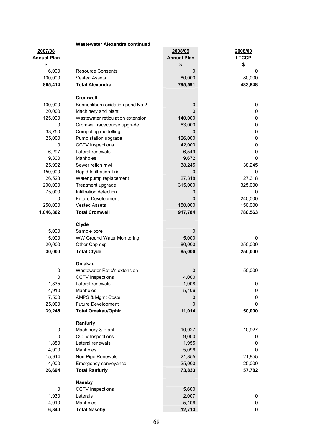|                    | <b>Wastewater Alexandra continued</b> |                    |              |
|--------------------|---------------------------------------|--------------------|--------------|
| 2007/08            |                                       | 2008/09            | 2008/09      |
| <b>Annual Plan</b> |                                       | <b>Annual Plan</b> | <b>LTCCP</b> |
| \$                 |                                       | \$                 | \$           |
| 6,000              | <b>Resource Consents</b>              | 0                  | 0            |
| 100,000            | <b>Vested Assets</b>                  | 80,000             | 80,000       |
| 865,414            | <b>Total Alexandra</b>                | 795,591            | 483,848      |
|                    | <b>Cromwell</b>                       |                    |              |
| 100,000            | Bannockburn oxidation pond No.2       | 0                  | 0            |
| 20,000             | Machinery and plant                   | 0                  | 0            |
| 125,000            | Wastewater reticulation extension     | 140,000            | 0            |
| 0                  | Cromwell racecourse upgrade           | 63,000             | 0            |
| 33,750             | Computing modelling                   | 0                  | 0            |
| 25,000             | Pump station upgrade                  | 126,000            | 0            |
| 0                  | <b>CCTV</b> Inspections               | 42,000             | 0            |
| 6,297              | Lateral renewals                      | 6,549              | 0            |
| 9,300              | Manholes                              | 9,672              | 0            |
| 25,992             | Sewer reticn rnwl                     | 38,245             | 38,245       |
| 150,000            | Rapid Infiltration Trial              | 0                  | 0            |
| 26,523             | Water pump replacement                | 27,318             | 27,318       |
| 200,000            | Treatment upgrade                     | 315,000            | 325,000      |
| 75,000             | Infiltration detection                | 0                  | 0            |
| 0                  | Future Development                    | 0                  | 240,000      |
| 250,000            | <b>Vested Assets</b>                  | 150,000            | 150,000      |
| 1,046,862          | <b>Total Cromwell</b>                 | 917,784            | 780,563      |
|                    | <b>Clyde</b>                          |                    |              |
| 5,000              | Sample bore                           | 0                  |              |
| 5,000              | <b>WW Ground Water Monitoring</b>     | 5,000              | 0            |
| 20,000             | Other Cap exp                         | 80,000             | 250,000      |
| 30,000             | <b>Total Clyde</b>                    | 85,000             | 250,000      |
|                    | Omakau                                |                    |              |
| 0                  | Wastewater Retic'n extension          | 0                  | 50,000       |
| U                  | <b>CCTV</b> Inspections               | 4,000              |              |
| 1,835              | Lateral renewals                      | 1,908              | 0            |
| 4,910              | Manholes                              | 5,106              | 0            |
| 7,500              | AMPS & Mgmt Costs                     | 0                  | 0            |
| 25,000             | Future Development                    | 0                  | 0            |
| 39,245             | <b>Total Omakau/Ophir</b>             | 11,014             | 50,000       |
|                    | Ranfurly                              |                    |              |
| 0                  | Machinery & Plant                     | 10,927             | 10,927       |
| 0                  | <b>CCTV</b> Inspections               | 9,000              | 0            |
| 1,880              | Lateral renewals                      | 1,955              | 0            |
| 4,900              | Manholes                              | 5,096              | 0            |
| 15,914             | Non Pipe Renewals                     | 21,855             | 21,855       |
| 4,000              | Emergency conveyance                  | 25,000             | 25,000       |
| 26,694             | <b>Total Ranfurly</b>                 | 73,833             | 57,782       |
|                    | <b>Naseby</b>                         |                    |              |
| 0                  | <b>CCTV</b> Inspections               | 5,600              |              |
| 1,930              | Laterals                              | 2,007              | 0            |
| 4,910              | Manholes                              | 5,106              | 0            |
| 6,840              | <b>Total Naseby</b>                   | 12,713             | $\mathbf 0$  |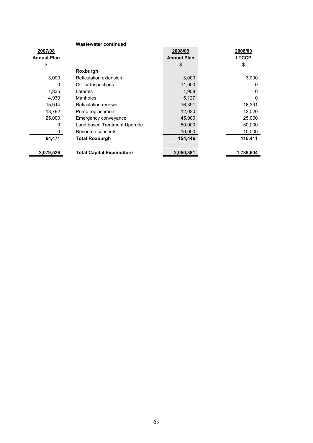|                    | <b>Wastewater continued</b>      |                    |              |
|--------------------|----------------------------------|--------------------|--------------|
| 2007/08            |                                  | 2008/09            | 2008/09      |
| <b>Annual Plan</b> |                                  | <b>Annual Plan</b> | <b>LTCCP</b> |
| \$                 |                                  | \$                 | \$           |
|                    | Roxburgh                         |                    |              |
| 3.000              | Reticulation extension           | 3,000              | 3,000        |
| 0                  | <b>CCTV</b> Inspections          | 11,000             | 0            |
| 1,835              | Laterals                         | 1,908              | 0            |
| 4,930              | Manholes                         | 5,127              | ŋ            |
| 15,914             | Reticulation renewal             | 16,391             | 16,391       |
| 13,792             | Pump replacement                 | 12,020             | 12,020       |
| 25,000             | Emergency conveyance             | 45,000             | 25,000       |
| 0                  | Land based Treatment Upgrade     | 50,000             | 50,000       |
| 0                  | Resource consents                | 10,000             | 10,000       |
| 64,471             | <b>Total Roxburgh</b>            | 154,446            | 116,411      |
| 2,079,526          | <b>Total Capital Expenditure</b> | 2,050,381          | 1,738,604    |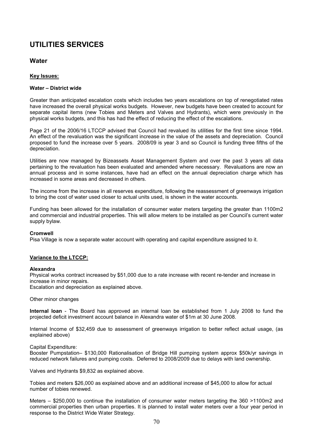# **Water**

# Key Issues:

# Water – District wide

Greater than anticipated escalation costs which includes two years escalations on top of renegotiated rates have increased the overall physical works budgets. However, new budgets have been created to account for separate capital items (new Tobies and Meters and Valves and Hydrants), which were previously in the physical works budgets, and this has had the effect of reducing the effect of the escalations.

Page 21 of the 2006/16 LTCCP advised that Council had revalued its utilities for the first time since 1994. An effect of the revaluation was the significant increase in the value of the assets and depreciation. Council proposed to fund the increase over 5 years. 2008/09 is year 3 and so Council is funding three fifths of the depreciation.

Utilities are now managed by Bizeassets Asset Management System and over the past 3 years all data pertaining to the revaluation has been evaluated and amended where necessary. Revaluations are now an annual process and in some instances, have had an effect on the annual depreciation charge which has increased in some areas and decreased in others.

The income from the increase in all reserves expenditure, following the reassessment of greenways irrigation to bring the cost of water used closer to actual units used, is shown in the water accounts.

Funding has been allowed for the installation of consumer water meters targeting the greater than 1100m2 and commercial and industrial properties. This will allow meters to be installed as per Council's current water supply bylaw.

### Cromwell

Pisa Village is now a separate water account with operating and capital expenditure assigned to it.

# Variance to the LTCCP:

### Alexandra

Physical works contract increased by \$51,000 due to a rate increase with recent re-tender and increase in increase in minor repairs.

Escalation and depreciation as explained above.

Other minor changes

Internal loan - The Board has approved an internal loan be established from 1 July 2008 to fund the projected deficit investment account balance in Alexandra water of \$1m at 30 June 2008.

Internal Income of \$32,459 due to assessment of greenways irrigation to better reflect actual usage, (as explained above)

Capital Expenditure:

Booster Pumpstation– \$130,000 Rationalisation of Bridge Hill pumping system approx \$50k/yr savings in reduced network failures and pumping costs. Deferred to 2008/2009 due to delays with land ownership.

Valves and Hydrants \$9,832 as explained above.

Tobies and meters \$26,000 as explained above and an additional increase of \$45,000 to allow for actual number of tobies renewed.

Meters – \$250,000 to continue the installation of consumer water meters targeting the 360 >1100m2 and commercial properties then urban properties. It is planned to install water meters over a four year period in response to the District Wide Water Strategy.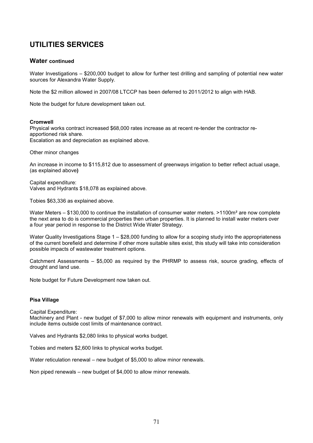# Water continued

Water Investigations – \$200,000 budget to allow for further test drilling and sampling of potential new water sources for Alexandra Water Supply.

Note the \$2 million allowed in 2007/08 LTCCP has been deferred to 2011/2012 to align with HAB.

Note the budget for future development taken out.

### Cromwell

Physical works contract increased \$68,000 rates increase as at recent re-tender the contractor reapportioned risk share. Escalation as and depreciation as explained above.

Other minor changes

An increase in income to \$115,812 due to assessment of greenways irrigation to better reflect actual usage, (as explained above)

Capital expenditure: Valves and Hydrants \$18,078 as explained above.

Tobies \$63,336 as explained above.

Water Meters – \$130,000 to continue the installation of consumer water meters. >1100m<sup>2</sup> are now complete the next area to do is commercial properties then urban properties. It is planned to install water meters over a four year period in response to the District Wide Water Strategy.

Water Quality Investigations Stage 1 – \$28,000 funding to allow for a scoping study into the appropriateness of the current borefield and determine if other more suitable sites exist, this study will take into consideration possible impacts of wastewater treatment options.

Catchment Assessments – \$5,000 as required by the PHRMP to assess risk, source grading, effects of drought and land use.

Note budget for Future Development now taken out.

# Pisa Village

Capital Expenditure:

Machinery and Plant - new budget of \$7,000 to allow minor renewals with equipment and instruments, only include items outside cost limits of maintenance contract.

Valves and Hydrants \$2,080 links to physical works budget.

Tobies and meters \$2,600 links to physical works budget.

Water reticulation renewal – new budget of \$5,000 to allow minor renewals.

Non piped renewals – new budget of \$4,000 to allow minor renewals.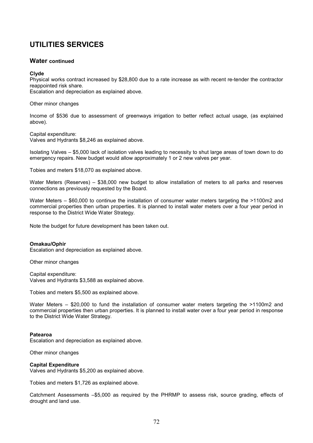# Water continued

## Clyde

Physical works contract increased by \$28,800 due to a rate increase as with recent re-tender the contractor reappointed risk share.

Escalation and depreciation as explained above.

Other minor changes

Income of \$536 due to assessment of greenways irrigation to better reflect actual usage, (as explained above).

Capital expenditure:

Valves and Hydrants \$8,246 as explained above.

Isolating Valves – \$5,000 lack of isolation valves leading to necessity to shut large areas of town down to do emergency repairs. New budget would allow approximately 1 or 2 new valves per year.

Tobies and meters \$18,070 as explained above.

Water Meters (Reserves) – \$38,000 new budget to allow installation of meters to all parks and reserves connections as previously requested by the Board.

Water Meters – \$60,000 to continue the installation of consumer water meters targeting the >1100m2 and commercial properties then urban properties. It is planned to install water meters over a four year period in response to the District Wide Water Strategy.

Note the budget for future development has been taken out.

### Omakau/Ophir

Escalation and depreciation as explained above.

Other minor changes

Capital expenditure: Valves and Hydrants \$3,588 as explained above.

Tobies and meters \$5,500 as explained above.

Water Meters – \$20,000 to fund the installation of consumer water meters targeting the >1100m2 and commercial properties then urban properties. It is planned to install water over a four year period in response to the District Wide Water Strategy.

### Patearoa

Escalation and depreciation as explained above.

Other minor changes

### Capital Expenditure

Valves and Hydrants \$5,200 as explained above.

Tobies and meters \$1,726 as explained above.

Catchment Assessments –\$5,000 as required by the PHRMP to assess risk, source grading, effects of drought and land use.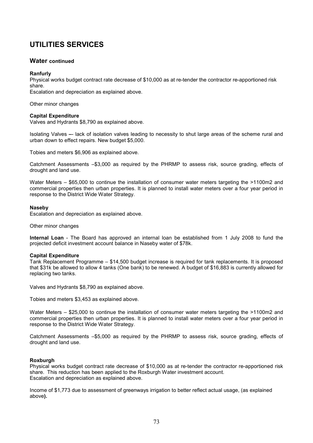# Water continued

## Ranfurly

Physical works budget contract rate decrease of \$10,000 as at re-tender the contractor re-apportioned risk share.

Escalation and depreciation as explained above.

Other minor changes

## Capital Expenditure

Valves and Hydrants \$8,790 as explained above.

Isolating Valves –- lack of isolation valves leading to necessity to shut large areas of the scheme rural and urban down to effect repairs. New budget \$5,000.

Tobies and meters \$6,906 as explained above.

Catchment Assessments –\$3,000 as required by the PHRMP to assess risk, source grading, effects of drought and land use.

Water Meters – \$65,000 to continue the installation of consumer water meters targeting the >1100m2 and commercial properties then urban properties. It is planned to install water meters over a four year period in response to the District Wide Water Strategy.

## Naseby

Escalation and depreciation as explained above.

Other minor changes

Internal Loan - The Board has approved an internal loan be established from 1 July 2008 to fund the projected deficit investment account balance in Naseby water of \$78k.

# Capital Expenditure

Tank Replacement Programme – \$14,500 budget increase is required for tank replacements. It is proposed that \$31k be allowed to allow 4 tanks (One bank) to be renewed. A budget of \$16,883 is currently allowed for replacing two tanks.

Valves and Hydrants \$8,790 as explained above.

Tobies and meters \$3,453 as explained above.

Water Meters – \$25,000 to continue the installation of consumer water meters targeting the >1100m2 and commercial properties then urban properties. It is planned to install water meters over a four year period in response to the District Wide Water Strategy.

Catchment Assessments –\$5,000 as required by the PHRMP to assess risk, source grading, effects of drought and land use.

# Roxburgh

Physical works budget contract rate decrease of \$10,000 as at re-tender the contractor re-apportioned risk share. This reduction has been applied to the Roxburgh Water investment account. Escalation and depreciation as explained above.

Income of \$1,773 due to assessment of greenways irrigation to better reflect actual usage, (as explained above).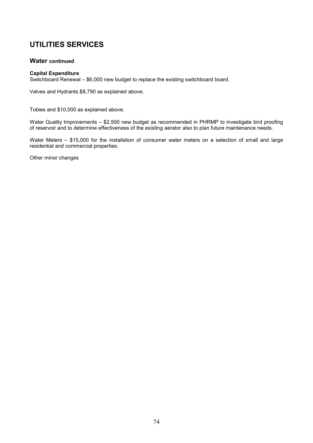# Water continued

## Capital Expenditure

Switchboard Renewal – \$6,000 new budget to replace the existing switchboard board.

Valves and Hydrants \$8,790 as explained above.

Tobies and \$10,000 as explained above.

Water Quality Improvements – \$2,500 new budget as recommended in PHRMP to investigate bird proofing of reservoir and to determine effectiveness of the existing aerator also to plan future maintenance needs.

Water Meters – \$15,000 for the installation of consumer water meters on a selection of small and large residential and commercial properties.

Other minor changes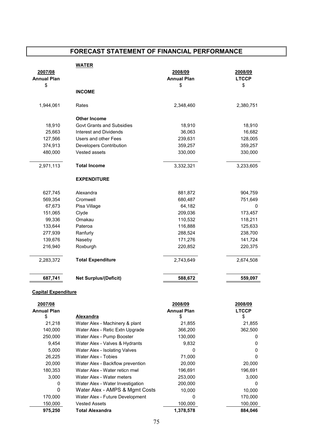# FORECAST STATEMENT OF FINANCIAL PERFORMANCE

|                            | <b>WATER</b>                     |                    |              |
|----------------------------|----------------------------------|--------------------|--------------|
| 2007/08                    |                                  | 2008/09            | 2008/09      |
| <b>Annual Plan</b>         |                                  | <b>Annual Plan</b> | <b>LTCCP</b> |
| \$                         |                                  | \$                 | \$           |
|                            | <b>INCOME</b>                    |                    |              |
| 1,944,061                  | Rates                            | 2,348,460          | 2,380,751    |
|                            | <b>Other Income</b>              |                    |              |
| 18,910                     | <b>Govt Grants and Subsidies</b> | 18,910             | 18,910       |
| 25,663                     | Interest and Dividends           | 36,063             | 16,682       |
| 127,566                    | Users and other Fees             | 239,631            | 128,005      |
| 374,913                    | Developers Contribution          | 359,257            | 359,257      |
| 480,000                    | Vested assets                    | 330,000            | 330,000      |
| 2,971,113                  | <b>Total Income</b>              | 3,332,321          | 3,233,605    |
|                            | <b>EXPENDITURE</b>               |                    |              |
| 627,745                    | Alexandra                        | 881,872            | 904,759      |
| 569,354                    | Cromwell                         | 680,487            | 751,649      |
| 67,673                     | Pisa Village                     | 64,182             | 0            |
| 151,065                    | Clyde                            | 209,036            | 173,457      |
| 99,336                     | Omakau                           | 110,532            | 118,211      |
| 133,644                    | Pateroa                          | 116,888            | 125,633      |
| 277,939                    | Ranfurly                         | 288,524            | 238,700      |
| 139,676                    | Naseby                           | 171,276            | 141,724      |
| 216,940                    | Roxburgh                         | 220,852            | 220,375      |
| 2,283,372                  | <b>Total Expenditure</b>         | 2,743,649          | 2,674,508    |
| 687,741                    | <b>Net Surplus/(Deficit)</b>     | 588,672            | 559,097      |
| <b>Capital Expenditure</b> |                                  |                    |              |
| 2007/08                    |                                  | 2008/09            | 2008/09      |

| 1001100            |                                  | <u>zovojos</u>     | <u>zovoros</u> |
|--------------------|----------------------------------|--------------------|----------------|
| <b>Annual Plan</b> |                                  | <b>Annual Plan</b> | <b>LTCCP</b>   |
| \$                 | Alexandra                        | \$                 | \$             |
| 21,218             | Water Alex - Machinery & plant   | 21,855             | 21,855         |
| 140,000            | Water Alex - Retic Extn Upgrade  | 366,200            | 362,500        |
| 250,000            | Water Alex - Pump Booster        | 130,000            | 0              |
| 9,454              | Water Alex - Valves & Hydrants   | 9,832              | 0              |
| 5,000              | Water Alex - Isolating Valves    |                    | $\Omega$       |
| 26,225             | Water Alex - Tobies              | 71,000             | 0              |
| 20,000             | Water Alex - Backflow prevention | 20,000             | 20,000         |
| 180,353            | Water Alex - Water reticn rnwl   | 196,691            | 196,691        |
| 3,000              | Water Alex - Water meters        | 253,000            | 3,000          |
| 0                  | Water Alex - Water Investigation | 200,000            | 0              |
| 0                  | Water Alex - AMPS & Mgmt Costs   | 10,000             | 10,000         |
| 170,000            | Water Alex - Future Development  | 0                  | 170,000        |
| 150.000            | <b>Vested Assets</b>             | 100.000            | 100,000        |
| 975,250            | <b>Total Alexandra</b>           | 1,378,578          | 884.046        |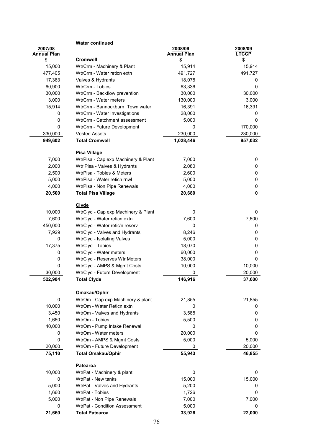|                    | <b>Water continued</b>              |                    |              |
|--------------------|-------------------------------------|--------------------|--------------|
| 2007/08            |                                     | 2008/09            | 2008/09      |
| <b>Annual Plan</b> |                                     | <b>Annual Plan</b> | <b>LTCCP</b> |
| \$                 | <b>Cromwell</b>                     | \$                 | \$           |
| 15,000             | WtrCrm - Machinery & Plant          | 15,914             | 15,914       |
| 477,405            | WtrCrm - Water reticn extn          | 491,727            | 491,727      |
| 17,383             | Valves & Hydrants                   | 18,078             | 0            |
| 60,900             | WtrCrm - Tobies                     | 63,336             | 0            |
| 30,000             | WtrCrm - Backflow prevention        | 30,000             | 30,000       |
| 3,000              | WtrCrm - Water meters               | 130,000            | 3,000        |
| 15,914             | WtrCrm - Bannockburn Town water     | 16,391             | 16,391       |
| 0                  | WtrCrm - Water Investigations       | 28,000             | 0            |
| 0                  | WtrCrm - Catchment assessment       | 5,000              | 0            |
| $\mathbf 0$        | WtrCrm - Future Development         | 0                  | 170,000      |
| 330,000            | <b>Vested Assets</b>                | 230,000            | 230,000      |
| 949,602            | <b>Total Cromwell</b>               | 1,028,446          | 957,032      |
|                    |                                     |                    |              |
|                    | <b>Pisa Village</b>                 |                    |              |
| 7,000              | WtrPisa - Cap exp Machinery & Plant | 7,000              | 0            |
| 2,000              | Wtr Pisa - Valves & Hydrants        | 2,080              | 0            |
| 2,500              | WtrPisa - Tobies & Meters           | 2,600              | 0            |
| 5,000              | WtrPisa - Water reticn rnwl         | 5,000              | 0            |
| 4,000              | WtrPisa - Non Pipe Renewals         | 4,000              | 0            |
| 20,500             | <b>Total Pisa Village</b>           | 20,680             | $\mathbf 0$  |
|                    | <b>Clyde</b>                        |                    |              |
| 10,000             | WtrClyd - Cap exp Machinery & Plant | 0                  | 0            |
| 7,600              | WtrClyd - Water reticn extn         | 7,600              | 7,600        |
|                    | WtrClyd - Water retic'n reserv      | 0                  |              |
| 450,000            |                                     |                    | 0            |
| 7,929              | WtrClyd - Valves and Hydrants       | 8,246              | 0            |
| 0                  | WtrClyd - Isolating Valves          | 5,000              | 0            |
| 17,375             | WtrClyd - Tobies                    | 18,070             | 0            |
| 0                  | WtrClyd - Water meters              | 60,000             | 0            |
| 0                  | WtrClyd - Reserves Wtr Meters       | 38,000             | $\mathbf 0$  |
| $\mathbf 0$        | WtrClyd - AMPS & Mgmt Costs         | 10,000             | 10,000       |
| 30,000             | WtrClyd - Future Development        | 0                  | 20,000       |
| 522,904            | <b>Total Clyde</b>                  | 146,916            | 37,600       |
|                    |                                     |                    |              |
|                    | Omakau/Ophir                        |                    |              |
| 0                  | WtrOm - Cap exp Machinery & plant   | 21,855             | 21,855       |
| 10,000             | WtrOm - Water Reticn extn           | 0                  | 0            |
| 3,450              | WtrOm - Valves and Hydrants         | 3,588              | 0            |
| 1,660              | WtrOm - Tobies                      | 5,500              | 0            |
| 40,000             | WtrOm - Pump Intake Renewal         | 0                  | 0            |
| 0                  | WtrOm - Water meters                | 20,000             | 0            |
| 0                  | WtrOm - AMPS & Mgmt Costs           | 5,000              | 5,000        |
| 20,000             | WtrOm - Future Development          | 0                  | 20,000       |
| 75,110             | <b>Total Omakau/Ophir</b>           | 55,943             | 46,855       |
|                    | Patearoa                            |                    |              |
| 10,000             | WtrPat - Machinery & plant          | 0                  | 0            |
| 0                  | WtrPat - New tanks                  | 15,000             | 15,000       |
| 5,000              | WtrPat - Valves and Hydrants        | 5,200              | 0            |
| 1,660              | WtrPat - Tobies                     | 1,726              | 0            |
| 5,000              | WtrPat - Non Pipe Renewals          | 7,000              | 7,000        |
| 0                  | WtrPat - Condition Assessment       | 5,000              | 0            |
| 21,660             | <b>Total Patearoa</b>               | 33,926             | 22,000       |
|                    |                                     |                    |              |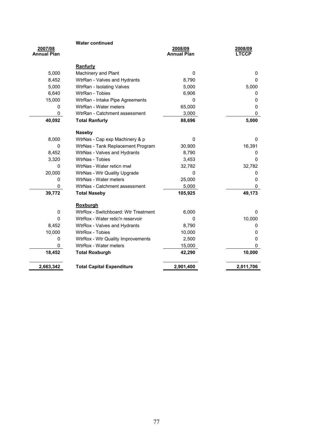|                               | <b>Water continued</b>              |                               |                         |
|-------------------------------|-------------------------------------|-------------------------------|-------------------------|
| 2007/08<br><b>Annual Plan</b> |                                     | 2008/09<br><b>Annual Plan</b> | 2008/09<br><b>LTCCP</b> |
|                               |                                     |                               |                         |
|                               | Ranfurly                            |                               |                         |
| 5,000                         | Machinery and Plant                 | $\mathbf 0$                   | 0                       |
| 8,452                         | WtrRan - Valves and Hydrants        | 8,790                         | 0                       |
| 5,000                         | WtrRan - Isolating Valves           | 5,000                         | 5,000                   |
| 6,640                         | WtrRan - Tobies                     | 6,906                         | 0                       |
| 15,000                        | WtrRan - Intake Pipe Agreements     | 0                             | $\mathbf 0$             |
| 0                             | WtrRan - Water meters               | 65,000                        | $\mathbf 0$             |
| 0                             | WtrRan - Catchment assessment       | 3,000                         | 0                       |
| 40,092                        | <b>Total Ranfurly</b>               | 88,696                        | 5,000                   |
|                               | <b>Naseby</b>                       |                               |                         |
| 8,000                         | WtrNas - Cap exp Machinery & p      | $\mathbf{0}$                  | 0                       |
| 0                             | WtrNas - Tank Replacement Program   | 30,900                        | 16,391                  |
| 8,452                         | WtrNas - Valves and Hydrants        | 8,790                         | 0                       |
| 3,320                         | <b>WtrNas - Tobies</b>              | 3,453                         | $\Omega$                |
| 0                             | WtrNas - Water reticn rnwl          | 32,782                        | 32,782                  |
| 20,000                        | WtrNas - Wtr Quality Upgrade        | $\mathbf{0}$                  | 0                       |
| 0                             | WtrNas - Water meters               | 25,000                        | 0                       |
| 0                             | WtrNas - Catchment assessment       | 5,000                         | 0                       |
| 39,772                        | <b>Total Naseby</b>                 | 105,925                       | 49,173                  |
|                               | <b>Roxburgh</b>                     |                               |                         |
| 0                             | WtrRox - Switchboard: Wtr Treatment | 6,000                         | 0                       |
| $\Omega$                      | WtrRox - Water retic'n reservoir    | $\mathbf 0$                   | 10,000                  |
| 8,452                         | WtrRox - Valves and Hydrants        | 8,790                         | 0                       |
| 10,000                        | <b>WtrRox - Tobies</b>              | 10,000                        | 0                       |
| 0                             | WtrRox - Wtr Quality Improvements   | 2,500                         | $\mathbf 0$             |
| 0                             | WtrRox - Water meters               | 15,000                        | $\mathbf 0$             |
| 18,452                        | <b>Total Roxburgh</b>               | 42,290                        | 10,000                  |
|                               |                                     |                               |                         |
| 2,663,342                     | <b>Total Capital Expenditure</b>    | 2,901,400                     | 2,011,706               |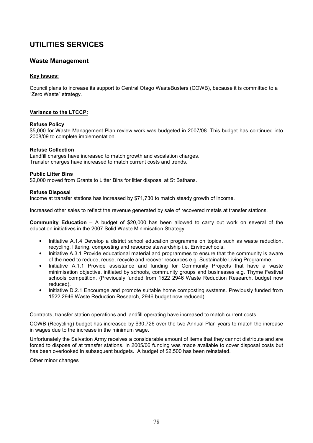# Waste Management

# Key Issues:

Council plans to increase its support to Central Otago WasteBusters (COWB), because it is committed to a "Zero Waste" strategy.

# Variance to the LTCCP:

## Refuse Policy

\$5,000 for Waste Management Plan review work was budgeted in 2007/08. This budget has continued into 2008/09 to complete implementation.

## Refuse Collection

Landfill charges have increased to match growth and escalation charges. Transfer charges have increased to match current costs and trends.

## Public Litter Bins

\$2,000 moved from Grants to Litter Bins for litter disposal at St Bathans.

## Refuse Disposal

Income at transfer stations has increased by \$71,730 to match steady growth of income.

Increased other sales to reflect the revenue generated by sale of recovered metals at transfer stations.

Community Education – A budget of \$20,000 has been allowed to carry out work on several of the education initiatives in the 2007 Solid Waste Minimisation Strategy:

- Initiative A.1.4 Develop a district school education programme on topics such as waste reduction, recycling, littering, composting and resource stewardship i.e. Enviroschools.
- Initiative A.3.1 Provide educational material and programmes to ensure that the community is aware of the need to reduce, reuse, recycle and recover resources e.g. Sustainable Living Programme.
- Initiative A.1.1 Provide assistance and funding for Community Projects that have a waste minimisation objective, initiated by schools, community groups and businesses e.g. Thyme Festival schools competition. (Previously funded from 1522 2946 Waste Reduction Research, budget now reduced).
- Initiative D.2.1 Encourage and promote suitable home composting systems. Previously funded from 1522 2946 Waste Reduction Research, 2946 budget now reduced).

Contracts, transfer station operations and landfill operating have increased to match current costs.

COWB (Recycling) budget has increased by \$30,726 over the two Annual Plan years to match the increase in wages due to the increase in the minimum wage.

Unfortunately the Salvation Army receives a considerable amount of items that they cannot distribute and are forced to dispose of at transfer stations. In 2005/06 funding was made available to cover disposal costs but has been overlooked in subsequent budgets. A budget of \$2,500 has been reinstated.

Other minor changes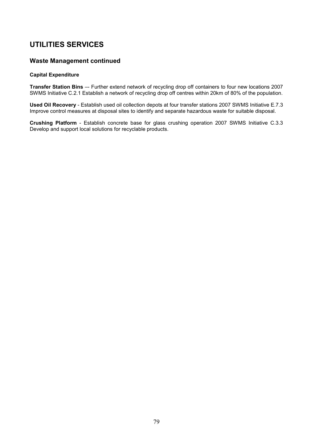# Waste Management continued

## Capital Expenditure

Transfer Station Bins –- Further extend network of recycling drop off containers to four new locations 2007 SWMS Initiative C.2.1 Establish a network of recycling drop off centres within 20km of 80% of the population.

Used Oil Recovery - Establish used oil collection depots at four transfer stations 2007 SWMS Initiative E.7.3 Improve control measures at disposal sites to identify and separate hazardous waste for suitable disposal.

Crushing Platform - Establish concrete base for glass crushing operation 2007 SWMS Initiative C.3.3 Develop and support local solutions for recyclable products.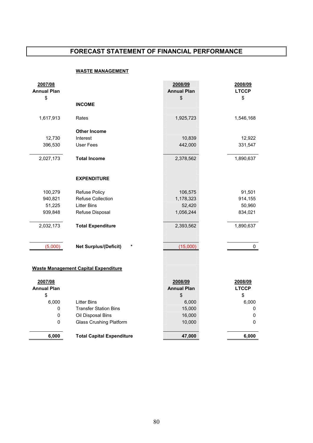# FORECAST STATEMENT OF FINANCIAL PERFORMANCE

# WASTE MANAGEMENT

| \$<br>\$<br>\$<br><b>INCOME</b><br>1,925,723<br>1,617,913<br>Rates<br>1,546,168<br><b>Other Income</b><br>12,730<br>10,839<br>12,922<br>Interest<br>396,530<br>User Fees<br>442,000<br>331,547<br>2,027,173<br><b>Total Income</b><br>2,378,562<br>1,890,637<br><b>EXPENDITURE</b><br>91,501<br>100,279<br><b>Refuse Policy</b><br>106,575<br>940,821<br><b>Refuse Collection</b><br>1,178,323<br>914,155<br>51,225<br><b>Litter Bins</b><br>52,420<br>50,960<br>939,848<br>Refuse Disposal<br>1,056,244<br>834,021<br><b>Total Expenditure</b><br>2,032,173<br>1,890,637<br>2,393,562<br>$\pmb{\ast}$<br>(5,000)<br>(15,000)<br><b>Net Surplus/(Deficit)</b><br>0<br><b>Waste Management Capital Expenditure</b><br>2007/08<br>2008/09<br>2008/09<br><b>Annual Plan</b><br><b>LTCCP</b><br><b>Annual Plan</b> | 2007/08<br><b>Annual Plan</b> | 2008/09<br><b>Annual Plan</b> | 2008/09<br><b>LTCCP</b> |
|----------------------------------------------------------------------------------------------------------------------------------------------------------------------------------------------------------------------------------------------------------------------------------------------------------------------------------------------------------------------------------------------------------------------------------------------------------------------------------------------------------------------------------------------------------------------------------------------------------------------------------------------------------------------------------------------------------------------------------------------------------------------------------------------------------------|-------------------------------|-------------------------------|-------------------------|
|                                                                                                                                                                                                                                                                                                                                                                                                                                                                                                                                                                                                                                                                                                                                                                                                                |                               |                               |                         |
|                                                                                                                                                                                                                                                                                                                                                                                                                                                                                                                                                                                                                                                                                                                                                                                                                |                               |                               |                         |
|                                                                                                                                                                                                                                                                                                                                                                                                                                                                                                                                                                                                                                                                                                                                                                                                                |                               |                               |                         |
|                                                                                                                                                                                                                                                                                                                                                                                                                                                                                                                                                                                                                                                                                                                                                                                                                |                               |                               |                         |
|                                                                                                                                                                                                                                                                                                                                                                                                                                                                                                                                                                                                                                                                                                                                                                                                                |                               |                               |                         |
|                                                                                                                                                                                                                                                                                                                                                                                                                                                                                                                                                                                                                                                                                                                                                                                                                |                               |                               |                         |
|                                                                                                                                                                                                                                                                                                                                                                                                                                                                                                                                                                                                                                                                                                                                                                                                                |                               |                               |                         |
|                                                                                                                                                                                                                                                                                                                                                                                                                                                                                                                                                                                                                                                                                                                                                                                                                |                               |                               |                         |
|                                                                                                                                                                                                                                                                                                                                                                                                                                                                                                                                                                                                                                                                                                                                                                                                                |                               |                               |                         |
|                                                                                                                                                                                                                                                                                                                                                                                                                                                                                                                                                                                                                                                                                                                                                                                                                |                               |                               |                         |
|                                                                                                                                                                                                                                                                                                                                                                                                                                                                                                                                                                                                                                                                                                                                                                                                                |                               |                               |                         |
|                                                                                                                                                                                                                                                                                                                                                                                                                                                                                                                                                                                                                                                                                                                                                                                                                |                               |                               |                         |
|                                                                                                                                                                                                                                                                                                                                                                                                                                                                                                                                                                                                                                                                                                                                                                                                                |                               |                               |                         |
|                                                                                                                                                                                                                                                                                                                                                                                                                                                                                                                                                                                                                                                                                                                                                                                                                |                               |                               |                         |
|                                                                                                                                                                                                                                                                                                                                                                                                                                                                                                                                                                                                                                                                                                                                                                                                                |                               |                               |                         |
|                                                                                                                                                                                                                                                                                                                                                                                                                                                                                                                                                                                                                                                                                                                                                                                                                |                               |                               |                         |
|                                                                                                                                                                                                                                                                                                                                                                                                                                                                                                                                                                                                                                                                                                                                                                                                                |                               |                               |                         |
|                                                                                                                                                                                                                                                                                                                                                                                                                                                                                                                                                                                                                                                                                                                                                                                                                |                               |                               |                         |
|                                                                                                                                                                                                                                                                                                                                                                                                                                                                                                                                                                                                                                                                                                                                                                                                                |                               |                               |                         |
|                                                                                                                                                                                                                                                                                                                                                                                                                                                                                                                                                                                                                                                                                                                                                                                                                |                               |                               |                         |
|                                                                                                                                                                                                                                                                                                                                                                                                                                                                                                                                                                                                                                                                                                                                                                                                                |                               |                               |                         |
|                                                                                                                                                                                                                                                                                                                                                                                                                                                                                                                                                                                                                                                                                                                                                                                                                |                               |                               |                         |
|                                                                                                                                                                                                                                                                                                                                                                                                                                                                                                                                                                                                                                                                                                                                                                                                                |                               |                               |                         |
|                                                                                                                                                                                                                                                                                                                                                                                                                                                                                                                                                                                                                                                                                                                                                                                                                |                               |                               |                         |
|                                                                                                                                                                                                                                                                                                                                                                                                                                                                                                                                                                                                                                                                                                                                                                                                                |                               |                               |                         |
|                                                                                                                                                                                                                                                                                                                                                                                                                                                                                                                                                                                                                                                                                                                                                                                                                |                               |                               |                         |
|                                                                                                                                                                                                                                                                                                                                                                                                                                                                                                                                                                                                                                                                                                                                                                                                                |                               |                               |                         |
|                                                                                                                                                                                                                                                                                                                                                                                                                                                                                                                                                                                                                                                                                                                                                                                                                |                               |                               |                         |
| \$<br>\$<br>\$                                                                                                                                                                                                                                                                                                                                                                                                                                                                                                                                                                                                                                                                                                                                                                                                 |                               |                               |                         |
| 6,000<br><b>Litter Bins</b><br>6,000<br>6,000<br><b>Transfer Station Bins</b><br>15,000                                                                                                                                                                                                                                                                                                                                                                                                                                                                                                                                                                                                                                                                                                                        |                               |                               |                         |
| 0<br>0<br>$\pmb{0}$<br>16,000<br>0                                                                                                                                                                                                                                                                                                                                                                                                                                                                                                                                                                                                                                                                                                                                                                             |                               |                               |                         |
| Oil Disposal Bins<br>$\pmb{0}$<br><b>Glass Crushing Platform</b><br>10,000<br>0                                                                                                                                                                                                                                                                                                                                                                                                                                                                                                                                                                                                                                                                                                                                |                               |                               |                         |
|                                                                                                                                                                                                                                                                                                                                                                                                                                                                                                                                                                                                                                                                                                                                                                                                                |                               |                               |                         |
| 6,000<br><b>Total Capital Expenditure</b><br>47,000<br>6,000                                                                                                                                                                                                                                                                                                                                                                                                                                                                                                                                                                                                                                                                                                                                                   |                               |                               |                         |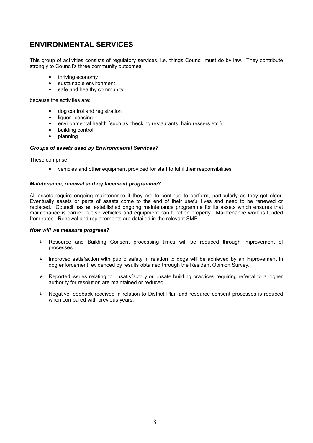# ENVIRONMENTAL SERVICES

This group of activities consists of regulatory services, i.e. things Council must do by law. They contribute strongly to Council's three community outcomes:

- thriving economy
- sustainable environment
- safe and healthy community

because the activities are:

- dog control and registration
- liquor licensing
- environmental health (such as checking restaurants, hairdressers etc.)
- building control
- planning

## Groups of assets used by Environmental Services?

These comprise:

• vehicles and other equipment provided for staff to fulfil their responsibilities

### Maintenance, renewal and replacement programme?

All assets require ongoing maintenance if they are to continue to perform, particularly as they get older. Eventually assets or parts of assets come to the end of their useful lives and need to be renewed or replaced. Council has an established ongoing maintenance programme for its assets which ensures that maintenance is carried out so vehicles and equipment can function properly. Maintenance work is funded from rates. Renewal and replacements are detailed in the relevant SMP.

### How will we measure progress?

- Resource and Building Consent processing times will be reduced through improvement of processes.
- $\triangleright$  Improved satisfaction with public safety in relation to dogs will be achieved by an improvement in dog enforcement, evidenced by results obtained through the Resident Opinion Survey.
- $\triangleright$  Reported issues relating to unsatisfactory or unsafe building practices requiring referral to a higher authority for resolution are maintained or reduced.
- $\triangleright$  Negative feedback received in relation to District Plan and resource consent processes is reduced when compared with previous years.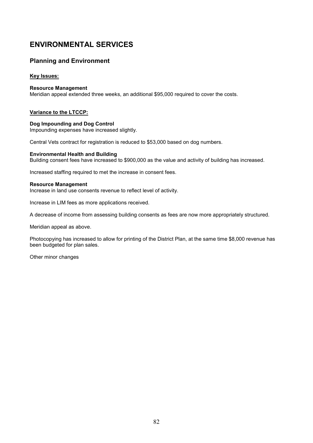# ENVIRONMENTAL SERVICES

# Planning and Environment

# Key Issues:

## Resource Management

Meridian appeal extended three weeks, an additional \$95,000 required to cover the costs.

# Variance to the LTCCP:

### Dog Impounding and Dog Control Impounding expenses have increased slightly.

Central Vets contract for registration is reduced to \$53,000 based on dog numbers.

# Environmental Health and Building

Building consent fees have increased to \$900,000 as the value and activity of building has increased.

Increased staffing required to met the increase in consent fees.

## Resource Management

Increase in land use consents revenue to reflect level of activity.

Increase in LIM fees as more applications received.

A decrease of income from assessing building consents as fees are now more appropriately structured.

Meridian appeal as above.

Photocopying has increased to allow for printing of the District Plan, at the same time \$8,000 revenue has been budgeted for plan sales.

Other minor changes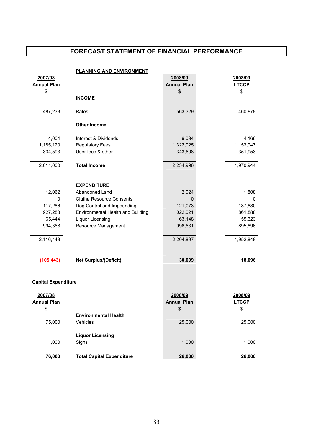# FORECAST STATEMENT OF FINANCIAL PERFORMANCE

| <b>PLANNING AND ENVIRONMENT</b> |                                   |                    |              |
|---------------------------------|-----------------------------------|--------------------|--------------|
| 2007/08                         |                                   | 2008/09            | 2008/09      |
| <b>Annual Plan</b>              |                                   | <b>Annual Plan</b> | <b>LTCCP</b> |
| \$                              |                                   | \$                 | \$           |
|                                 | <b>INCOME</b>                     |                    |              |
|                                 |                                   |                    |              |
| 487,233                         | Rates                             | 563,329            | 460,878      |
|                                 |                                   |                    |              |
|                                 | <b>Other Income</b>               |                    |              |
|                                 |                                   |                    |              |
| 4,004                           | Interest & Dividends              | 6,034              | 4,166        |
| 1,185,170                       | <b>Regulatory Fees</b>            | 1,322,025          | 1,153,947    |
| 334,593                         | User fees & other                 | 343,608            | 351,953      |
|                                 |                                   |                    |              |
| 2,011,000                       | <b>Total Income</b>               | 2,234,996          | 1,970,944    |
|                                 |                                   |                    |              |
|                                 | <b>EXPENDITURE</b>                |                    |              |
| 12,062                          | Abandoned Land                    | 2,024              | 1,808        |
| 0                               | <b>Clutha Resource Consents</b>   | 0                  | 0            |
| 117,286                         | Dog Control and Impounding        | 121,073            | 137,880      |
| 927,283                         | Environmental Health and Building | 1,022,021          | 861,888      |
| 65,444                          | <b>Liquor Licensing</b>           | 63,148             | 55,323       |
| 994,368                         | Resource Management               | 996,631            | 895,896      |
|                                 |                                   |                    |              |
| 2,116,443                       |                                   | 2,204,897          | 1,952,848    |
|                                 |                                   |                    |              |
|                                 |                                   |                    |              |
| (105, 443)                      | <b>Net Surplus/(Deficit)</b>      | 30,099             | 18,096       |
|                                 |                                   |                    |              |
|                                 |                                   |                    |              |
| <b>Capital Expenditure</b>      |                                   |                    |              |
|                                 |                                   |                    |              |
| 2007/08                         |                                   | 2008/09            | 2008/09      |
| <b>Annual Plan</b>              |                                   | <b>Annual Plan</b> | <b>LTCCP</b> |
| \$                              |                                   | \$                 | \$           |
|                                 | <b>Environmental Health</b>       |                    |              |
| 75,000                          | Vehicles                          | 25,000             | 25,000       |
|                                 |                                   |                    |              |
|                                 | <b>Liquor Licensing</b>           |                    |              |
| 1,000                           | Signs                             | 1,000              | 1,000        |
|                                 |                                   |                    |              |
| 76,000                          | <b>Total Capital Expenditure</b>  | 26,000             | 26,000       |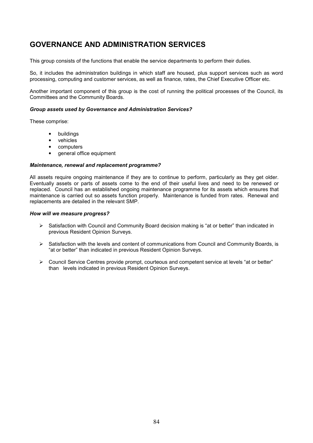# GOVERNANCE AND ADMINISTRATION SERVICES

This group consists of the functions that enable the service departments to perform their duties.

So, it includes the administration buildings in which staff are housed, plus support services such as word processing, computing and customer services, as well as finance, rates, the Chief Executive Officer etc.

Another important component of this group is the cost of running the political processes of the Council, its Committees and the Community Boards.

## Group assets used by Governance and Administration Services?

These comprise:

- **buildings**
- vehicles
- computers
- general office equipment

### Maintenance, renewal and replacement programme?

All assets require ongoing maintenance if they are to continue to perform, particularly as they get older. Eventually assets or parts of assets come to the end of their useful lives and need to be renewed or replaced. Council has an established ongoing maintenance programme for its assets which ensures that maintenance is carried out so assets function properly. Maintenance is funded from rates. Renewal and replacements are detailed in the relevant SMP.

### How will we measure progress?

- $\triangleright$  Satisfaction with Council and Community Board decision making is "at or better" than indicated in previous Resident Opinion Surveys.
- $\triangleright$  Satisfaction with the levels and content of communications from Council and Community Boards, is "at or better" than indicated in previous Resident Opinion Surveys.
- $\triangleright$  Council Service Centres provide prompt, courteous and competent service at levels "at or better" than levels indicated in previous Resident Opinion Surveys.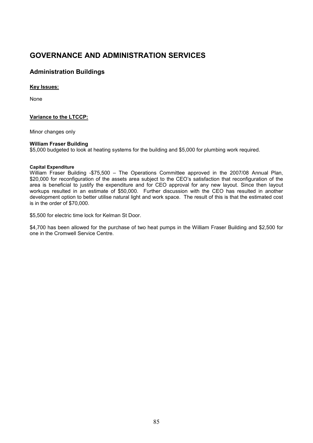# GOVERNANCE AND ADMINISTRATION SERVICES

# Administration Buildings

# Key Issues:

None

# Variance to the LTCCP:

Minor changes only

# William Fraser Building

\$5,000 budgeted to look at heating systems for the building and \$5,000 for plumbing work required.

## Capital Expenditure

William Fraser Building -\$75,500 – The Operations Committee approved in the 2007/08 Annual Plan, \$20,000 for reconfiguration of the assets area subject to the CEO's satisfaction that reconfiguration of the area is beneficial to justify the expenditure and for CEO approval for any new layout. Since then layout workups resulted in an estimate of \$50,000. Further discussion with the CEO has resulted in another development option to better utilise natural light and work space. The result of this is that the estimated cost is in the order of \$70,000.

\$5,500 for electric time lock for Kelman St Door.

\$4,700 has been allowed for the purchase of two heat pumps in the William Fraser Building and \$2,500 for one in the Cromwell Service Centre.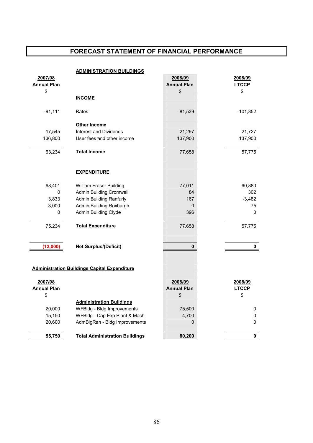# FORECAST STATEMENT OF FINANCIAL PERFORMANCE

|                    | <b>ADMINISTRATION BUILDINGS</b>                     |                    |              |
|--------------------|-----------------------------------------------------|--------------------|--------------|
| 2007/08            |                                                     | 2008/09            | 2008/09      |
| <b>Annual Plan</b> |                                                     | <b>Annual Plan</b> | <b>LTCCP</b> |
| \$                 |                                                     | \$                 | \$           |
|                    | <b>INCOME</b>                                       |                    |              |
|                    |                                                     |                    |              |
| $-91,111$          | Rates                                               | $-81,539$          | $-101,852$   |
|                    |                                                     |                    |              |
|                    | <b>Other Income</b>                                 |                    |              |
| 17,545             | <b>Interest and Dividends</b>                       | 21,297             | 21,727       |
| 136,800            | User fees and other income                          | 137,900            | 137,900      |
|                    |                                                     |                    |              |
| 63,234             | <b>Total Income</b>                                 | 77,658             | 57,775       |
|                    |                                                     |                    |              |
|                    |                                                     |                    |              |
|                    | <b>EXPENDITURE</b>                                  |                    |              |
|                    |                                                     |                    |              |
| 68,401             | William Fraser Building                             | 77,011             | 60,880       |
| 0                  | <b>Admin Building Cromwell</b>                      | 84                 | 302          |
| 3,833              | <b>Admin Building Ranfurly</b>                      | 167                | $-3,482$     |
| 3,000              | Admin Building Roxburgh                             | 0                  | 75           |
| 0                  | Admin Building Clyde                                | 396                | 0            |
|                    |                                                     |                    |              |
| 75,234             | <b>Total Expenditure</b>                            | 77,658             | 57,775       |
|                    |                                                     |                    |              |
|                    |                                                     |                    |              |
| (12,000)           | <b>Net Surplus/(Deficit)</b>                        | 0                  | 0            |
|                    |                                                     |                    |              |
|                    |                                                     |                    |              |
|                    | <b>Administration Buildings Capital Expenditure</b> |                    |              |
|                    |                                                     |                    |              |
| 2007/08            |                                                     | 2008/09            | 2008/09      |
| <b>Annual Plan</b> |                                                     | <b>Annual Plan</b> | <b>LTCCP</b> |
| \$                 |                                                     | \$                 | \$           |
|                    | <b>Administration Buildings</b>                     |                    |              |
| 20,000             | WFBIdg - Bldg Improvements                          | 75,500             | 0            |
| 15,150             | WFBldg - Cap Exp Plant & Mach                       | 4,700              | 0            |
| 20,600             | AdmBlgRan - Bldg Improvements                       | 0                  | 0            |
|                    |                                                     |                    |              |
|                    |                                                     |                    |              |
| 55,750             | <b>Total Administration Buildings</b>               | 80,200             | 0            |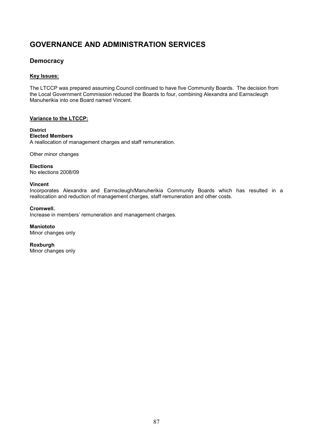# GOVERNANCE AND ADMINISTRATION SERVICES

# **Democracy**

# Key Issues:

The LTCCP was prepared assuming Council continued to have five Community Boards. The decision from the Local Government Commission reduced the Boards to four, combining Alexandra and Earnscleugh Manuherikia into one Board named Vincent.

# Variance to the LTCCP:

# **District**

# Elected Members

A reallocation of management charges and staff remuneration.

Other minor changes

**Elections** No elections 2008/09

# Vincent

Incorporates Alexandra and Earnscleugh/Manuherikia Community Boards which has resulted in a reallocation and reduction of management charges, staff remuneration and other costs.

# Cromwell.

Increase in members' remuneration and management charges.

**Maniototo** Minor changes only

Roxburgh Minor changes only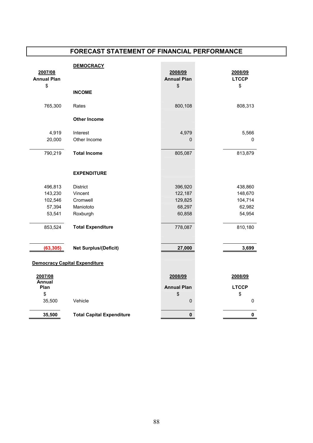# FORECAST STATEMENT OF FINANCIAL PERFORMANCE

|                       | <b>DEMOCRACY</b>                     |                    |              |
|-----------------------|--------------------------------------|--------------------|--------------|
| 2007/08               |                                      | 2008/09            | 2008/09      |
| <b>Annual Plan</b>    |                                      | <b>Annual Plan</b> | <b>LTCCP</b> |
| \$                    |                                      | \$                 | \$           |
|                       | <b>INCOME</b>                        |                    |              |
| 765,300               | Rates                                | 800,108            | 808,313      |
|                       | <b>Other Income</b>                  |                    |              |
| 4,919                 | Interest                             | 4,979              | 5,566        |
| 20,000                | Other Income                         | 0                  | $\pmb{0}$    |
|                       |                                      |                    |              |
| 790,219               | <b>Total Income</b>                  | 805,087            | 813,879      |
|                       |                                      |                    |              |
|                       |                                      |                    |              |
|                       | <b>EXPENDITURE</b>                   |                    |              |
| 496,813               | District                             | 396,920            | 438,860      |
| 143,230               | Vincent                              | 122,187            | 148,670      |
| 102,546               | Cromwell                             | 129,825            | 104,714      |
| 57,394                | Maniototo                            | 68,297             | 62,982       |
| 53,541                | Roxburgh                             | 60,858             | 54,954       |
|                       |                                      |                    |              |
| 853,524               | <b>Total Expenditure</b>             | 778,087            | 810,180      |
|                       |                                      |                    |              |
| (63, 305)             | <b>Net Surplus/(Deficit)</b>         | 27,000             | 3,699        |
|                       |                                      |                    |              |
|                       | <b>Democracy Capital Expenditure</b> |                    |              |
|                       |                                      |                    |              |
| 2007/08               |                                      | 2008/09            | 2008/09      |
| <b>Annual</b><br>Plan |                                      | <b>Annual Plan</b> | <b>LTCCP</b> |
| \$                    |                                      | \$                 | \$           |
| 35,500                | Vehicle                              | 0                  | 0            |
|                       |                                      |                    |              |
| 35,500                | <b>Total Capital Expenditure</b>     | 0                  | 0            |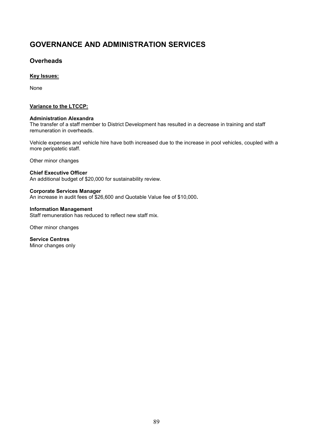# GOVERNANCE AND ADMINISTRATION SERVICES

# **Overheads**

# Key Issues:

None

# Variance to the LTCCP:

# Administration Alexandra

The transfer of a staff member to District Development has resulted in a decrease in training and staff remuneration in overheads.

Vehicle expenses and vehicle hire have both increased due to the increase in pool vehicles, coupled with a more peripatetic staff.

Other minor changes

# Chief Executive Officer

An additional budget of \$20,000 for sustainability review.

## Corporate Services Manager

An increase in audit fees of \$26,600 and Quotable Value fee of \$10,000.

## Information Management

Staff remuneration has reduced to reflect new staff mix.

Other minor changes

Service Centres Minor changes only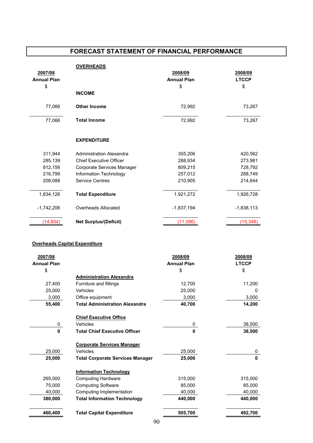# FORECAST STATEMENT OF FINANCIAL PERFORMANCE

|                    | <b>OVERHEADS</b>               |                    |              |
|--------------------|--------------------------------|--------------------|--------------|
| 2007/08            |                                | 2008/09            | 2008/09      |
| <b>Annual Plan</b> |                                | <b>Annual Plan</b> | <b>LTCCP</b> |
| \$                 |                                | \$                 | \$           |
|                    | <b>INCOME</b>                  |                    |              |
| 77,066             | <b>Other Income</b>            | 72,992             | 73,267       |
| 77,066             | <b>Total Income</b>            | 72,992             | 73,267       |
|                    | <b>EXPENDITURE</b>             |                    |              |
| 311,944            | Administration Alexandra       | 355,206            | 420,562      |
| 285,139            | <b>Chief Executive Officer</b> | 288,934            | 273,981      |
| 812,156            | Corporate Services Manager     | 809,215            | 728,792      |
| 216,799            | Information Technology         | 257,012            | 288,749      |
| 208,088            | <b>Service Centres</b>         | 210,905            | 214,644      |
| 1,834,126          | <b>Total Expenditure</b>       | 1,921,272          | 1,926,728    |
| $-1,742,206$       | Overheads Allocated            | $-1,837,194$       | $-1,838,113$ |
| (14, 854)          | <b>Net Surplus/(Deficit)</b>   | (11,086)           | (15, 348)    |

## Overheads Capital Expenditure

| 2007/08            |                                         | 2008/09            | 2008/09      |
|--------------------|-----------------------------------------|--------------------|--------------|
| <b>Annual Plan</b> |                                         | <b>Annual Plan</b> | <b>LTCCP</b> |
| \$                 |                                         | \$                 | \$           |
|                    | <b>Administration Alexandra</b>         |                    |              |
| 27,400             | Furniture and fittings                  | 12.700             | 11,200       |
| 25,000             | Vehicles                                | 25,000             | O            |
| 3,000              | Office equipment                        | 3,000              | 3,000        |
| 55,400             | <b>Total Administration Alexandra</b>   | 40,700             | 14,200       |
|                    | <b>Chief Executive Office</b>           |                    |              |
| 0                  | Vehicles                                | 0                  | 38,500       |
| $\mathbf{0}$       | <b>Total Chief Executive Officer</b>    | $\bf{0}$           | 38,500       |
|                    | <b>Corporate Services Manager</b>       |                    |              |
| 25,000             | Vehicles                                | 25,000             | 0            |
| 25,000             | <b>Total Corporate Services Manager</b> | 25,000             | 0            |
|                    | <b>Information Technology</b>           |                    |              |
| 265,000            | <b>Computing Hardware</b>               | 315,000            | 315,000      |
| 75.000             | <b>Computing Software</b>               | 85.000             | 85.000       |
| 40,000             | Computing Implementation                | 40,000             | 40,000       |
| 380,000            | <b>Total Information Technology</b>     | 440,000            | 440,000      |
| 460,400            | <b>Total Capital Expenditure</b>        | 505,700            | 492,700      |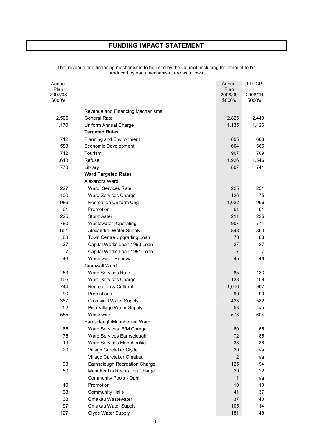# FUNDING IMPACT STATEMENT

| Annual<br>Plan<br>2007/08<br>\$000's |                                  | Annual<br>Plan<br>2008/09<br>\$000's | <b>LTCCP</b><br>2008/09<br>\$000's |
|--------------------------------------|----------------------------------|--------------------------------------|------------------------------------|
|                                      | Revenue and Financing Mechanisms |                                      |                                    |
| 2,505                                | <b>General Rate</b>              | 2,825                                | 2,443                              |
| 1,170                                | Uniform Annual Charge            | 1,135                                | 1,126                              |
|                                      | <b>Targeted Rates</b>            |                                      |                                    |
| 712                                  | Planning and Environment         | 805                                  | 668                                |
| 583                                  | Economic Development             | 604                                  | 565                                |
| 712                                  | Tourism                          | 907                                  | 709                                |
| 1,618                                | Refuse                           | 1,926                                | 1,546                              |
| 773                                  | Library                          | 807                                  | 741                                |
|                                      | <b>Ward Targeted Rates</b>       |                                      |                                    |
|                                      | Alexandra Ward                   |                                      |                                    |
| 227                                  | Ward Services Rate               | 225                                  | 251                                |
| 100                                  | Ward Services Charge             | 126                                  | 75                                 |
| 986                                  | Recreation Uniform Chg           | 1,022                                | 966                                |
| 61                                   | Promotion                        | 61                                   | 61                                 |
| 225                                  | Stormwater                       | 211                                  | 225                                |
| 780                                  | Wastewater [Operating]           | 907                                  | 774                                |
| 601                                  | Alexandra Water Supply           | 848                                  | 863                                |
| 88                                   | Town Centre Upgrading Loan       | 78                                   | 83                                 |
| 27                                   | Capital Works Loan 1993 Loan     | 27                                   | 27                                 |
| $\overline{7}$                       | Capital Works Loan 1991 Loan     | 7                                    | 7                                  |
| 46                                   | Wastewater Renewal               | 45                                   | 46                                 |
|                                      | <b>Cromwell Ward</b>             |                                      |                                    |
| 53                                   | <b>Ward Services Rate</b>        | 85                                   | 133                                |
| 106                                  | <b>Ward Services Charge</b>      | 133                                  | 109                                |
| 744                                  | <b>Recreation &amp; Cultural</b> | 1,016                                | 907                                |
| 90                                   | Promotions                       | 90                                   | 90                                 |
| 387                                  | Cromwelll Water Supply           | 423                                  | 582                                |
| 52                                   | Pisa Village Water Supply        | 53                                   | n/a                                |
| 555                                  | Wastewater                       | 578                                  | 604                                |
|                                      | Earnscleugh/Manuherikia Ward     |                                      |                                    |
| 65                                   | Ward Services E/M Charge         | 60                                   | 65                                 |
| 75                                   | Ward Services Earnscleugh        | 72                                   | 85                                 |
| 19                                   | Ward Services Manuherikia        | 38                                   | 36                                 |
| 20                                   | Village Caretaker Clyde          | 20                                   | n/a                                |
| $\mathbf{1}$                         | Village Caretaker Omakau         | $\overline{2}$                       | n/a                                |
| 93                                   | Earnscleugh Recreation Charge    | 125                                  | 94                                 |
| 50                                   | Manuherikia Recreation Charge    | 29                                   | 22                                 |
| 1                                    | Community Pools - Ophir          | 1                                    | n/a                                |
| 10                                   | Promotion                        | 10                                   | 10                                 |
| 38                                   | <b>Community Halls</b>           | 41                                   | 37                                 |
| 38                                   | Omakau Wastewater                | 37                                   | 40                                 |
| 97                                   | Omakau Water Supply              | 105                                  | 114                                |
| 127                                  | Clyde Water Supply               | 181                                  | 148                                |

The revenue and financing mechanisms to be used by the Council, including the amount to be produced by each mechanism, are as follows: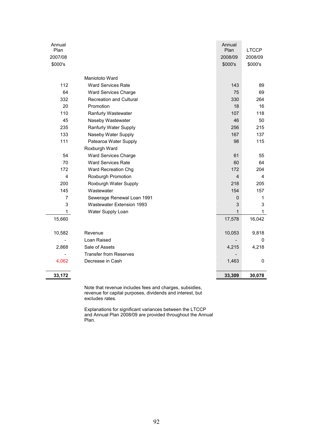| Annual         |                                  | Annual         |              |
|----------------|----------------------------------|----------------|--------------|
| Plan           |                                  | Plan           | <b>LTCCP</b> |
| 2007/08        |                                  | 2008/09        | 2008/09      |
| \$000's        |                                  | \$000's        | \$000's      |
|                | Maniototo Ward                   |                |              |
| 112            | <b>Ward Services Rate</b>        | 143            | 89           |
| 64             | Ward Services Charge             | 75             | 69           |
| 332            | <b>Recreation and Cultural</b>   | 330            | 264          |
| 20             | Promotion                        | 18             | 16           |
| 110            | Ranfurly Wastewater              | 107            | 118          |
| 45             | Naseby Wastewater                | 46             | 50           |
| 235            | Ranfurly Water Supply            | 256            | 215          |
| 133            | Naseby Water Supply              | 167            | 137          |
| 111            | Patearoa Water Supply            | 98             | 115          |
|                | Roxburgh Ward                    |                |              |
| 54             | Ward Services Charge             | 61             | 55           |
| 70             | <b>Ward Services Rate</b>        | 60             | 64           |
| 172            | Ward Recreation Chg              | 172            | 204          |
| $\overline{4}$ | Roxburgh Promotion               | $\overline{4}$ | 4            |
| 200            | Roxburgh Water Supply            | 218            | 205          |
| 145            | Wastewater                       | 154            | 157          |
| $\overline{7}$ | Sewerage Renewal Loan 1991       | $\pmb{0}$      | $\mathbf{1}$ |
| 3              | <b>Wastewater Extension 1993</b> | 3              | 3            |
| 1              | Water Supply Loan                | $\mathbf{1}$   | $\mathbf{1}$ |
| 15,660         |                                  | 17,578         | 16,042       |
|                |                                  |                |              |
| 10,582         | Revenue                          | 10,053         | 9,818        |
|                | Loan Raised                      |                | 0            |
| 2,868          | Sale of Assets                   | 4,215          | 4,218        |
|                | <b>Transfer from Reserves</b>    |                |              |
| 4,062          | Decrease in Cash                 | 1,463          | 0            |
| 33,172         |                                  | 33,309         | 30,078       |

Note that revenue includes fees and charges, subsidies, revenue for capital purposes, dividends and interest, but excludes rates.

L

Explanations for significant variances between the LTCCP and Annual Plan 2008/09 are provided throughout the Annual Plan.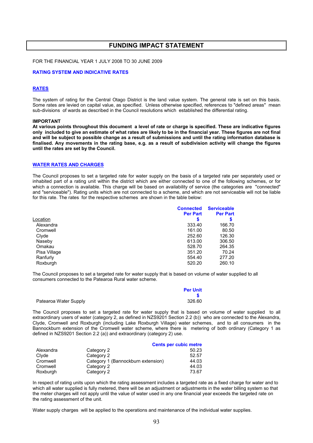# FUNDING IMPACT STATEMENT

FOR THE FINANCIAL YEAR 1 JULY 2008 TO 30 JUNE 2009

### RATING SYSTEM AND INDICATIVE RATES

### **RATES**

The system of rating for the Central Otago District is the land value system. The general rate is set on this basis. Some rates are levied on capital value, as specified. Unless otherwise specified, references to "defined areas" mean sub-divisions of wards as described in the Council resolutions which established the differential rating.

#### IMPORTANT

At various points throughout this document a level of rate or charge is specified. These are indicative figures only included to give an estimate of what rates are likely to be in the financial year. These figures are not final and will be subject to possible change as a result of submissions and until the rating information database is finalised. Any movements in the rating base, e.g. as a result of subdivision activity will change the figures until the rates are set by the Council.

### WATER RATES AND CHARGES

The Council proposes to set a targeted rate for water supply on the basis of a targeted rate per separately used or inhabited part of a rating unit within the district which are either connected to one of the following schemes, or for which a connection is available. This charge will be based on availability of service (the categories are "connected" and "serviceable"). Rating units which are not connected to a scheme, and which are not serviceable will not be liable for this rate. The rates for the respective schemes are shown in the table below:

|              | <b>Connected</b> | <b>Serviceable</b> |
|--------------|------------------|--------------------|
|              | <b>Per Part</b>  | <b>Per Part</b>    |
| Location     |                  |                    |
| Alexandra    | 333.40           | 166.70             |
| Cromwell     | 161.00           | 80.50              |
| Clyde        | 252.60           | 126.30             |
| Naseby       | 613.00           | 306.50             |
| Omakau       | 528.70           | 264.35             |
| Pisa Village | 351.20           | 70.24              |
| Ranfurly     | 554.40           | 277.20             |
| Roxburgh     | 520.20           | 260.10             |

The Council proposes to set a targeted rate for water supply that is based on volume of water supplied to all consumers connected to the Patearoa Rural water scheme.

|                       | <b>Per Unit</b> |
|-----------------------|-----------------|
|                       |                 |
| Patearoa Water Supply | 326.60          |

The Council proposes to set a targeted rate for water supply that is based on volume of water supplied to all extraordinary users of water (category 2, as defined in NZS9201 Section 2.2 (b)) who are connected to the Alexandra, Clyde, Cromwell and Roxburgh (including Lake Roxburgh Village) water schemes, and to all consumers in the Bannockburn extension of the Cromwell water scheme, where there is metering of both ordinary (Category 1 as defined in NZS9201 Section 2.2 (a)) and extraordinary (category 2) use.

|           |                                    | <b>Cents per cubic metre</b> |
|-----------|------------------------------------|------------------------------|
| Alexandra | Category 2                         | 50.23                        |
| Clyde     | Category 2                         | 52.57                        |
| Cromwell  | Category 1 (Bannockburn extension) | 44.03                        |
| Cromwell  | Category 2                         | 44.03                        |
| Roxburgh  | Category 2                         | 73.67                        |

In respect of rating units upon which the rating assessment includes a targeted rate as a fixed charge for water and to which all water supplied is fully metered, there will be an adjustment or adjustments in the water billing system so that the meter charges will not apply until the value of water used in any one financial year exceeds the targeted rate on the rating assessment of the unit.

Water supply charges will be applied to the operations and maintenance of the individual water supplies.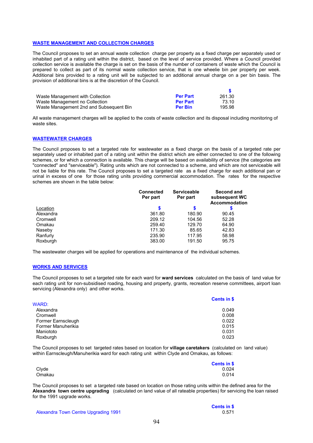### WASTE MANAGEMENT AND COLLECTION CHARGES

The Council proposes to set an annual waste collection charge per property as a fixed charge per separately used or inhabited part of a rating unit within the district, based on the level of service provided. Where a Council provided collection service is available the charge is set on the basis of the number of containers of waste which the Council is prepared to collect as part of its normal waste collection service, that is one wheelie bin per property per week. Additional bins provided to a rating unit will be subjected to an additional annual charge on a per bin basis. The provision of additional bins is at the discretion of the Council.

| Waste Management with Collection        | <b>Per Part</b> | 261.30 |
|-----------------------------------------|-----------------|--------|
| Waste Management no Collection          | <b>Per Part</b> | 73.10  |
| Waste Management 2nd and Subsequent Bin | <b>Per Bin</b>  | 195.98 |

All waste management charges will be applied to the costs of waste collection and its disposal including monitoring of waste sites.

### WASTEWATER CHARGES

The Council proposes to set a targeted rate for wastewater as a fixed charge on the basis of a targeted rate per separately used or inhabited part of a rating unit within the district which are either connected to one of the following schemes, or for which a connection is available. This charge will be based on availability of service (the categories are "connected" and "serviceable"). Rating units which are not connected to a scheme, and which are not serviceable will not be liable for this rate. The Council proposes to set a targeted rate as a fixed charge for each additional pan or urinal in excess of one for those rating units providing commercial accommodation. The rates for the respective schemes are shown in the table below:

|           | <b>Connected</b><br>Per part | <b>Serviceable</b><br>Per part | Second and<br>subsequent WC<br><b>Accommodation</b> |
|-----------|------------------------------|--------------------------------|-----------------------------------------------------|
| Location  |                              | S                              |                                                     |
| Alexandra | 361.80                       | 180.90                         | 90.45                                               |
| Cromwell  | 209.12                       | 104.56                         | 52.28                                               |
| Omakau    | 259.40                       | 129.70                         | 64.90                                               |
| Naseby    | 171.30                       | 85.65                          | 42.83                                               |
| Ranfurly  | 235.90                       | 117.95                         | 58.98                                               |
| Roxburgh  | 383.00                       | 191.50                         | 95.75                                               |

The wastewater charges will be applied for operations and maintenance of the individual schemes.

### WORKS AND SERVICES

The Council proposes to set a targeted rate for each ward for ward services calculated on the basis of land value for each rating unit for non-subsidised roading, housing and property, grants, recreation reserve committees, airport loan servicing (Alexandra only) and other works.

|                    | <b>Cents in \$</b> |
|--------------------|--------------------|
| WARD:              |                    |
| Alexandra          | 0.049              |
| Cromwell           | 0.008              |
| Former Earnscleugh | 0.022              |
| Former Manuherikia | 0.015              |
| Maniototo          | 0.031              |
| Roxburgh           | 0.023              |

The Council proposes to set targeted rates based on location for village caretakers (calculated on land value) within Earnscleugh/Manuherikia ward for each rating unit within Clyde and Omakau, as follows:

|        | Cents in \$ |
|--------|-------------|
| Clyde  | 0.024       |
| Omakau | 0.014       |

The Council proposes to set a targeted rate based on location on those rating units within the defined area for the Alexandra town centre upgrading (calculated on land value of all rateable properties) for servicing the loan raised for the 1991 upgrade works.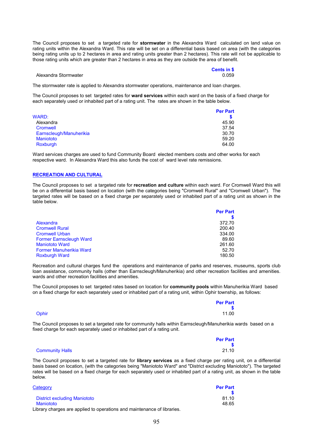The Council proposes to set a targeted rate for **stormwater** in the Alexandra Ward calculated on land value on rating units within the Alexandra Ward. This rate will be set on a differential basis based on area (with the categories being rating units up to 2 hectares in area and rating units greater than 2 hectares). This rate will not be applicable to those rating units which are greater than 2 hectares in area as they are outside the area of benefit.

|                      | <b>Cents in \$</b> |
|----------------------|--------------------|
| Alexandra Stormwater | 0.059              |

The stormwater rate is applied to Alexandra stormwater operations, maintenance and loan charges.

The Council proposes to set targeted rates for ward services within each ward on the basis of a fixed charge for each separately used or inhabited part of a rating unit. The rates are shown in the table below.

|                         | <b>Per Part</b> |
|-------------------------|-----------------|
| WARD:                   |                 |
| Alexandra               | 45.90           |
| Cromwell                | 37.54           |
| Earnscleugh/Manuherikia | 30.70           |
| <b>Maniototo</b>        | 59.20           |
| Roxburgh                | 64.00           |

Ward services charges are used to fund Community Board elected members costs and other works for each respective ward. In Alexandra Ward this also funds the cost of ward level rate remissions.

### RECREATION AND CULTURAL

The Council proposes to set a targeted rate for recreation and culture within each ward. For Cromwell Ward this will be on a differential basis based on location (with the categories being "Cromwell Rural" and "Cromwell Urban"). The targeted rates will be based on a fixed charge per separately used or inhabited part of a rating unit as shown in the table below.

|                                | <b>Per Part</b> |
|--------------------------------|-----------------|
|                                |                 |
| Alexandra                      | 372.70          |
| <b>Cromwell Rural</b>          | 200.40          |
| <b>Cromwell Urban</b>          | 334.00          |
| <b>Former Earnscleugh Ward</b> | 89.60           |
| <b>Maniototo Ward</b>          | 261.60          |
| Former Manuherikia Ward        | 52.70           |
| <b>Roxburgh Ward</b>           | 180.50          |

Recreation and cultural charges fund the operations and maintenance of parks and reserves, museums, sports club loan assistance, community halls (other than Earnscleugh/Manuherikia) and other recreation facilities and amenities. wards and other recreation facilities and amenities.

The Council proposes to set targeted rates based on location for community pools within Manuherikia Ward based on a fixed charge for each separately used or inhabited part of a rating unit, within Ophir township, as follows:

|       | <b>Per Part</b><br>$\mathbf{s}$ |
|-------|---------------------------------|
| Ophir | 11.00                           |

The Council proposes to set a targeted rate for community halls within Earnscleugh/Manuherikia wards based on a fixed charge for each separately used or inhabited part of a rating unit.

|                        | <b>Per Part</b> |
|------------------------|-----------------|
|                        |                 |
| <b>Community Halls</b> | 21.10           |

The Council proposes to set a targeted rate for library services as a fixed charge per rating unit, on a differential basis based on location, (with the categories being "Maniototo Ward" and "District excluding Maniototo"). The targeted rates will be based on a fixed charge for each separately used or inhabited part of a rating unit, as shown in the table below.

| Category                                                               | <b>Per Part</b> |
|------------------------------------------------------------------------|-----------------|
|                                                                        |                 |
| District excluding Maniototo                                           | 81.10           |
| Maniototo                                                              | 48.65           |
| Library charges are applied to operations and maintenance of libraries |                 |

Library charges are applied to operations and maintenance of libraries.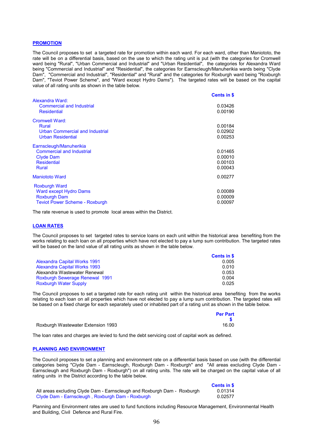#### **PROMOTION**

The Council proposes to set a targeted rate for promotion within each ward. For each ward, other than Maniototo, the rate will be on a differential basis, based on the use to which the rating unit is put (with the categories for Cromwell ward being "Rural", "Urban Commercial and Industrial" and "Urban Residential", the categories for Alexandra Ward being "Commercial and Industrial" and "Residential", the categories for Earnscleugh/Manuherikia wards being "Clyde Dam", "Commercial and Industrial", "Residential" and "Rural" and the categories for Roxburgh ward being "Roxburgh Dam", "Teviot Power Scheme", and "Ward except Hydro Dams"). The targeted rates will be based on the capital value of all rating units as shown in the table below.

|                                                                                                                       | <b>Cents in \$</b>                       |
|-----------------------------------------------------------------------------------------------------------------------|------------------------------------------|
| Alexandra Ward:<br><b>Commercial and Industrial</b><br><b>Residential</b>                                             | 0.03426<br>0.00190                       |
| Cromwell Ward:<br>Rural<br><b>Urban Commercial and Industrial</b><br><b>Urban Residential</b>                         | 0.00184<br>0.02902<br>0.00253            |
| Earnscleugh/Manuherikia<br><b>Commercial and Industrial</b><br><b>Clyde Dam</b><br><b>Residential</b><br>Rural        | 0.01465<br>0.00010<br>0.00103<br>0.00043 |
| <b>Maniototo Ward</b>                                                                                                 | 0.00277                                  |
| <b>Roxburgh Ward</b><br><b>Ward except Hydro Dams</b><br><b>Roxburgh Dam</b><br><b>Teviot Power Scheme - Roxburgh</b> | 0.00089<br>0.00009<br>0.00097            |

The rate revenue is used to promote local areas within the District.

#### LOAN RATES

The Council proposes to set targeted rates to service loans on each unit within the historical area benefiting from the works relating to each loan on all properties which have not elected to pay a lump sum contribution. The targeted rates will be based on the land value of all rating units as shown in the table below.

|                                       | <b>Cents in \$</b> |
|---------------------------------------|--------------------|
| <b>Alexandra Capital Works 1991</b>   | 0.005              |
| <b>Alexandra Capital Works 1993</b>   | 0.010              |
| Alexandra Wastewater Renewal          | 0.053              |
| <b>Roxburgh Sewerage Renewal 1991</b> | 0.004              |
| <b>Roxburgh Water Supply</b>          | 0.025              |

The Council proposes to set a targeted rate for each rating unit within the historical area benefiting from the works relating to each loan on all properties which have not elected to pay a lump sum contribution. The targeted rates will be based on a fixed charge for each separately used or inhabited part of a rating unit as shown in the table below.

|                                    | <b>Per Part</b> |
|------------------------------------|-----------------|
|                                    |                 |
| Roxburgh Wastewater Extension 1993 | 16.00           |

The loan rates and charges are levied to fund the debt servicing cost of capital work as defined.

### PLANNING AND ENVIRONMENT

The Council proposes to set a planning and environment rate on a differential basis based on use (with the differential categories being "Clyde Dam - Earnscleugh, Roxburgh Dam - Roxburgh" and "All areas excluding Clyde Dam - Earnscleugh and Roxburgh Dam - Roxburgh") on all rating units. The rate will be charged on the capital value of all rating units in the District according to the table below.

|                                                                         | <b>Cents in \$</b> |
|-------------------------------------------------------------------------|--------------------|
| All areas excluding Clyde Dam - Earnscleugh and Roxburgh Dam - Roxburgh | 0.01314            |
| Clyde Dam - Earnscleugh, Roxburgh Dam - Roxburgh                        | 0.02577            |

Planning and Environment rates are used to fund functions including Resource Management, Environmental Health and Building, Civil Defence and Rural Fire.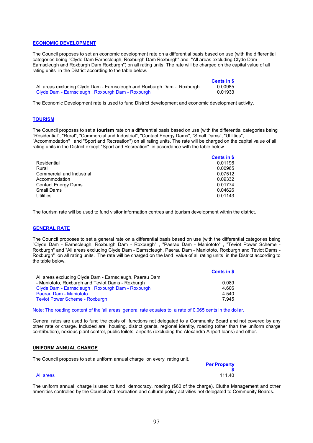### ECONOMIC DEVELOPMENT

The Council proposes to set an economic development rate on a differential basis based on use (with the differential categories being "Clyde Dam Earnscleugh, Roxburgh Dam Roxburgh" and "All areas excluding Clyde Dam Earnscleugh and Roxburgh Dam Roxburgh") on all rating units. The rate will be charged on the capital value of all rating units in the District according to the table below.

|                                                                         | Cents in \$ |
|-------------------------------------------------------------------------|-------------|
| All areas excluding Clyde Dam - Earnscleugh and Roxburgh Dam - Roxburgh | 0.00985     |
| Clyde Dam - Earnscleugh, Roxburgh Dam - Roxburgh                        | 0.01933     |

The Economic Development rate is used to fund District development and economic development activity.

### **TOURISM**

The Council proposes to set a tourism rate on a differential basis based on use (with the differential categories being "Residential", "Rural", "Commercial and Industrial", "Contact Energy Dams", "Small Dams", "Utilities", "Accommodation" and "Sport and Recreation") on all rating units. The rate will be charged on the capital value of all rating units in the District except "Sport and Recreation" in accordance with the table below.

|                            | Cents in \$ |
|----------------------------|-------------|
| Residential                | 0.01196     |
| Rural                      | 0.00965     |
| Commercial and Industrial  | 0.07512     |
| Accommodation              | 0.09332     |
| <b>Contact Energy Dams</b> | 0.01774     |
| Small Dams                 | 0.04626     |
| Utilities                  | 0.01143     |

The tourism rate will be used to fund visitor information centres and tourism development within the district.

### GENERAL RATE

The Council proposes to set a general rate on a differential basis based on use (with the differential categories being "Clyde Dam - Earnscleugh, Roxburgh Dam - Roxburgh" , "Paerau Dam - Maniototo" , "Teviot Power Scheme - Roxburgh" and "All areas excluding Clyde Dam - Earnscleugh, Paerau Dam - Maniototo, Roxburgh and Teviot Dams - Roxburgh" on all rating units. The rate will be charged on the land value of all rating units in the District according to the table below.

|                                                         | Cents in \$ |
|---------------------------------------------------------|-------------|
| All areas excluding Clyde Dam - Earnscleugh, Paerau Dam |             |
| - Maniototo, Roxburgh and Teviot Dams - Roxburgh        | 0.089       |
| Clyde Dam - Earnscleugh, Roxburgh Dam - Roxburgh        | 4.606       |
| Paerau Dam - Maniototo                                  | 4.540       |
| <b>Teviot Power Scheme - Roxburgh</b>                   | 7.945       |

Note: The roading content of the 'all areas' general rate equates to a rate of 0.065 cents in the dollar.

\$

General rates are used to fund the costs of functions not delegated to a Community Board and not covered by any other rate or charge. Included are housing, district grants, regional identity, roading (other than the uniform charge contribution), noxious plant control, public toilets, airports (excluding the Alexandra Airport loans) and other.

### UNIFORM ANNUAL CHARGE

The Council proposes to set a uniform annual charge on every rating unit.

#### All areas 111.40

The uniform annual charge is used to fund democracy, roading (\$60 of the charge), Clutha Management and other amenities controlled by the Council and recreation and cultural policy activities not delegated to Community Boards.

**Per Property**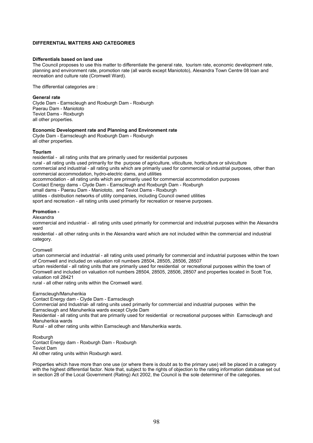### DIFFERENTIAL MATTERS AND CATEGORIES

### Differentials based on land use

The Council proposes to use this matter to differentiate the general rate, tourism rate, economic development rate, planning and environment rate, promotion rate (all wards except Maniototo), Alexandra Town Centre 08 loan and recreation and culture rate (Cromwell Ward).

The differential categories are :

General rate Clyde Dam - Earnscleugh and Roxburgh Dam - Roxburgh Paerau Dam - Maniototo Teviot Dams - Roxburgh all other properties.

#### Economic Development rate and Planning and Environment rate

Clyde Dam - Earnscleugh and Roxburgh Dam - Roxburgh all other properties.

#### Tourism

residential - all rating units that are primarily used for residential purposes rural - all rating units used primarily for the purpose of agriculture, viticulture, horticulture or silviculture commercial and industrial - all rating units which are primarily used for commercial or industrial purposes, other than commercial accommodation, hydro-electric dams, and utilities accommodation - all rating units which are primarily used for commercial accommodation purposes Contact Energy dams - Clyde Dam - Earnscleugh and Roxburgh Dam - Roxburgh small dams - Paerau Dam - Maniototo, and Teviot Dams - Roxburgh utilities - distribution networks of utility companies, including Council owned utilities sport and recreation - all rating units used primarily for recreation or reserve purposes.

### Promotion -

Alexandra

commercial and industrial - all rating units used primarily for commercial and industrial purposes within the Alexandra ward

residential - all other rating units in the Alexandra ward which are not included within the commercial and industrial category.

Cromwell

urban commercial and industrial - all rating units used primarily for commercial and industrial purposes within the town of Cromwell and included on valuation roll numbers 28504, 28505, 28506, 28507

urban residential - all rating units that are primarily used for residential or recreational purposes within the town of Cromwell and included on valuation roll numbers 28504, 28505, 28506, 28507 and properties located in Scott Tce, valuation roll 28421

rural - all other rating units within the Cromwell ward.

#### Earnscleugh/Manuherikia

Contact Energy dam - Clyde Dam - Earnscleugh

Commercial and Industrial- all rating units used primarily for commercial and industrial purposes within the Earnscleugh and Manuherikia wards except Clyde Dam

Residential - all rating units that are primarily used for residential or recreational purposes within Earnscleugh and Manuherikia wards

Rural - all other rating units within Earnscleugh and Manuherikia wards.

Roxburgh

Contact Energy dam - Roxburgh Dam - Roxburgh Teviot Dam

All other rating units within Roxburgh ward.

Properties which have more than one use (or where there is doubt as to the primary use) will be placed in a category with the highest differential factor. Note that, subject to the rights of objection to the rating information database set out in section 28 of the Local Government (Rating) Act 2002, the Council is the sole determiner of the categories.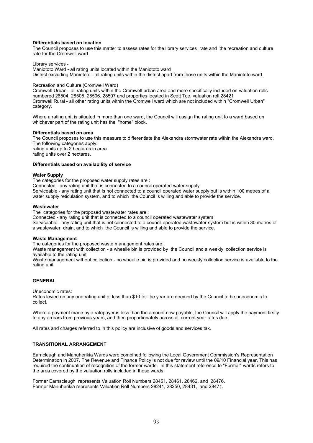### Differentials based on location

The Council proposes to use this matter to assess rates for the library services rate and the recreation and culture rate for the Cromwell ward.

Library services -

Maniototo Ward - all rating units located within the Maniototo ward District excluding Maniototo - all rating units within the district apart from those units within the Maniototo ward.

#### Recreation and Culture (Cromwell Ward)

Cromwell Urban - all rating units within the Cromwell urban area and more specifically included on valuation rolls numbered 28504, 28505, 28506, 28507 and properties located in Scott Tce, valuation roll 28421 Cromwell Rural - all other rating units within the Cromwell ward which are not included within "Cromwell Urban" category.

Where a rating unit is situated in more than one ward, the Council will assign the rating unit to a ward based on whichever part of the rating unit has the "home" block.

#### Differentials based on area

The Council proposes to use this measure to differentiate the Alexandra stormwater rate within the Alexandra ward. The following categories apply: rating units up to 2 hectares in area rating units over 2 hectares.

### Differentials based on availability of service

#### Water Supply

The categories for the proposed water supply rates are :

Connected - any rating unit that is connected to a council operated water supply

Serviceable - any rating unit that is not connected to a council operated water supply but is within 100 metres of a water supply reticulation system, and to which the Council is willing and able to provide the service.

#### **Wastewater**

The categories for the proposed wastewater rates are :

Connected - any rating unit that is connected to a council operated wastewater system

Serviceable - any rating unit that is not connected to a council operated wastewater system but is within 30 metres of a wastewater drain, and to which the Council is willing and able to provide the service.

### Waste Management

The categories for the proposed waste management rates are:

Waste management with collection - a wheelie bin is provided by the Council and a weekly collection service is available to the rating unit

Waste management without collection - no wheelie bin is provided and no weekly collection service is available to the rating unit.

### **GENERAL**

Uneconomic rates:

Rates levied on any one rating unit of less than \$10 for the year are deemed by the Council to be uneconomic to collect.

Where a payment made by a ratepayer is less than the amount now payable, the Council will apply the payment firstly to any arrears from previous years, and then proportionately across all current year rates due.

All rates and charges referred to in this policy are inclusive of goods and services tax.

### TRANSITIONAL ARRANGEMENT

Earncleugh and Manuherikia Wards were combined following the Local Government Commission's Representation Determination in 2007. The Revenue and Finance Policy is not due for review until the 09/10 Financial year. This has required the continuation of recognition of the former wards. In this statement reference to "Former" wards refers to the area covered by the valuation rolls included in those wards.

Former Earnscleugh represents Valuation Roll Numbers 28451, 28461, 28462, and 28476. Former Manuherikia represents Valuation Roll Numbers 28241, 28250, 28431, and 28471.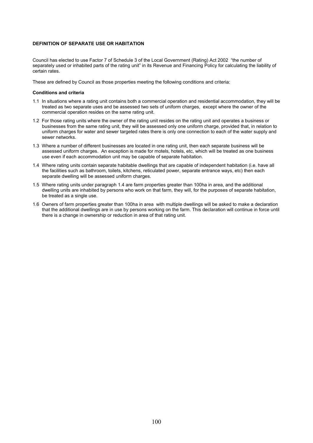## DEFINITION OF SEPARATE USE OR HABITATION

Council has elected to use Factor 7 of Schedule 3 of the Local Government (Rating) Act 2002 "the number of separately used or inhabited parts of the rating unit" in its Revenue and Financing Policy for calculating the liability of certain rates.

These are defined by Council as those properties meeting the following conditions and criteria:

#### Conditions and criteria

- 1.1 In situations where a rating unit contains both a commercial operation and residential accommodation, they will be treated as two separate uses and be assessed two sets of uniform charges, except where the owner of the commercial operation resides on the same rating unit.
- 1.2 For those rating units where the owner of the rating unit resides on the rating unit and operates a business or businesses from the same rating unit, they will be assessed only one uniform charge, provided that, in relation to uniform charges for water and sewer targeted rates there is only one connection to each of the water supply and sewer networks.
- 1.3 Where a number of different businesses are located in one rating unit, then each separate business will be assessed uniform charges. An exception is made for motels, hotels, etc, which will be treated as one business use even if each accommodation unit may be capable of separate habitation.
- 1.4 Where rating units contain separate habitable dwellings that are capable of independent habitation (i.e. have all the facilities such as bathroom, toilets, kitchens, reticulated power, separate entrance ways, etc) then each separate dwelling will be assessed uniform charges.
- 1.5 Where rating units under paragraph 1.4 are farm properties greater than 100ha in area, and the additional dwelling units are inhabited by persons who work on that farm, they will, for the purposes of separate habitation, be treated as a single use.
- 1.6 Owners of farm properties greater than 100ha in area with multiple dwellings will be asked to make a declaration that the additional dwellings are in use by persons working on the farm. This declaration will continue in force until there is a change in ownership or reduction in area of that rating unit.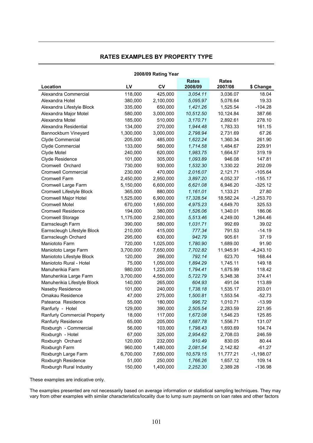# RATES EXAMPLES BY PROPERTY TYPE

| 2008/09 Rating Year          |           |           |                         |                         |             |
|------------------------------|-----------|-----------|-------------------------|-------------------------|-------------|
| Location                     | LV        | <b>CV</b> | <b>Rates</b><br>2008/09 | <b>Rates</b><br>2007/08 | \$ Change   |
| Alexandra Commercial         | 118,000   | 425,000   | 3,054.11                | 3,036.07                | 18.04       |
| Alexandra Hotel              | 380,000   | 2,100,000 | 5,095.97                | 5,076.64                | 19.33       |
| Alexandra Lifestyle Block    | 335,000   | 650,000   | 1,421.26                | 1,525.54                | $-104.28$   |
| Alexandra Major Motel        | 580,000   | 3,000,000 | 10,512.50               | 10,124.84               | 387.66      |
| Alexandra Motel              | 185,000   | 510,000   | 3,170.71                | 2,892.61                | 278.10      |
| Alexandra Residential        | 134,000   | 270,000   | 1,944.48                | 1,783.33                | 161.15      |
| Bannockburn Vineyard         | 1,300,000 | 3,000,000 | 2,798.94                | 2,731.69                | 67.26       |
| Clyde Commercial             | 205,000   | 485,000   | 1,622.24                | 1,360.34                | 261.90      |
| Clyde Commercial             | 133,000   | 560,000   | 1,714.58                | 1,484.67                | 229.91      |
| Clyde Motel                  | 240,000   | 620,000   | 1,983.75                | 1,664.57                | 319.19      |
| Clyde Residence              | 101,000   | 305,000   | 1,093.89                | 946.08                  | 147.81      |
| Cromwell Orchard             | 730,000   | 930,000   | 1,532.30                | 1,330.22                | 202.09      |
| <b>Cromwell Commercial</b>   | 230,000   | 470,000   | 2,016.07                | 2,121.71                | $-105.64$   |
| Cromwell Farm                | 2,450,000 | 2,950,000 | 3,897.20                | 4,052.37                | $-155.17$   |
| Cromwell Large Farm          | 5,150,000 | 6,600,000 | 6,621.08                | 6,946.20                | $-325.12$   |
| Cromwell Lifestyle Block     | 365,000   | 880,000   | 1,161.01                | 1,133.21                | 27.80       |
| Cromwell Major Hotel         | 1,525,000 | 6,900,000 | 17,328.54               | 18,582.24               | $-1,253.70$ |
| <b>Cromwell Motel</b>        | 670,000   | 1,650,000 | 4,975.23                | 4,649.70                | 325.53      |
| <b>Cromwell Residence</b>    | 194,000   | 380,000   | 1,526.06                | 1,340.01                | 186.06      |
| Cromwell Storage             | 1,175,000 | 2,500,000 | 5,513.46                | 4,249.00                | 1,264.46    |
| Earnscleugh Farm             | 390,000   | 580,000   | 1,031.71                | 992.69                  | 39.02       |
| Earnscleugh Lifestyle Block  | 210,000   | 415,000   | 777.34                  | 791.53                  | $-14.19$    |
| Earnscleugh Orchard          | 295,000   | 630,000   | 942.79                  | 905.61                  | 37.19       |
| Maniototo Farm               | 720,000   | 1,025,000 | 1,780.90                | 1,689.00                | 91.90       |
| Maniototo Large Farm         | 3,700,000 | 7,650,000 | 7,702.82                | 11,945.91               | $-4,243.10$ |
| Maniototo Lifestyle Block    | 120,000   | 266,000   | 792.14                  | 623.70                  | 168.44      |
| Maniototo Rural - Hotel      | 75,000    | 1,050,000 | 1,894.29                | 1,745.11                | 149.18      |
| Manuherikia Farm             | 980,000   | 1,225,000 | 1,794.41                | 1,675.99                | 118.42      |
| Manuherikia Large Farm       | 3,700,000 | 4,550,000 | 5,722.79                | 5,348.38                | 374.41      |
| Manuherikia Lifestyle Block  | 140,000   | 265,000   | 604.93                  | 491.04                  | 113.89      |
| Naseby Residence             | 101,000   | 240,000   | 1,738.18                | 1,535.17                | 203.01      |
| Omakau Residence             | 47,000    | 275,000   | 1,500.81                | 1,553.54                | $-52.73$    |
| Patearoa Residence           | 55,000    | 180,000   | 996.72                  | 1,010.71                | $-13.99$    |
| Ranfurly - Hotel             | 129,000   | 390,000   | 2,505.54                | 2,283.59                | 221.95      |
| Ranfurly Commercial Property | 18,000    | 117,000   | 1,672.08                | 1,546.23                | 125.85      |
| Ranfurly Residence           | 65,000    | 205,000   | 1,687.78                | 1,556.71                | 131.07      |
| Roxburgh - Commercial        | 56,000    | 103,000   | 1,798.43                | 1,693.69                | 104.74      |
| Roxburgh - Hotel             | 67,000    | 325,000   | 2,954.62                | 2,708.03                | 246.59      |
| Roxburgh Orchard             | 120,000   | 232,000   | 910.49                  | 830.05                  | 80.44       |
| Roxburgh Farm                | 960,000   | 1,480,000 | 2,081.54                | 2,142.82                | $-61.27$    |
| Roxburgh Large Farm          | 6,700,000 | 7,650,000 | 10,579.15               | 11,777.21               | $-1,198.07$ |
| Roxburgh Residence           | 51,000    | 250,000   | 1,766.26                | 1,657.12                | 109.14      |
| Roxburgh Rural Industry      | 150,000   | 1,400,000 | 2,252.30                | 2,389.28                | $-136.98$   |

These examples are indicative only.

The examples presented are not necessarily based on average information or statistical sampling techniques. They may vary from other examples with similar characteristics/locality due to lump sum payments on loan rates and other factors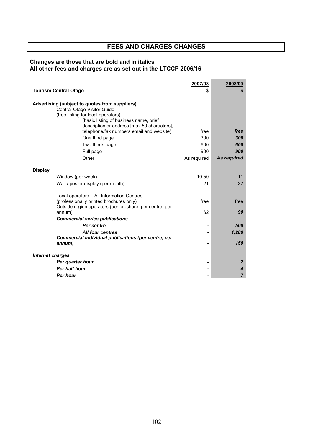# FEES AND CHARGES CHANGES

# Changes are those that are bold and in italics All other fees and charges are as set out in the LTCCP 2006/16

|                                                                                                                                                                                                              | 2007/08     | 2008/09        |
|--------------------------------------------------------------------------------------------------------------------------------------------------------------------------------------------------------------|-------------|----------------|
| <b>Tourism Central Otago</b>                                                                                                                                                                                 |             |                |
| Advertising (subject to quotes from suppliers)<br>Central Otago Visitor Guide<br>(free listing for local operators)<br>(basic listing of business name, brief<br>description or address [max 50 characters], |             |                |
| telephone/fax numbers email and website)                                                                                                                                                                     | free        | free           |
| One third page                                                                                                                                                                                               | 300         | 300            |
| Two thirds page                                                                                                                                                                                              | 600         | 600            |
| Full page                                                                                                                                                                                                    | 900         | 900            |
| Other                                                                                                                                                                                                        | As required | As required    |
|                                                                                                                                                                                                              |             |                |
| <b>Display</b>                                                                                                                                                                                               |             |                |
| Window (per week)                                                                                                                                                                                            | 10.50       | 11             |
| Wall / poster display (per month)                                                                                                                                                                            | 21          | 22             |
| Local operators - All Information Centres<br>(professionally printed brochures only)<br>Outside region operators (per brochure, per centre, per                                                              | free        | free           |
| annum)                                                                                                                                                                                                       | 62          | 90             |
| <b>Commercial series publications</b>                                                                                                                                                                        |             |                |
| <b>Per centre</b>                                                                                                                                                                                            |             | 500            |
| <b>All four centres</b><br>Commercial individual publications (per centre, per                                                                                                                               |             | 1,200          |
| annum)                                                                                                                                                                                                       |             | 150            |
| <b>Internet charges</b>                                                                                                                                                                                      |             |                |
| Per quarter hour                                                                                                                                                                                             |             | $\overline{2}$ |
| Per half hour                                                                                                                                                                                                |             | 4              |
| <b>Per hour</b>                                                                                                                                                                                              |             | 7              |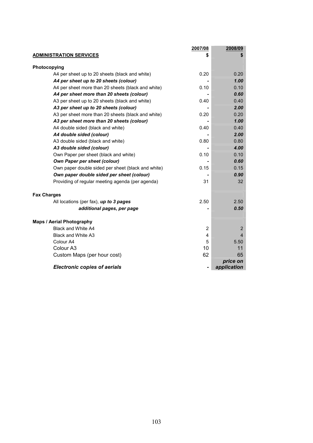|                                                    | 2007/08 | 2008/09                 |
|----------------------------------------------------|---------|-------------------------|
| <b>ADMINISTRATION SERVICES</b>                     |         | S                       |
|                                                    |         |                         |
| Photocopying                                       |         |                         |
| A4 per sheet up to 20 sheets (black and white)     | 0.20    | 0.20                    |
| A4 per sheet up to 20 sheets (colour)              |         | 1.00                    |
| A4 per sheet more than 20 sheets (black and white) | 0.10    | 0.10                    |
| A4 per sheet more than 20 sheets (colour)          |         | 0.60                    |
| A3 per sheet up to 20 sheets (black and white)     | 0.40    | 0.40                    |
| A3 per sheet up to 20 sheets (colour)              |         | 2.00                    |
| A3 per sheet more than 20 sheets (black and white) | 0.20    | 0.20                    |
| A3 per sheet more than 20 sheets (colour)          |         | 1.00                    |
| A4 double sided (black and white)                  | 0.40    | 0.40                    |
| A4 double sided (colour)                           |         | 2.00                    |
| A3 double sided (black and white)                  | 0.80    | 0.80                    |
| A3 double sided (colour)                           |         | 4.00                    |
| Own Paper per sheet (black and white)              | 0.10    | 0.10                    |
| Own Paper per sheet (colour)                       |         | 0.60                    |
| Own paper double sided per sheet (black and white) | 0.15    | 0.15                    |
| Own paper double sided per sheet (colour)          |         | 0.90                    |
| Providing of regular meeting agenda (per agenda)   | 31      | 32                      |
| <b>Fax Charges</b>                                 |         |                         |
| All locations (per fax), up to 3 pages             | 2.50    | 2.50                    |
| additional pages, per page                         |         | 0.50                    |
|                                                    |         |                         |
| <b>Maps / Aerial Photography</b>                   |         |                         |
| Black and White A4                                 | 2       | 2                       |
| Black and White A3                                 | 4       | $\overline{4}$          |
| Colour A4                                          | 5       | 5.50                    |
| Colour A3                                          | 10      | 11                      |
| Custom Maps (per hour cost)                        | 62      | 65                      |
| <b>Electronic copies of aerials</b>                |         | price on<br>application |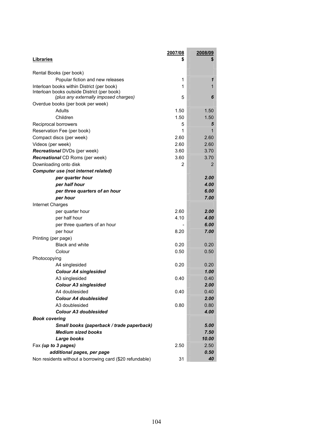|                                                                                      | 2007/08 | <u> 2008/09</u> |
|--------------------------------------------------------------------------------------|---------|-----------------|
| Libraries                                                                            | S       | \$              |
| Rental Books (per book)                                                              |         |                 |
| Popular fiction and new releases                                                     | 1       | 1               |
| Interloan books within District (per book)                                           | 1       | 1               |
| Interloan books outside District (per book)<br>(plus any externally imposed charges) | 5       | 6               |
| Overdue books (per book per week)                                                    |         |                 |
| Adults                                                                               | 1.50    | 1.50            |
| Children                                                                             | 1.50    | 1.50            |
| Reciprocal borrowers                                                                 | 5       | 5               |
| Reservation Fee (per book)                                                           | 1       | 1               |
| Compact discs (per week)                                                             | 2.60    | 2.60            |
| Videos (per week)                                                                    | 2.60    | 2.60            |
| <b>Recreational DVDs (per week)</b>                                                  | 3.60    | 3.70            |
| <b>Recreational CD Roms (per week)</b>                                               | 3.60    | 3.70            |
| Downloading onto disk                                                                | 2       | 2               |
| <b>Computer use (not internet related)</b>                                           |         |                 |
| per quarter hour                                                                     |         | 2.00            |
| per half hour                                                                        |         | 4.00            |
| per three quarters of an hour                                                        |         | 6.00            |
| per hour                                                                             |         | 7.00            |
| Internet Charges                                                                     |         |                 |
| per quarter hour                                                                     | 2.60    | 2.00            |
| per half hour                                                                        | 4.10    | 4.00            |
| per three quarters of an hour                                                        |         | 6.00            |
| per hour                                                                             | 8.20    | 7.00            |
| Printing (per page)                                                                  |         |                 |
| <b>Black and white</b>                                                               | 0.20    | 0.20            |
| Colour                                                                               | 0.50    | 0.50            |
| Photocopying                                                                         |         |                 |
| A4 singlesided                                                                       | 0.20    | 0.20            |
| <b>Colour A4 singlesided</b>                                                         |         | 1.00            |
| A3 singlesided                                                                       | 0.40    | 0.40            |
| <b>Colour A3 singlesided</b>                                                         |         | 2.00            |
| A4 doublesided                                                                       | 0.40    | 0.40            |
| <b>Colour A4 doublesided</b>                                                         |         | 2.00            |
| A3 doublesided                                                                       | 0.80    | 0.80            |
| <b>Colour A3 doublesided</b>                                                         |         | 4.00            |
| <b>Book covering</b>                                                                 |         |                 |
| Small books (paperback / trade paperback)                                            |         | 5.00            |
| <b>Medium sized books</b>                                                            |         | 7.50            |
| Large books                                                                          |         | 10.00           |
| Fax (up to 3 pages)                                                                  | 2.50    | 2.50            |
| additional pages, per page                                                           |         | 0.50            |
| Non residents without a borrowing card (\$20 refundable)                             | 31      | 40              |

the control of the control of the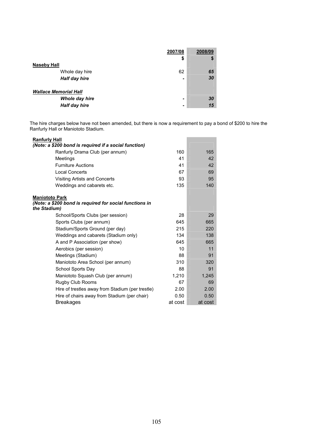| Naseby Hall                                                     | 2007/08<br>\$ | 2008/09<br>S |
|-----------------------------------------------------------------|---------------|--------------|
| Whole day hire<br>Half day hire                                 | 62            | 65<br>30     |
| <b>Wallace Memorial Hall</b><br>Whole day hire<br>Half day hire | -             | 30<br>15     |

The hire charges below have not been amended, but there is now a requirement to pay a bond of \$200 to hire the Ranfurly Hall or Maniototo Stadium.

| <b>Ranfurly Hall</b><br>(Note: a \$200 bond is required if a social function) |                 |         |
|-------------------------------------------------------------------------------|-----------------|---------|
| Ranfurly Drama Club (per annum)                                               | 160             | 165     |
| Meetings                                                                      | 41              | 42      |
| <b>Furniture Auctions</b>                                                     | 41              | 42      |
| <b>Local Concerts</b>                                                         | 67              | 69      |
| Visiting Artists and Concerts                                                 | 93              | 95      |
| Weddings and cabarets etc.                                                    | 135             | 140     |
| <b>Maniototo Park</b>                                                         |                 |         |
| (Note: a \$200 bond is required for social functions in                       |                 |         |
| the Stadium)                                                                  |                 |         |
| School/Sports Clubs (per session)                                             | 28              | 29      |
| Sports Clubs (per annum)                                                      | 645             | 665     |
| Stadium/Sports Ground (per day)                                               | 215             | 220     |
| Weddings and cabarets (Stadium only)                                          | 134             | 138     |
| A and P Association (per show)                                                | 645             | 665     |
| Aerobics (per session)                                                        | 10 <sup>1</sup> | 11      |
| Meetings (Stadium)                                                            | 88              | 91      |
| Maniototo Area School (per annum)                                             | 310             | 320     |
| School Sports Day                                                             | 88              | 91      |
| Maniototo Squash Club (per annum)                                             | 1,210           | 1,245   |
| Rugby Club Rooms                                                              | 67              | 69      |
| Hire of trestles away from Stadium (per trestle)                              | 2.00            | 2.00    |
| Hire of chairs away from Stadium (per chair)                                  | 0.50            | 0.50    |
| <b>Breakages</b>                                                              | at cost         | at cost |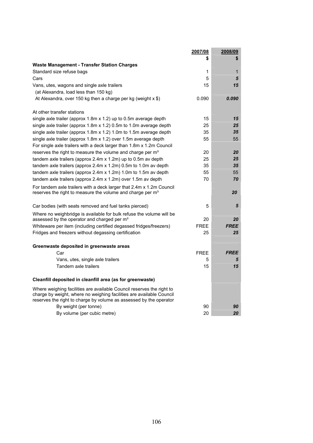|                                                                                                                                                                                                                     | 2007/08     | 2008/09     |
|---------------------------------------------------------------------------------------------------------------------------------------------------------------------------------------------------------------------|-------------|-------------|
|                                                                                                                                                                                                                     | \$          | \$          |
| <b>Waste Management - Transfer Station Charges</b>                                                                                                                                                                  |             |             |
| Standard size refuse bags                                                                                                                                                                                           | 1           | 1           |
| Cars                                                                                                                                                                                                                | 5           | 5           |
| Vans, utes, wagons and single axle trailers                                                                                                                                                                         | 15          | 15          |
| (at Alexandra, load less than 150 kg)                                                                                                                                                                               |             |             |
| At Alexandra, over 150 kg then a charge per kg (weight $x$ \$)                                                                                                                                                      | 0.090       | 0.090       |
| At other transfer stations                                                                                                                                                                                          |             |             |
| single axle trailer (approx 1.8m x 1.2) up to 0.5m average depth                                                                                                                                                    | 15          | 15          |
| single axle trailer (approx 1.8m x 1.2) 0.5m to 1.0m average depth                                                                                                                                                  | 25          | 25          |
| single axle trailer (approx 1.8m x 1.2) 1.0m to 1.5m average depth                                                                                                                                                  | 35          | 35          |
| single axle trailer (approx 1.8m x 1.2) over 1.5m average depth                                                                                                                                                     | 55          | 55          |
| For single axle trailers with a deck larger than 1.8m x 1.2m Council                                                                                                                                                |             |             |
| reserves the right to measure the volume and charge per m <sup>3</sup>                                                                                                                                              | 20          | 20          |
| tandem axle trailers (approx $2.4$ m x $1.2$ m) up to 0.5m av depth                                                                                                                                                 | 25          | 25          |
| tandem axle trailers (approx 2.4m $x$ 1.2m) 0.5m to 1.0m av depth                                                                                                                                                   | 35          | 35          |
| tandem axle trailers (approx 2.4m x 1.2m) 1.0m to 1.5m av depth                                                                                                                                                     | 55          | 55          |
| tandem axle trailers (approx 2.4m x 1.2m) over 1.5m av depth                                                                                                                                                        | 70          | 70          |
| For tandem axle trailers with a deck larger that 2.4m x 1.2m Council<br>reserves the right to measure the volume and charge per m <sup>3</sup>                                                                      |             | 20          |
| Car bodies (with seats removed and fuel tanks pierced)                                                                                                                                                              | 5           | 5           |
| Where no weighbridge is available for bulk refuse the volume will be                                                                                                                                                |             |             |
| assessed by the operator and charged per m <sup>3</sup>                                                                                                                                                             | 20          | 20          |
| Whiteware per item (including certified degassed fridges/freezers)                                                                                                                                                  | <b>FREE</b> | <b>FREE</b> |
| Fridges and freezers without degassing certification                                                                                                                                                                | 25          | 25          |
| Greenwaste deposited in greenwaste areas                                                                                                                                                                            |             |             |
| Car                                                                                                                                                                                                                 | <b>FREE</b> | <b>FREE</b> |
| Vans, utes, single axle trailers                                                                                                                                                                                    | 5           | 5           |
| Tandem axle trailers                                                                                                                                                                                                | 15          | 15          |
| Cleanfill deposited in cleanfill area (as for greenwaste)                                                                                                                                                           |             |             |
| Where weighing facilities are available Council reserves the right to<br>charge by weight, where no weighing facilities are available Council<br>reserves the right to charge by volume as assessed by the operator |             |             |
| By weight (per tonne)                                                                                                                                                                                               | 90          | 90          |
| By volume (per cubic metre)                                                                                                                                                                                         | 20          | 20          |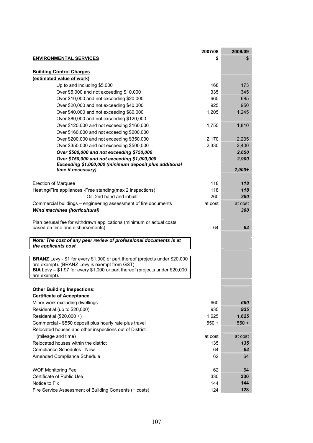|                                                                                              | 2007/08    | 2008/09    |
|----------------------------------------------------------------------------------------------|------------|------------|
| <b>ENVIRONMENTAL SERVICES</b>                                                                |            | \$         |
|                                                                                              |            |            |
| <b>Building Control Charges</b>                                                              |            |            |
| (estimated value of work)                                                                    |            |            |
| Up to and including \$5,000                                                                  | 168        | 173        |
| Over \$5,000 and not exceeding \$10,000                                                      | 335        | 345        |
| Over \$10,000 and not exceeding \$20,000                                                     | 665<br>925 | 685<br>950 |
| Over \$20,000 and not exceeding \$40,000                                                     |            |            |
| Over \$40,000 and not exceeding \$80,000                                                     | 1,205      | 1,245      |
| Over \$80,000 and not exceeding \$120,000                                                    |            |            |
| Over \$120,000 and not exceeding \$160,000                                                   | 1,755      | 1,810      |
| Over \$160,000 and not exceeding \$200,000                                                   |            |            |
| Over \$200,000 and not exceeding \$350,000                                                   | 2,170      | 2,235      |
| Over \$350,000 and not exceeding \$500,000<br>Over \$500,000 and not exceeding \$750,000     | 2,330      | 2,400      |
| Over \$750,000 and not exceeding \$1,000,000                                                 |            | 2,650      |
| Exceeding \$1,000,000 (minimum deposit plus additional                                       |            | 2,900      |
| time if necessary)                                                                           |            | $2,900+$   |
|                                                                                              |            |            |
| <b>Erection of Marquee</b>                                                                   | 118        | 118        |
| Heating/Fire appliances -Free standing(max 2 inspections)                                    | 118        | 118        |
| -Oil, 2nd hand and inbuilt                                                                   | 260        | 260        |
| Commercial buildings – engineering assessment of fire documents                              | at cost    | at cost    |
| <b>Wind machines (horticultural)</b>                                                         |            | 300        |
|                                                                                              |            |            |
| Plan perusal fee for withdrawn applications (minimum or actual costs                         |            |            |
| based on time and disbursements)                                                             | 64         | 64         |
| Note: The cost of any peer review of professional documents is at                            |            |            |
| the applicants cost                                                                          |            |            |
|                                                                                              |            |            |
| BRANZ Levy - \$1 for every \$1,000 or part thereof (projects under \$20,000                  |            |            |
| are exempt). (BRANZ Levy is exempt from GST)                                                 |            |            |
| BIA Levy - \$1.97 for every \$1,000 or part thereof (projects under \$20,000<br>are exempt). |            |            |
|                                                                                              |            |            |
| <b>Other Building Inspections:</b>                                                           |            |            |
| <b>Certificate of Acceptance</b>                                                             |            |            |
| Minor work excluding dwellings                                                               | 660        | 660        |
| Residential (up to \$20,000)                                                                 | 935        | 935        |
| Residential (\$20,000 +)                                                                     | 1,625      | 1,625      |
| Commercial - \$550 deposit plus hourly rate plus travel                                      | $550 +$    | $550 +$    |
| Relocated houses and other inspections out of District                                       |            |            |
| (mileage and time)                                                                           | at cost    | at cost    |
| Relocated houses within the district                                                         | 135        | 135        |
| Compliance Schedules - New                                                                   |            | 64         |
|                                                                                              | 64         |            |
| Amended Compliance Schedule                                                                  | 62         | 64         |
| <b>WOF Monitoring Fee</b>                                                                    | 62         | 64         |
| Certificate of Public Use                                                                    | 330        | 330        |
| Notice to Fix                                                                                | 144        | 144        |
| Fire Service Assessment of Building Consents (+ costs)                                       | 124        | 128        |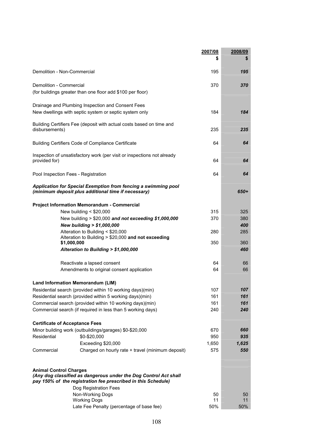|                                                                                                                                                                                             | 2007/08<br>\$ | 2008/09<br>\$ |
|---------------------------------------------------------------------------------------------------------------------------------------------------------------------------------------------|---------------|---------------|
| Demolition - Non-Commercial                                                                                                                                                                 | 195           | 195           |
| Demolition - Commercial<br>(for buildings greater than one floor add \$100 per floor)                                                                                                       | 370           | 370           |
| Drainage and Plumbing Inspection and Consent Fees<br>New dwellings with septic system or septic system only                                                                                 | 184           | 184           |
| Building Certifiers Fee (deposit with actual costs based on time and<br>disbursements)                                                                                                      | 235           | 235           |
| Building Certifiers Code of Compliance Certificate                                                                                                                                          | 64            | 64            |
| Inspection of unsatisfactory work (per visit or inspections not already<br>provided for)                                                                                                    | 64            | 64            |
| Pool Inspection Fees - Registration                                                                                                                                                         | 64            | 64            |
| Application for Special Exemption from fencing a swimming pool<br>(minimum deposit plus additional time if necessary)                                                                       |               | 650+          |
| <b>Project Information Memorandum - Commercial</b>                                                                                                                                          |               |               |
| New building $<$ \$20,000                                                                                                                                                                   | 315           | 325           |
| New building > \$20,000 and not exceeding \$1,000,000                                                                                                                                       | 370           | 380           |
| New building > \$1,000,000                                                                                                                                                                  |               | 400           |
| Alteration to Building < \$20,000<br>Alteration to Building > \$20,000 and not exceeding                                                                                                    | 280           | 285           |
| \$1,000,000                                                                                                                                                                                 | 350           | 360           |
| Alteration to Building > \$1,000,000                                                                                                                                                        |               | 460           |
| Reactivate a lapsed consent                                                                                                                                                                 | 64            | 66            |
| Amendments to original consent application                                                                                                                                                  | 64            | 66            |
| <b>Land Information Memorandum (LIM)</b>                                                                                                                                                    |               |               |
| Residential search (provided within 10 working days)(min)                                                                                                                                   | 107           | 107           |
| Residential search (provided within 5 working days)(min)                                                                                                                                    | 161           | 161           |
| Commercial search (provided within 10 working days)(min)                                                                                                                                    | 161           | 161           |
| Commercial search (if required in less than 5 working days)                                                                                                                                 | 240           | 240           |
| <b>Certificate of Acceptance Fees</b>                                                                                                                                                       |               |               |
| Minor building work (outbuildings/garages) \$0-\$20,000                                                                                                                                     | 670           | 660           |
| Residential<br>\$0-\$20,000                                                                                                                                                                 | 950           | 935           |
| Exceeding \$20,000                                                                                                                                                                          | 1,650         | 1,625         |
| Commercial<br>Charged on hourly rate + travel (minimum deposit)                                                                                                                             | 575           | 550           |
| <b>Animal Control Charges</b><br>(Any dog classified as dangerous under the Dog Control Act shall<br>pay 150% of the registration fee prescribed in this Schedule)<br>Dog Registration Fees |               |               |
| Non-Working Dogs                                                                                                                                                                            | 50            | 50            |
| <b>Working Dogs</b>                                                                                                                                                                         | 11            | 11            |
| Late Fee Penalty (percentage of base fee)                                                                                                                                                   | 50%           | 50%           |